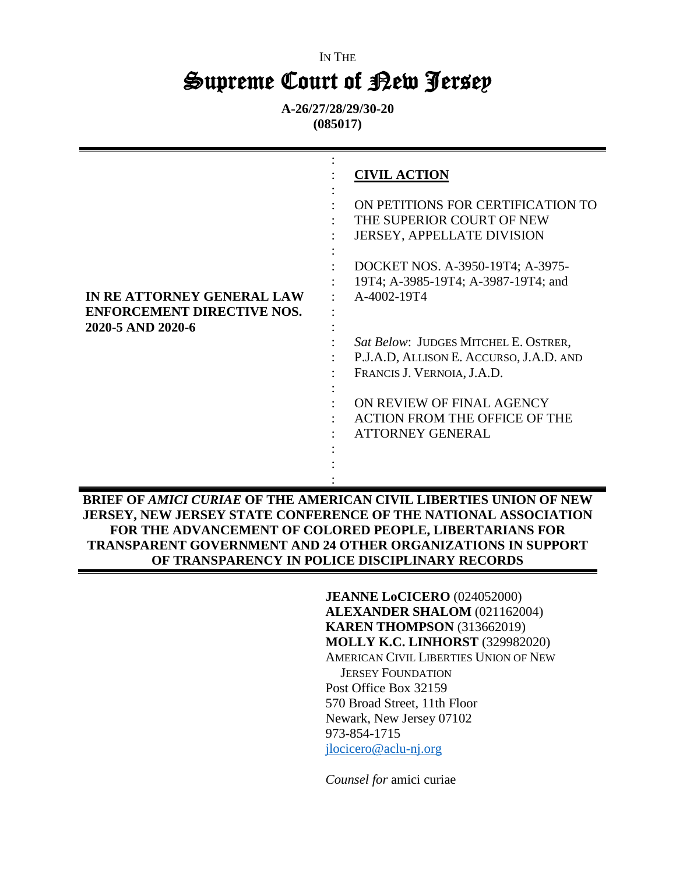# IN THE Supreme Court of Rew Jersey

**A-26/27/28/29/30-20 (085017)**

|                                                                                     | <b>CIVIL ACTION</b>                                                                                                                                                                                                                                                                                                                                                                 |
|-------------------------------------------------------------------------------------|-------------------------------------------------------------------------------------------------------------------------------------------------------------------------------------------------------------------------------------------------------------------------------------------------------------------------------------------------------------------------------------|
| IN REATTORNEY GENERAL LAW<br><b>ENFORCEMENT DIRECTIVE NOS.</b><br>2020-5 AND 2020-6 | ON PETITIONS FOR CERTIFICATION TO<br>THE SUPERIOR COURT OF NEW<br><b>JERSEY, APPELLATE DIVISION</b><br>DOCKET NOS. A-3950-19T4; A-3975-<br>19T4; A-3985-19T4; A-3987-19T4; and<br>A-4002-19T4<br>Sat Below: JUDGES MITCHEL E. OSTRER,<br>P.J.A.D, ALLISON E. ACCURSO, J.A.D. AND<br>FRANCIS J. VERNOIA, J.A.D.<br>ON REVIEW OF FINAL AGENCY<br><b>ACTION FROM THE OFFICE OF THE</b> |
|                                                                                     | <b>ATTORNEY GENERAL</b>                                                                                                                                                                                                                                                                                                                                                             |

**BRIEF OF** *AMICI CURIAE* **OF THE AMERICAN CIVIL LIBERTIES UNION OF NEW JERSEY, NEW JERSEY STATE CONFERENCE OF THE NATIONAL ASSOCIATION FOR THE ADVANCEMENT OF COLORED PEOPLE, LIBERTARIANS FOR TRANSPARENT GOVERNMENT AND 24 OTHER ORGANIZATIONS IN SUPPORT OF TRANSPARENCY IN POLICE DISCIPLINARY RECORDS**

> **JEANNE LoCICERO** (024052000) **ALEXANDER SHALOM** (021162004) **KAREN THOMPSON (313662019) MOLLY K.C. LINHORST** (329982020) AMERICAN CIVIL LIBERTIES UNION OF NEW JERSEY FOUNDATION Post Office Box 32159 570 Broad Street, 11th Floor Newark, New Jersey 07102 973-854-1715 [jlocicero@aclu-nj.org](mailto:jlocicero@aclu-nj.org)

*Counsel for* amici curiae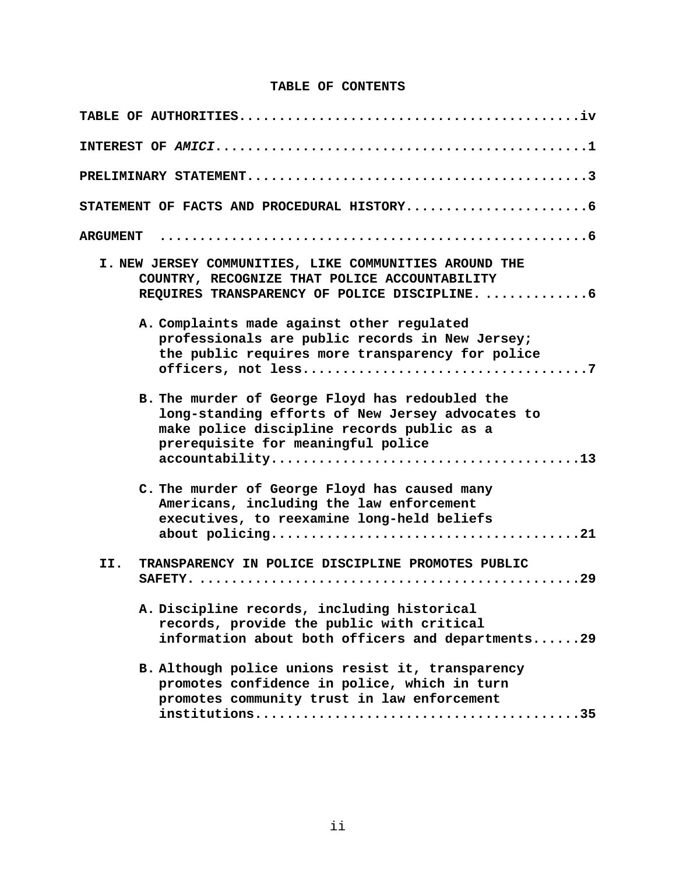#### **TABLE OF CONTENTS**

| <b>ARGUMENT</b>                                                                                                                                                                         |
|-----------------------------------------------------------------------------------------------------------------------------------------------------------------------------------------|
| I. NEW JERSEY COMMUNITIES, LIKE COMMUNITIES AROUND THE<br>COUNTRY, RECOGNIZE THAT POLICE ACCOUNTABILITY<br>REQUIRES TRANSPARENCY OF POLICE DISCIPLINE.  6                               |
| A. Complaints made against other regulated<br>professionals are public records in New Jersey;<br>the public requires more transparency for police                                       |
| B. The murder of George Floyd has redoubled the<br>long-standing efforts of New Jersey advocates to<br>make police discipline records public as a<br>prerequisite for meaningful police |
| C. The murder of George Floyd has caused many<br>Americans, including the law enforcement<br>executives, to reexamine long-held beliefs                                                 |
| TRANSPARENCY IN POLICE DISCIPLINE PROMOTES PUBLIC<br>II.                                                                                                                                |
| A. Discipline records, including historical<br>records, provide the public with critical<br>information about both officers and departments29                                           |
| B. Although police unions resist it, transparency<br>promotes confidence in police, which in turn<br>promotes community trust in law enforcement                                        |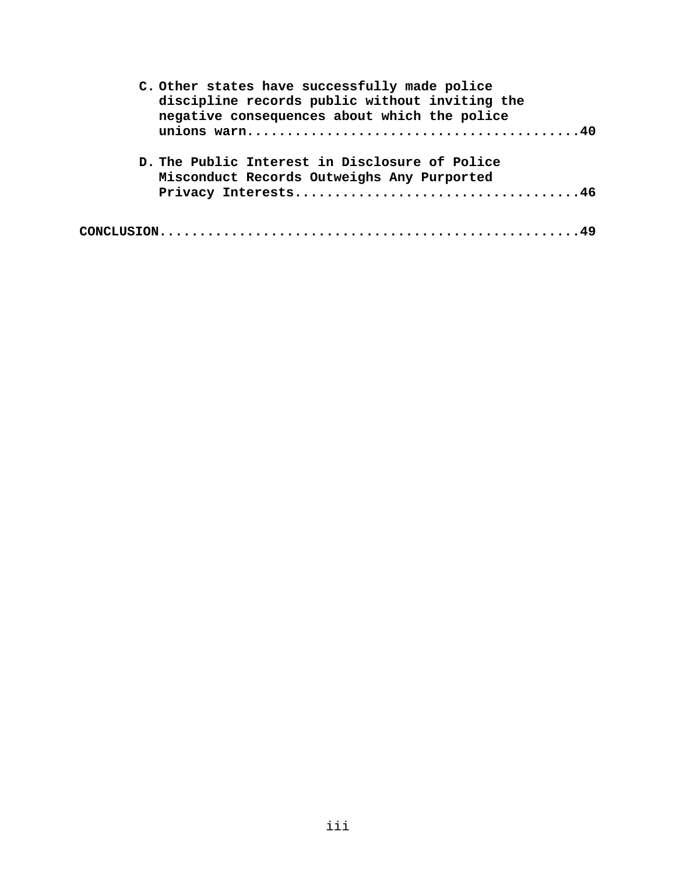| C. Other states have successfully made police<br>discipline records public without inviting the<br>negative consequences about which the police |
|-------------------------------------------------------------------------------------------------------------------------------------------------|
|                                                                                                                                                 |
| D. The Public Interest in Disclosure of Police                                                                                                  |
| Misconduct Records Outweighs Any Purported                                                                                                      |
|                                                                                                                                                 |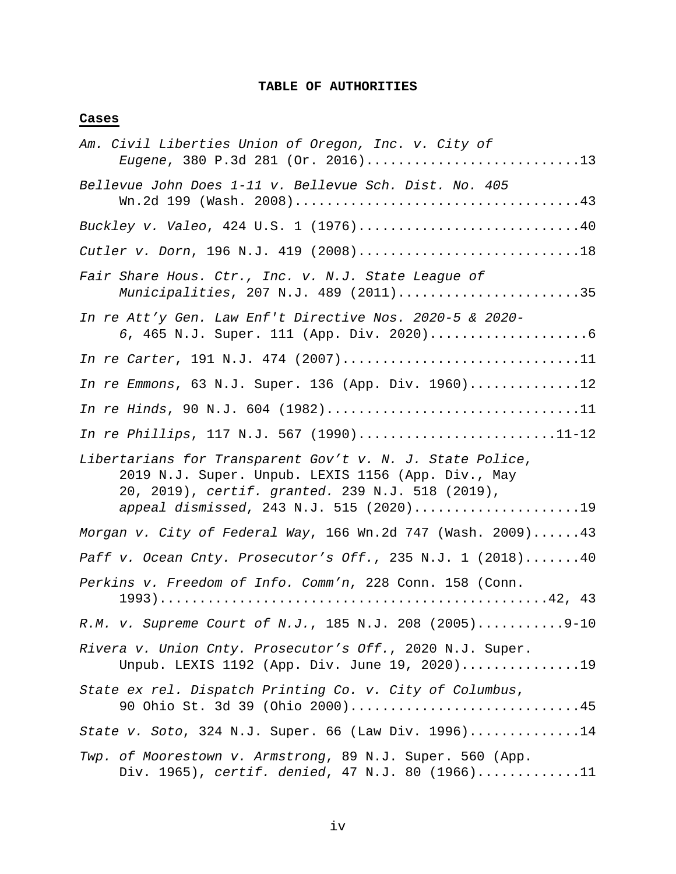### **TABLE OF AUTHORITIES**

# **Cases**

| Am. Civil Liberties Union of Oregon, Inc. v. City of<br>Eugene, 380 P.3d 281 (Or. 2016)13                                                                                                                      |
|----------------------------------------------------------------------------------------------------------------------------------------------------------------------------------------------------------------|
| Bellevue John Does 1-11 v. Bellevue Sch. Dist. No. 405                                                                                                                                                         |
| Buckley v. Valeo, 424 U.S. 1 (1976)40                                                                                                                                                                          |
| Cutler v. Dorn, 196 N.J. 419 (2008)18                                                                                                                                                                          |
| Fair Share Hous. Ctr., Inc. v. N.J. State League of<br>Municipalities, 207 N.J. 489 (2011)35                                                                                                                   |
| In re Att'y Gen. Law Enf't Directive Nos. 2020-5 & 2020-                                                                                                                                                       |
| In re Carter, 191 N.J. 474 (2007)11                                                                                                                                                                            |
| In re Emmons, 63 N.J. Super. 136 (App. Div. 1960)12                                                                                                                                                            |
| In re Hinds, 90 N.J. 604 (1982)11                                                                                                                                                                              |
| In re Phillips, 117 N.J. 567 (1990)11-12                                                                                                                                                                       |
| Libertarians for Transparent Gov't v. N. J. State Police,<br>2019 N.J. Super. Unpub. LEXIS 1156 (App. Div., May<br>20, 2019), certif. granted. 239 N.J. 518 (2019),<br>appeal dismissed, 243 N.J. 515 (2020)19 |
| Morgan v. City of Federal Way, 166 Wn.2d 747 (Wash. 2009)43                                                                                                                                                    |
| Paff v. Ocean Cnty. Prosecutor's Off., 235 N.J. 1 (2018) 40                                                                                                                                                    |
| Perkins v. Freedom of Info. Comm'n, 228 Conn. 158 (Conn.                                                                                                                                                       |
| R.M. v. Supreme Court of N.J., 185 N.J. 208 (2005)9-10                                                                                                                                                         |
| Rivera v. Union Cnty. Prosecutor's Off., 2020 N.J. Super.<br>Unpub. LEXIS 1192 (App. Div. June 19, 2020)19                                                                                                     |
| State ex rel. Dispatch Printing Co. v. City of Columbus,<br>90 Ohio St. 3d 39 (Ohio 2000)45                                                                                                                    |
| State v. Soto, 324 N.J. Super. 66 (Law Div. 1996)14                                                                                                                                                            |
| Twp. of Moorestown v. Armstrong, 89 N.J. Super. 560 (App.<br>Div. 1965), certif. denied, 47 N.J. 80 (1966)11                                                                                                   |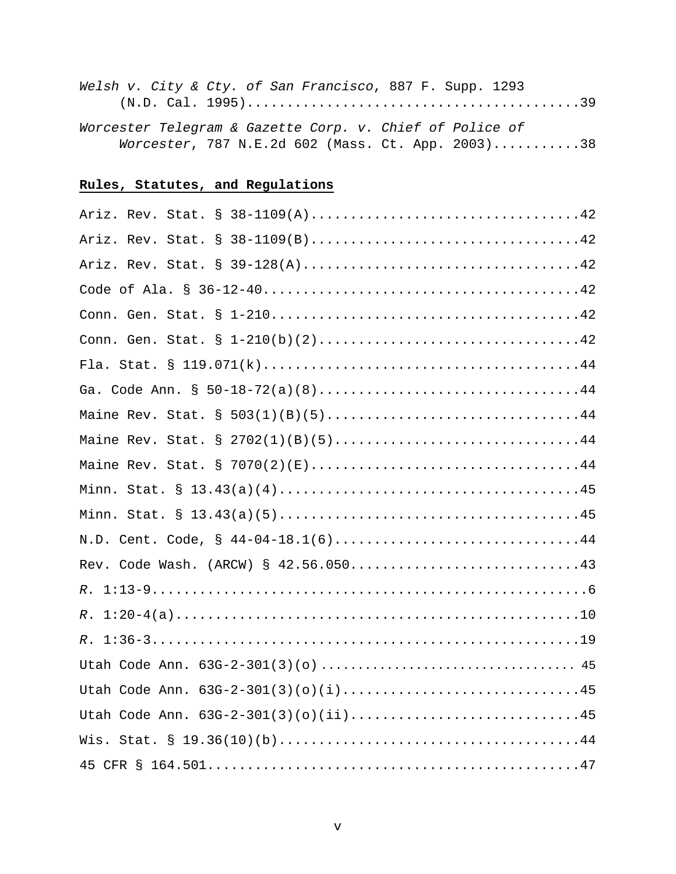| Welsh v. City & Cty. of San Francisco, 887 F. Supp. 1293 |  |
|----------------------------------------------------------|--|
|                                                          |  |
| Worcester Telegram & Gazette Corp. v. Chief of Police of |  |
| Worcester, 787 N.E.2d 602 (Mass. Ct. App. 2003)38        |  |

# **Rules, Statutes, and Regulations**

| Ariz. Rev. Stat. § 38-1109(A)42      |
|--------------------------------------|
| Ariz. Rev. Stat. § 38-1109(B)42      |
|                                      |
|                                      |
|                                      |
| Conn. Gen. Stat. § 1-210(b)(2)42     |
|                                      |
| Ga. Code Ann. § 50-18-72(a)(8)44     |
| Maine Rev. Stat. § 503(1)(B)(5)44    |
| Maine Rev. Stat. § 2702(1)(B)(5)44   |
|                                      |
|                                      |
|                                      |
| N.D. Cent. Code, § 44-04-18.1(6)44   |
| Rev. Code Wash. (ARCW) § 42.56.05043 |
| $R$ .                                |
| $1:20-4(a)10$<br>$R$ .               |
| $1:36-319$<br>$R$ .                  |
|                                      |
| Utah Code Ann. 63G-2-301(3)(o)(i)45  |
| Utah Code Ann. 63G-2-301(3)(o)(ii)45 |
|                                      |
|                                      |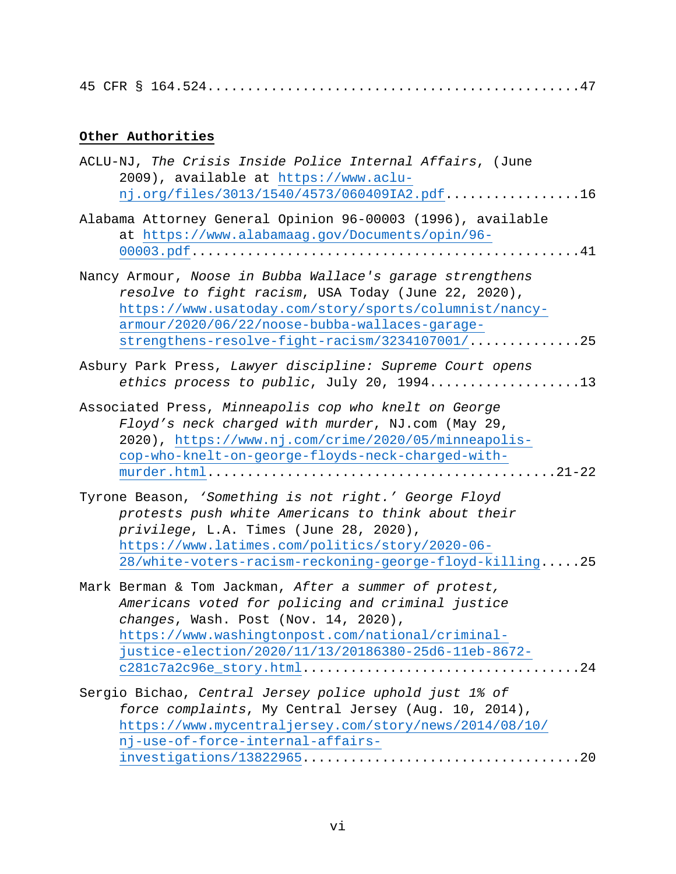# **Other Authorities**

| ACLU-NJ, The Crisis Inside Police Internal Affairs, (June<br>2009), available at https://www.aclu-<br>$nj.org/files/3013/1540/4573/060409IA2.pdf$ 16                                                                                                                           |
|--------------------------------------------------------------------------------------------------------------------------------------------------------------------------------------------------------------------------------------------------------------------------------|
| Alabama Attorney General Opinion 96-00003 (1996), available<br>at https://www.alabamaag.gov/Documents/opin/96-                                                                                                                                                                 |
| Nancy Armour, Noose in Bubba Wallace's garage strengthens<br>resolve to fight racism, USA Today (June 22, 2020),<br>https://www.usatoday.com/story/sports/columnist/nancy-<br>armour/2020/06/22/noose-bubba-wallaces-garage-<br>strengthens-resolve-fight-racism/3234107001/25 |
| Asbury Park Press, Lawyer discipline: Supreme Court opens<br>ethics process to public, July 20, 199413                                                                                                                                                                         |
| Associated Press, Minneapolis cop who knelt on George<br>Floyd's neck charged with murder, NJ.com (May 29,<br>2020), https://www.nj.com/crime/2020/05/minneapolis-<br>cop-who-knelt-on-george-floyds-neck-charged-with-                                                        |
| Tyrone Beason, 'Something is not right.' George Floyd<br>protests push white Americans to think about their<br>privilege, L.A. Times (June 28, 2020),<br>https://www.latimes.com/politics/story/2020-06-<br>28/white-voters-racism-reckoning-george-floyd-killing25            |
| Mark Berman & Tom Jackman, After a summer of protest,<br>Americans voted for policing and criminal justice<br>changes, Wash. Post (Nov. 14, 2020),<br>https://www.washingtonpost.com/national/criminal-<br>justice-election/2020/11/13/20186380-25d6-11eb-8672-                |
| Sergio Bichao, Central Jersey police uphold just 1% of<br>force complaints, My Central Jersey (Aug. 10, 2014),<br>https://www.mycentraljersey.com/story/news/2014/08/10/<br>nj-use-of-force-internal-affairs-                                                                  |
|                                                                                                                                                                                                                                                                                |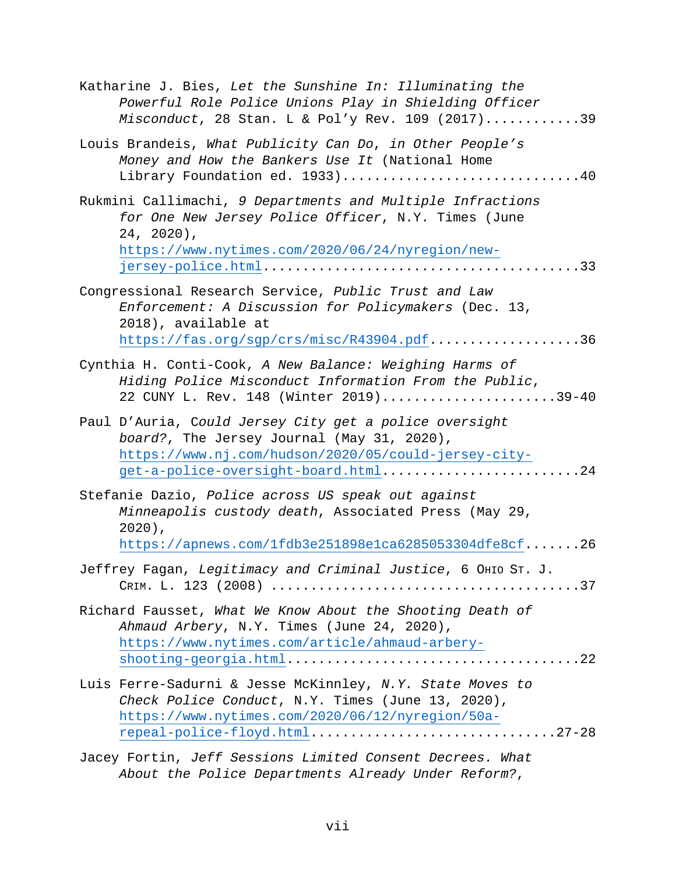| Katharine J. Bies, Let the Sunshine In: Illuminating the<br>Powerful Role Police Unions Play in Shielding Officer<br>Misconduct, 28 Stan. L & Pol'y Rev. 109 (2017)39                               |
|-----------------------------------------------------------------------------------------------------------------------------------------------------------------------------------------------------|
| Louis Brandeis, What Publicity Can Do, in Other People's<br>Money and How the Bankers Use It (National Home<br>Library Foundation ed. 1933)40                                                       |
| Rukmini Callimachi, 9 Departments and Multiple Infractions<br>for One New Jersey Police Officer, N.Y. Times (June<br>$24, 2020$ ,<br>https://www.nytimes.com/2020/06/24/nyregion/new-               |
| Congressional Research Service, Public Trust and Law<br>Enforcement: A Discussion for Policymakers (Dec. 13,<br>2018), available at<br>https://fas.org/sgp/crs/misc/R43904.pdf36                    |
| Cynthia H. Conti-Cook, A New Balance: Weighing Harms of<br>Hiding Police Misconduct Information From the Public,<br>22 CUNY L. Rev. 148 (Winter 2019)39-40                                          |
| Paul D'Auria, Could Jersey City get a police oversight<br>board?, The Jersey Journal (May 31, 2020),<br>https://www.nj.com/hudson/2020/05/could-jersey-city-<br>get-a-police-oversight-board.html24 |
| Stefanie Dazio, Police across US speak out against<br>Minneapolis custody death, Associated Press (May 29,<br>$2020$ ),<br>https://apnews.com/1fdb3e251898e1ca6285053304dfe8cf26                    |
| Jeffrey Fagan, Legitimacy and Criminal Justice, 6 OHIO ST. J.                                                                                                                                       |
| Richard Fausset, What We Know About the Shooting Death of<br>Ahmaud Arbery, N.Y. Times (June 24, 2020),<br>https://www.nytimes.com/article/ahmaud-arbery-                                           |
| Luis Ferre-Sadurni & Jesse McKinnley, N.Y. State Moves to<br>Check Police Conduct, N.Y. Times (June 13, 2020),<br>https://www.nytimes.com/2020/06/12/nyregion/50a-<br>repeal-police-floyd.html27-28 |
| Jacey Fortin, Jeff Sessions Limited Consent Decrees. What                                                                                                                                           |

*About the Police Departments Already Under Reform?*,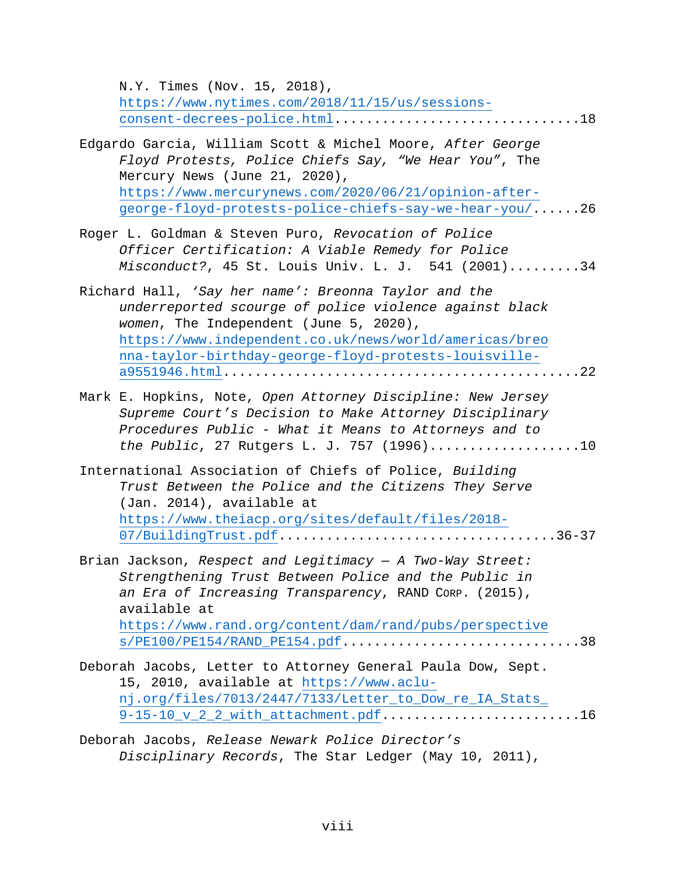N.Y. Times (Nov. 15, 2018), [https://www.nytimes.com/2018/11/15/us/sessions](https://www.nytimes.com/2018/11/15/us/sessions-consent-decrees-police.html)[consent-decrees-police.html.](https://www.nytimes.com/2018/11/15/us/sessions-consent-decrees-police.html)..............................18 Edgardo Garcia, William Scott & Michel Moore, *After George Floyd Protests, Police Chiefs Say, "We Hear You"*, The Mercury News (June 21, 2020), [https://www.mercurynews.com/2020/06/21/opinion-after](https://www.mercurynews.com/2020/06/21/opinion-after-george-floyd-protests-police-chiefs-say-we-hear-you/)[george-floyd-protests-police-chiefs-say-we-hear-you/.](https://www.mercurynews.com/2020/06/21/opinion-after-george-floyd-protests-police-chiefs-say-we-hear-you/).....26 Roger L. Goldman & Steven Puro, *Revocation of Police Officer Certification: A Viable Remedy for Police Misconduct?*, 45 St. Louis Univ. L. J. 541 (2001).........34 Richard Hall, *'Say her name': Breonna Taylor and the underreported scourge of police violence against black women*, The Independent (June 5, 2020), [https://www.independent.co.uk/news/world/americas/breo](https://www.independent.co.uk/news/world/americas/breonna-taylor-birthday-george-floyd-protests-louisville-a9551946.html) [nna-taylor-birthday-george-floyd-protests-louisville](https://www.independent.co.uk/news/world/americas/breonna-taylor-birthday-george-floyd-protests-louisville-a9551946.html)[a9551946.html.](https://www.independent.co.uk/news/world/americas/breonna-taylor-birthday-george-floyd-protests-louisville-a9551946.html)............................................22 Mark E. Hopkins, Note, *Open Attorney Discipline: New Jersey Supreme Court's Decision to Make Attorney Disciplinary Procedures Public - What it Means to Attorneys and to the Public*, 27 Rutgers L. J. 757 (1996)...................10

International Association of Chiefs of Police, *Building Trust Between the Police and the Citizens They Serve* (Jan. 2014), available at [https://www.theiacp.org/sites/default/files/2018-](https://www.theiacp.org/sites/default/files/2018-07/BuildingTrust.pdf) [07/BuildingTrust.pdf.](https://www.theiacp.org/sites/default/files/2018-07/BuildingTrust.pdf)..................................36-37

Brian Jackson, *Respect and Legitimacy — A Two-Way Street: Strengthening Trust Between Police and the Public in an Era of Increasing Transparency*, RAND CORP. (2015), available at [https://www.rand.org/content/dam/rand/pubs/perspective](https://www.rand.org/content/dam/rand/pubs/perspectives/PE100/PE154/RAND_PE154.pdf) [s/PE100/PE154/RAND\\_PE154.pdf.](https://www.rand.org/content/dam/rand/pubs/perspectives/PE100/PE154/RAND_PE154.pdf).............................38

Deborah Jacobs, Letter to Attorney General Paula Dow, Sept. 15, 2010, available at [https://www.aclu](https://www.aclu-nj.org/files/7013/2447/7133/Letter_to_Dow_re_IA_Stats_9-15-10_v_2_2_with_attachment.pdf)[nj.org/files/7013/2447/7133/Letter\\_to\\_Dow\\_re\\_IA\\_Stats\\_](https://www.aclu-nj.org/files/7013/2447/7133/Letter_to_Dow_re_IA_Stats_9-15-10_v_2_2_with_attachment.pdf) [9-15-10\\_v\\_2\\_2\\_with\\_attachment.pdf.](https://www.aclu-nj.org/files/7013/2447/7133/Letter_to_Dow_re_IA_Stats_9-15-10_v_2_2_with_attachment.pdf)........................16

Deborah Jacobs, *Release Newark Police Director's Disciplinary Records*, The Star Ledger (May 10, 2011),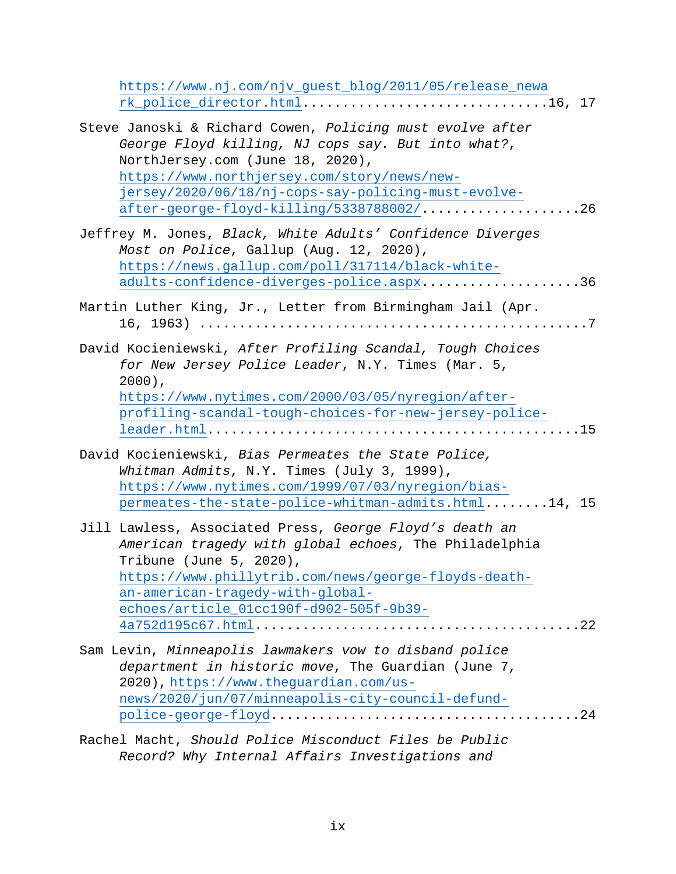[https://www.nj.com/njv\\_guest\\_blog/2011/05/release\\_newa](https://www.nj.com/njv_guest_blog/2011/05/release_newark_police_director.html) [rk\\_police\\_director.html.](https://www.nj.com/njv_guest_blog/2011/05/release_newark_police_director.html)..............................16, 17

| Steve Janoski & Richard Cowen, Policing must evolve after |  |
|-----------------------------------------------------------|--|
| George Floyd killing, NJ cops say. But into what?,        |  |
| NorthJersey.com (June 18, 2020),                          |  |
| https://www.northjersey.com/story/news/new-               |  |
| jersey/2020/06/18/nj-cops-say-policing-must-evolve-       |  |
| after-george-floyd-killing/5338788002/26                  |  |

| Jeffrey M. Jones, Black, White Adults' Confidence Diverges |  |
|------------------------------------------------------------|--|
| Most on Police, Gallup (Aug. 12, 2020),                    |  |
| https://news.gallup.com/poll/317114/black-white-           |  |
| adults-confidence-diverges-police.aspx36                   |  |

Martin Luther King, Jr., Letter from Birmingham Jail (Apr. 16, 1963) .................................................7

| David Kocieniewski, After Profiling Scandal, Tough Choices |  |
|------------------------------------------------------------|--|
| for New Jersey Police Leader, N.Y. Times (Mar. 5,          |  |
| 2000),                                                     |  |
| https://www.nytimes.com/2000/03/05/nyregion/after-         |  |
| profiling-scandal-tough-choices-for-new-jersey-police-     |  |
|                                                            |  |

- David Kocieniewski, *Bias Permeates the State Police, Whitman Admits*, N.Y. Times (July 3, 1999), [https://www.nytimes.com/1999/07/03/nyregion/bias](https://www.nytimes.com/1999/07/03/nyregion/bias-permeates-the-state-police-whitman-admits.html)[permeates-the-state-police-whitman-admits.html.](https://www.nytimes.com/1999/07/03/nyregion/bias-permeates-the-state-police-whitman-admits.html).......14, 15
- Jill Lawless, Associated Press, *George Floyd's death an American tragedy with global echoes*, The Philadelphia Tribune (June 5, 2020), [https://www.phillytrib.com/news/george-floyds-death](https://www.phillytrib.com/news/george-floyds-death-an-american-tragedy-with-global-echoes/article_01cc190f-d902-505f-9b39-4a752d195c67.html)[an-american-tragedy-with-global](https://www.phillytrib.com/news/george-floyds-death-an-american-tragedy-with-global-echoes/article_01cc190f-d902-505f-9b39-4a752d195c67.html)[echoes/article\\_01cc190f-d902-505f-9b39-](https://www.phillytrib.com/news/george-floyds-death-an-american-tragedy-with-global-echoes/article_01cc190f-d902-505f-9b39-4a752d195c67.html) [4a752d195c67.html.](https://www.phillytrib.com/news/george-floyds-death-an-american-tragedy-with-global-echoes/article_01cc190f-d902-505f-9b39-4a752d195c67.html)........................................22
- Sam Levin, *Minneapolis lawmakers vow to disband police department in historic move*, The Guardian (June 7, 2020), [https://www.theguardian.com/us](https://www.theguardian.com/us-news/2020/jun/07/minneapolis-city-council-defund-police-george-floyd)[news/2020/jun/07/minneapolis-city-council-defund](https://www.theguardian.com/us-news/2020/jun/07/minneapolis-city-council-defund-police-george-floyd)[police-george-floyd.](https://www.theguardian.com/us-news/2020/jun/07/minneapolis-city-council-defund-police-george-floyd)......................................24
- Rachel Macht, *Should Police Misconduct Files be Public Record? Why Internal Affairs Investigations and*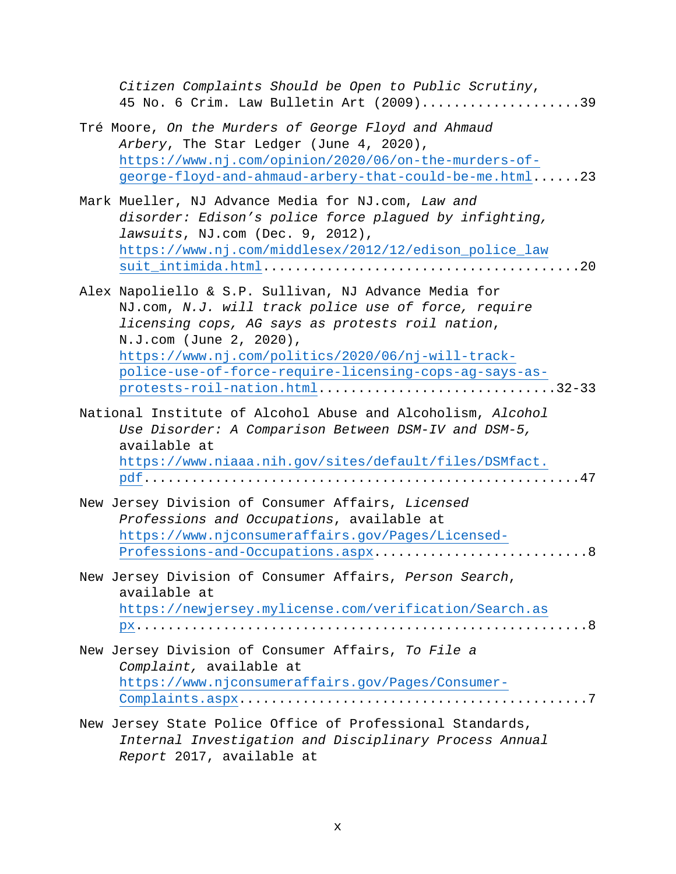| Citizen Complaints Should be Open to Public Scrutiny,<br>45 No. 6 Crim. Law Bulletin Art (2009)39                                                                                                                                                                                                                                              |
|------------------------------------------------------------------------------------------------------------------------------------------------------------------------------------------------------------------------------------------------------------------------------------------------------------------------------------------------|
| Tré Moore, On the Murders of George Floyd and Ahmaud<br>Arbery, The Star Ledger (June 4, 2020),<br>https://www.nj.com/opinion/2020/06/on-the-murders-of-<br>george-floyd-and-ahmaud-arbery-that-could-be-me.html23                                                                                                                             |
| Mark Mueller, NJ Advance Media for NJ.com, Law and<br>disorder: Edison's police force plagued by infighting,<br>lawsuits, NJ.com (Dec. 9, 2012),<br>https://www.nj.com/middlesex/2012/12/edison_police_law                                                                                                                                     |
| Alex Napoliello & S.P. Sullivan, NJ Advance Media for<br>NJ.com, N.J. will track police use of force, require<br>licensing cops, AG says as protests roil nation,<br>N.J.com (June 2, 2020),<br>https://www.nj.com/politics/2020/06/nj-will-track-<br>police-use-of-force-require-licensing-cops-ag-says-as-<br>protests-roil-nation.html32-33 |
| National Institute of Alcohol Abuse and Alcoholism, Alcohol<br>Use Disorder: A Comparison Between DSM-IV and DSM-5,<br>available at<br>https://www.niaaa.nih.gov/sites/default/files/DSMfact.                                                                                                                                                  |
| New Jersey Division of Consumer Affairs, Licensed<br>Professions and Occupations, available at<br>https://www.njconsumeraffairs.gov/Pages/Licensed-<br>Professions-and-Occupations.aspx8                                                                                                                                                       |
| New Jersey Division of Consumer Affairs, Person Search,<br>available at<br>https://newjersey.mylicense.com/verification/Search.as                                                                                                                                                                                                              |
| New Jersey Division of Consumer Affairs, To File a<br>Complaint, available at<br>https://www.njconsumeraffairs.gov/Pages/Consumer-                                                                                                                                                                                                             |
| New Jersey State Police Office of Professional Standards,<br>Internal Investigation and Disciplinary Process Annual<br>Report 2017, available at                                                                                                                                                                                               |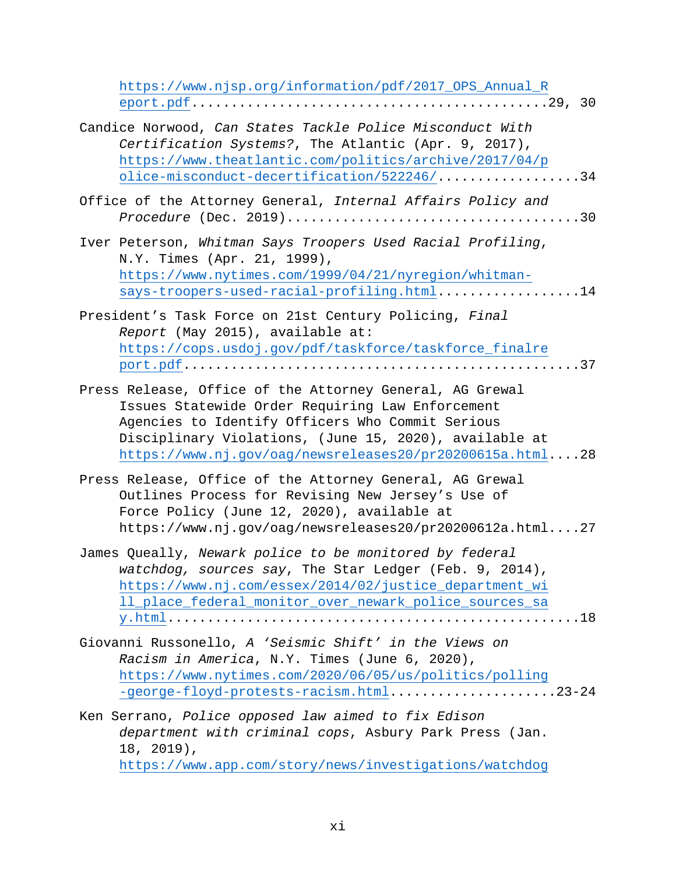| https://www.njsp.org/information/pdf/2017_0PS_Annual_R                                                                                                                                                                                                                                 |
|----------------------------------------------------------------------------------------------------------------------------------------------------------------------------------------------------------------------------------------------------------------------------------------|
| Candice Norwood, Can States Tackle Police Misconduct With<br>Certification Systems?, The Atlantic (Apr. 9, 2017),<br>https://www.theatlantic.com/politics/archive/2017/04/p<br>olice-misconduct-decertification/522246/34                                                              |
| Office of the Attorney General, Internal Affairs Policy and                                                                                                                                                                                                                            |
| Iver Peterson, Whitman Says Troopers Used Racial Profiling,<br>N.Y. Times (Apr. 21, 1999),<br>https://www.nytimes.com/1999/04/21/nyregion/whitman-<br>says-troopers-used-racial-profiling.html14                                                                                       |
| President's Task Force on 21st Century Policing, Final<br>Report (May 2015), available at:<br>https://cops.usdoj.gov/pdf/taskforce/taskforce_finalre                                                                                                                                   |
| Press Release, Office of the Attorney General, AG Grewal<br>Issues Statewide Order Requiring Law Enforcement<br>Agencies to Identify Officers Who Commit Serious<br>Disciplinary Violations, (June 15, 2020), available at<br>https://www.nj.gov/oag/newsreleases20/pr20200615a.html28 |
| Press Release, Office of the Attorney General, AG Grewal<br>Outlines Process for Revising New Jersey's Use of<br>Force Policy (June 12, 2020), available at<br>https://www.nj.gov/oag/newsreleases20/pr20200612a.html27                                                                |
| James Queally, Newark police to be monitored by federal<br>watchdog, sources say, The Star Ledger (Feb. 9, 2014),<br>https://www.nj.com/essex/2014/02/justice_department_wi<br>ll_place_federal_monitor_over_newark_police_sources_sa                                                  |
| Giovanni Russonello, A 'Seismic Shift' in the Views on<br>Racism in America, N.Y. Times (June 6, 2020),<br>https://www.nytimes.com/2020/06/05/us/politics/polling<br>-george-floyd-protests-racism.html23-24                                                                           |
| Ken Serrano, Police opposed law aimed to fix Edison<br>department with criminal cops, Asbury Park Press (Jan.<br>$18, 2019$ ,<br>https://www.app.com/story/news/investigations/watchdog                                                                                                |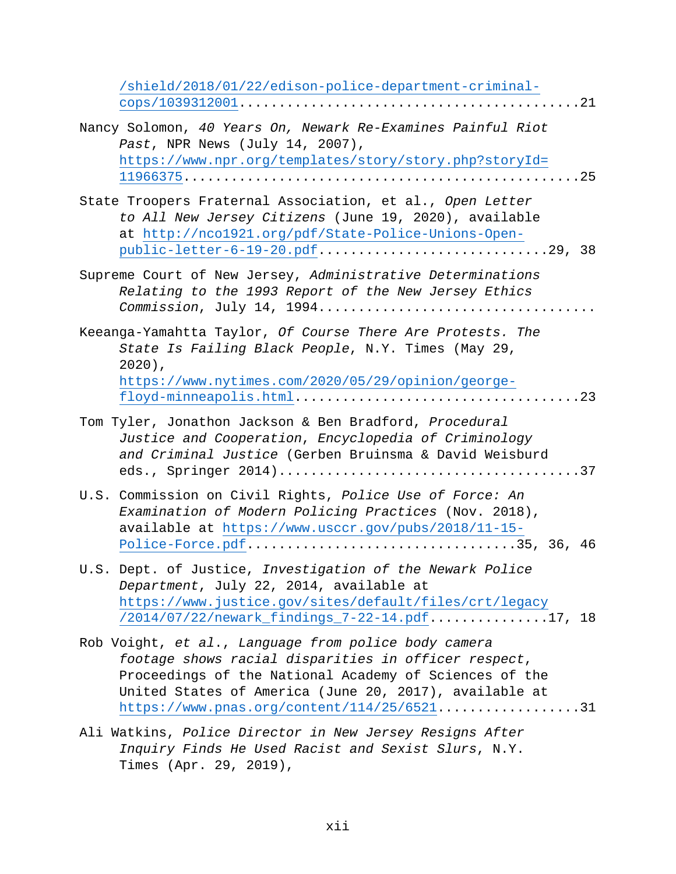| /shield/2018/01/22/edison-police-department-criminal-                                                                                                                                                                                                                            |
|----------------------------------------------------------------------------------------------------------------------------------------------------------------------------------------------------------------------------------------------------------------------------------|
| Nancy Solomon, 40 Years On, Newark Re-Examines Painful Riot<br>Past, NPR News (July 14, 2007),<br>https://www.npr.org/templates/story/story.php?storyId=                                                                                                                         |
| State Troopers Fraternal Association, et al., Open Letter<br>to All New Jersey Citizens (June 19, 2020), available<br>at http://nco1921.org/pdf/State-Police-Unions-Open-                                                                                                        |
| Supreme Court of New Jersey, Administrative Determinations<br>Relating to the 1993 Report of the New Jersey Ethics<br>Commission, July 14, 1994                                                                                                                                  |
| Keeanga-Yamahtta Taylor, Of Course There Are Protests. The<br>State Is Failing Black People, N.Y. Times (May 29,<br>$2020$ ),<br>https://www.nytimes.com/2020/05/29/opinion/george-                                                                                              |
| Tom Tyler, Jonathon Jackson & Ben Bradford, Procedural<br>Justice and Cooperation, Encyclopedia of Criminology<br>and Criminal Justice (Gerben Bruinsma & David Weisburd                                                                                                         |
| U.S. Commission on Civil Rights, Police Use of Force: An<br>Examination of Modern Policing Practices (Nov. 2018),<br>available at https://www.usccr.gov/pubs/2018/11-15-<br>Police-Force.pdf35, 36, 46                                                                           |
| U.S. Dept. of Justice, Investigation of the Newark Police<br>Department, July 22, 2014, available at<br>https://www.justice.gov/sites/default/files/crt/legacy<br>/2014/07/22/newark_findings_7-22-14.pdf17, 18                                                                  |
| Rob Voight, et al., Language from police body camera<br>footage shows racial disparities in officer respect,<br>Proceedings of the National Academy of Sciences of the<br>United States of America (June 20, 2017), available at<br>$https://www.pnas.org/content/114/25/652131$ |
| Ali Watkins, Police Director in New Jersey Resigns After                                                                                                                                                                                                                         |

*Inquiry Finds He Used Racist and Sexist Slurs*, N.Y. Times (Apr. 29, 2019),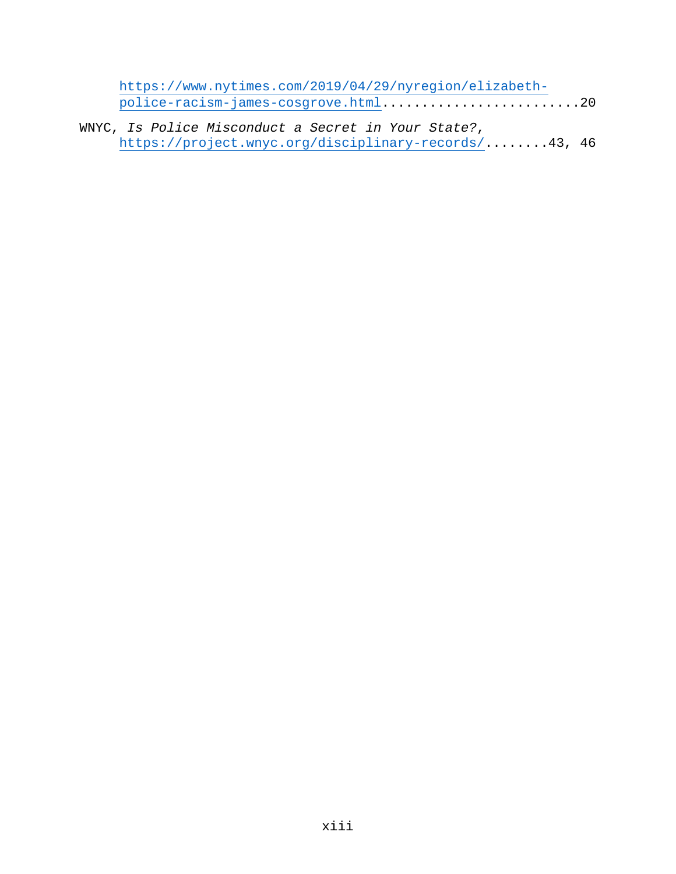| https://www.nytimes.com/2019/04/29/nyregion/elizabeth- |  |
|--------------------------------------------------------|--|
| police-racism-james-cosgrove.html20                    |  |

WNYC, *Is Police Misconduct a Secret in Your State?*, [https://project.wnyc.org/disciplinary-records/.](https://project.wnyc.org/disciplinary-records/).......43, 46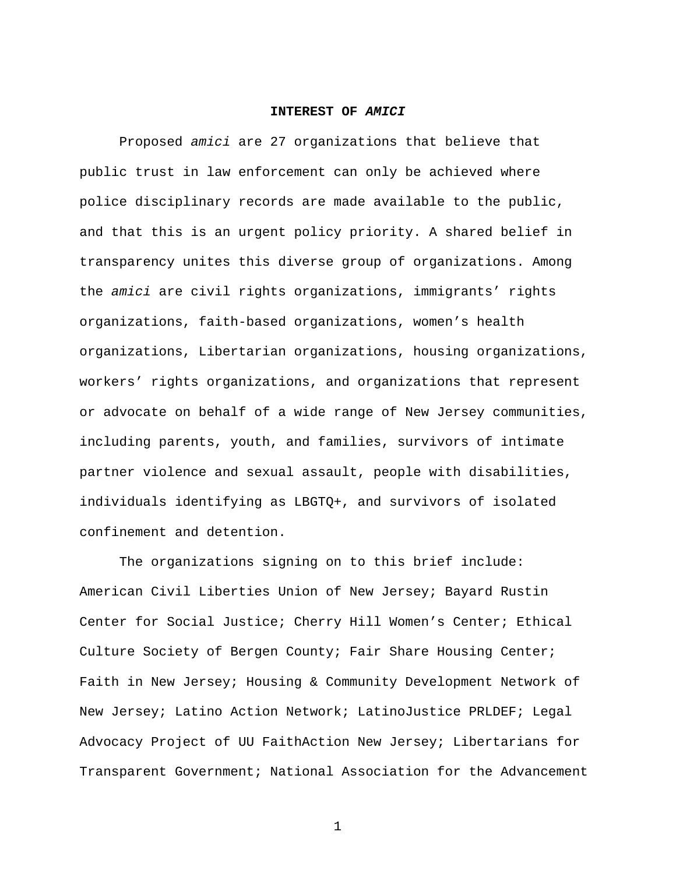#### **INTEREST OF** *AMICI*

Proposed *amici* are 27 organizations that believe that public trust in law enforcement can only be achieved where police disciplinary records are made available to the public, and that this is an urgent policy priority. A shared belief in transparency unites this diverse group of organizations. Among the *amici* are civil rights organizations, immigrants' rights organizations, faith-based organizations, women's health organizations, Libertarian organizations, housing organizations, workers' rights organizations, and organizations that represent or advocate on behalf of a wide range of New Jersey communities, including parents, youth, and families, survivors of intimate partner violence and sexual assault, people with disabilities, individuals identifying as LBGTQ+, and survivors of isolated confinement and detention.

The organizations signing on to this brief include: American Civil Liberties Union of New Jersey; Bayard Rustin Center for Social Justice; Cherry Hill Women's Center; Ethical Culture Society of Bergen County; Fair Share Housing Center; Faith in New Jersey; Housing & Community Development Network of New Jersey; Latino Action Network; LatinoJustice PRLDEF; Legal Advocacy Project of UU FaithAction New Jersey; Libertarians for Transparent Government; National Association for the Advancement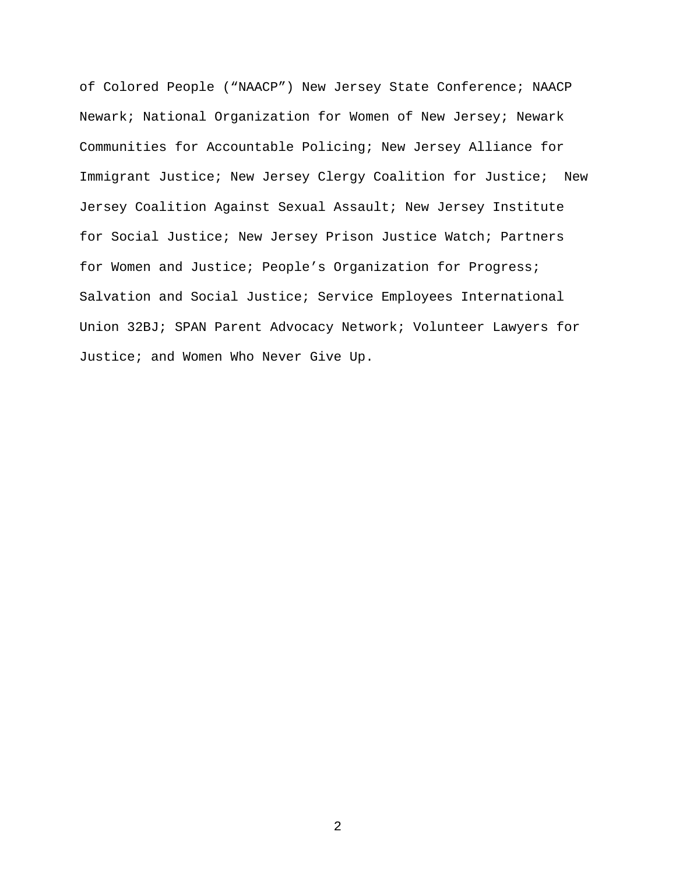of Colored People ("NAACP") New Jersey State Conference; NAACP Newark; National Organization for Women of New Jersey; Newark Communities for Accountable Policing; New Jersey Alliance for Immigrant Justice; New Jersey Clergy Coalition for Justice; New Jersey Coalition Against Sexual Assault; New Jersey Institute for Social Justice; New Jersey Prison Justice Watch; Partners for Women and Justice; People's Organization for Progress; Salvation and Social Justice; Service Employees International Union 32BJ; SPAN Parent Advocacy Network; Volunteer Lawyers for Justice; and Women Who Never Give Up.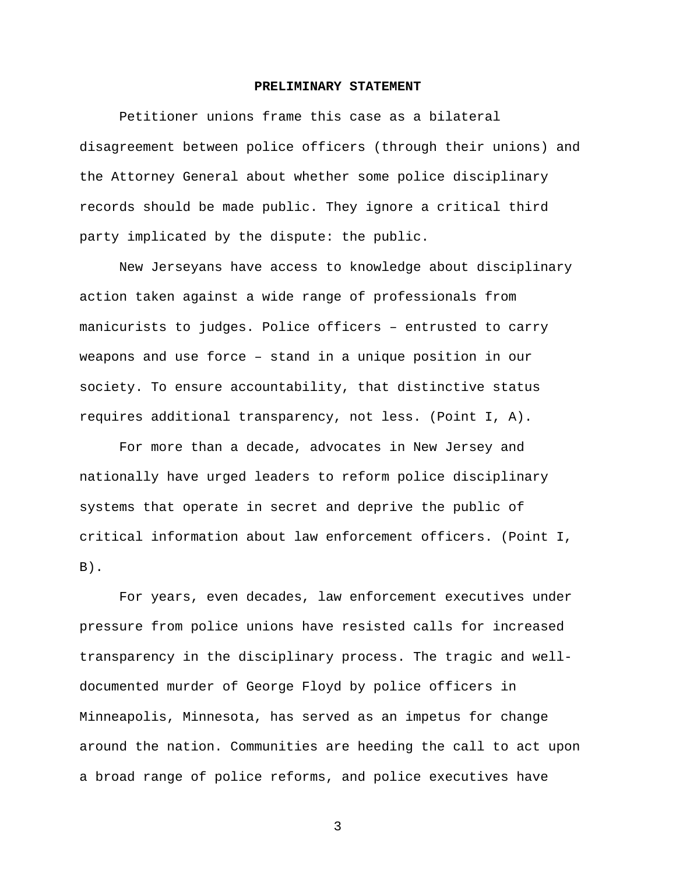#### **PRELIMINARY STATEMENT**

Petitioner unions frame this case as a bilateral disagreement between police officers (through their unions) and the Attorney General about whether some police disciplinary records should be made public. They ignore a critical third party implicated by the dispute: the public.

New Jerseyans have access to knowledge about disciplinary action taken against a wide range of professionals from manicurists to judges. Police officers – entrusted to carry weapons and use force – stand in a unique position in our society. To ensure accountability, that distinctive status requires additional transparency, not less. (Point I, A).

For more than a decade, advocates in New Jersey and nationally have urged leaders to reform police disciplinary systems that operate in secret and deprive the public of critical information about law enforcement officers. (Point I,  $B)$ .

For years, even decades, law enforcement executives under pressure from police unions have resisted calls for increased transparency in the disciplinary process. The tragic and welldocumented murder of George Floyd by police officers in Minneapolis, Minnesota, has served as an impetus for change around the nation. Communities are heeding the call to act upon a broad range of police reforms, and police executives have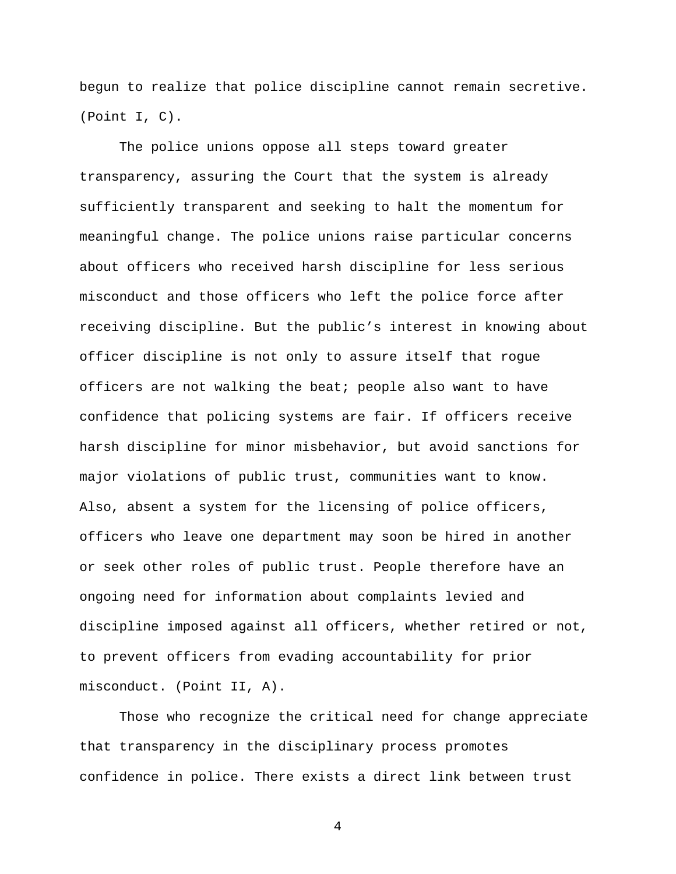begun to realize that police discipline cannot remain secretive. (Point I, C).

The police unions oppose all steps toward greater transparency, assuring the Court that the system is already sufficiently transparent and seeking to halt the momentum for meaningful change. The police unions raise particular concerns about officers who received harsh discipline for less serious misconduct and those officers who left the police force after receiving discipline. But the public's interest in knowing about officer discipline is not only to assure itself that rogue officers are not walking the beat; people also want to have confidence that policing systems are fair. If officers receive harsh discipline for minor misbehavior, but avoid sanctions for major violations of public trust, communities want to know. Also, absent a system for the licensing of police officers, officers who leave one department may soon be hired in another or seek other roles of public trust. People therefore have an ongoing need for information about complaints levied and discipline imposed against all officers, whether retired or not, to prevent officers from evading accountability for prior misconduct. (Point II, A).

Those who recognize the critical need for change appreciate that transparency in the disciplinary process promotes confidence in police. There exists a direct link between trust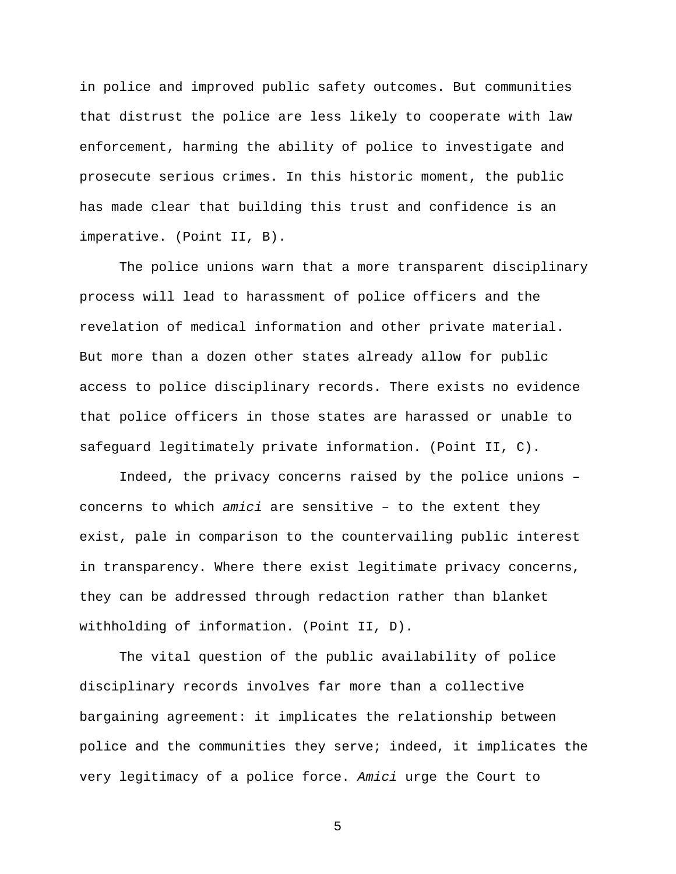in police and improved public safety outcomes. But communities that distrust the police are less likely to cooperate with law enforcement, harming the ability of police to investigate and prosecute serious crimes. In this historic moment, the public has made clear that building this trust and confidence is an imperative. (Point II, B).

The police unions warn that a more transparent disciplinary process will lead to harassment of police officers and the revelation of medical information and other private material. But more than a dozen other states already allow for public access to police disciplinary records. There exists no evidence that police officers in those states are harassed or unable to safeguard legitimately private information. (Point II, C).

Indeed, the privacy concerns raised by the police unions – concerns to which *amici* are sensitive – to the extent they exist, pale in comparison to the countervailing public interest in transparency. Where there exist legitimate privacy concerns, they can be addressed through redaction rather than blanket withholding of information. (Point II, D).

The vital question of the public availability of police disciplinary records involves far more than a collective bargaining agreement: it implicates the relationship between police and the communities they serve; indeed, it implicates the very legitimacy of a police force. *Amici* urge the Court to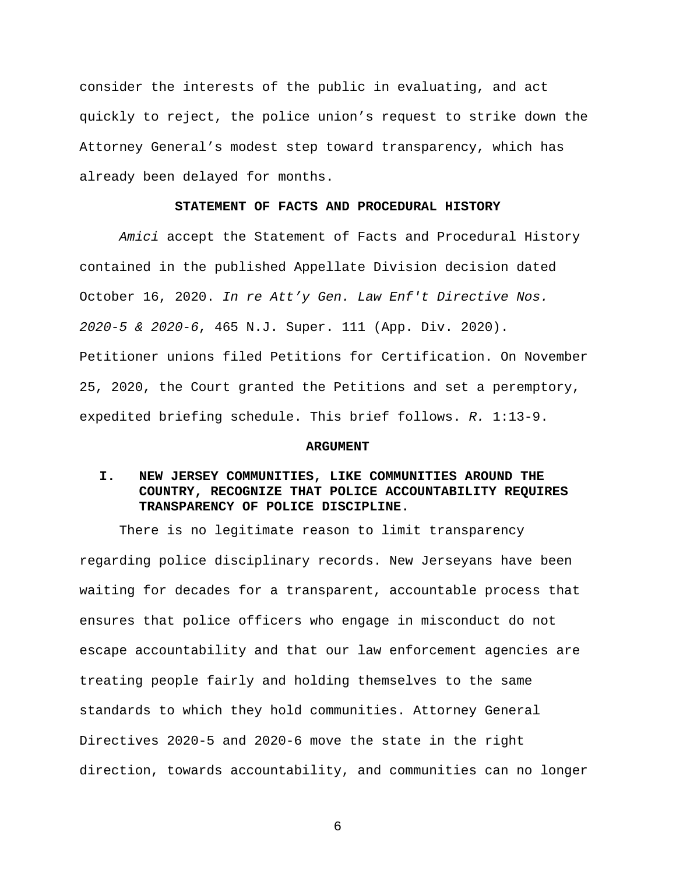consider the interests of the public in evaluating, and act quickly to reject, the police union's request to strike down the Attorney General's modest step toward transparency, which has already been delayed for months.

#### **STATEMENT OF FACTS AND PROCEDURAL HISTORY**

*Amici* accept the Statement of Facts and Procedural History contained in the published Appellate Division decision dated October 16, 2020. *In re Att'y Gen. Law Enf't Directive Nos. 2020-5 & 2020-6*, 465 N.J. Super. 111 (App. Div. 2020). Petitioner unions filed Petitions for Certification. On November 25, 2020, the Court granted the Petitions and set a peremptory, expedited briefing schedule. This brief follows. *R.* 1:13-9.

#### **ARGUMENT**

### **I. NEW JERSEY COMMUNITIES, LIKE COMMUNITIES AROUND THE COUNTRY, RECOGNIZE THAT POLICE ACCOUNTABILITY REQUIRES TRANSPARENCY OF POLICE DISCIPLINE.**

There is no legitimate reason to limit transparency regarding police disciplinary records. New Jerseyans have been waiting for decades for a transparent, accountable process that ensures that police officers who engage in misconduct do not escape accountability and that our law enforcement agencies are treating people fairly and holding themselves to the same standards to which they hold communities. Attorney General Directives 2020-5 and 2020-6 move the state in the right direction, towards accountability, and communities can no longer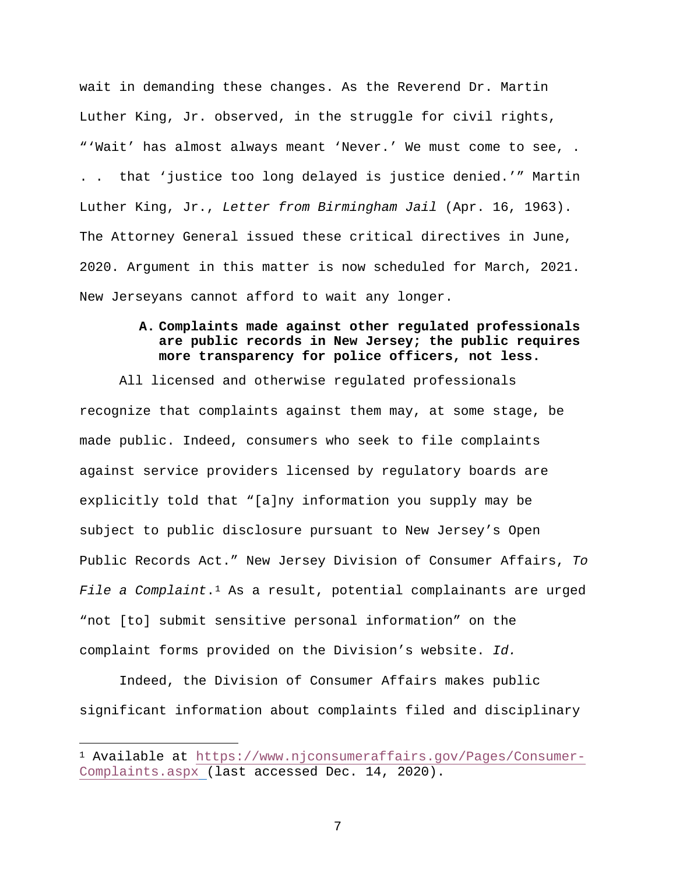wait in demanding these changes. As the Reverend Dr. Martin Luther King, Jr. observed, in the struggle for civil rights, "'Wait' has almost always meant 'Never.' We must come to see, . . . that 'justice too long delayed is justice denied.'" Martin Luther King, Jr., *Letter from Birmingham Jail* (Apr. 16, 1963). The Attorney General issued these critical directives in June, 2020. Argument in this matter is now scheduled for March, 2021. New Jerseyans cannot afford to wait any longer.

### **A. Complaints made against other regulated professionals are public records in New Jersey; the public requires more transparency for police officers, not less.**

All licensed and otherwise regulated professionals recognize that complaints against them may, at some stage, be made public. Indeed, consumers who seek to file complaints against service providers licensed by regulatory boards are explicitly told that "[a]ny information you supply may be subject to public disclosure pursuant to New Jersey's Open Public Records Act." New Jersey Division of Consumer Affairs, *To File a Complaint*.[1](#page-19-0) As a result, potential complainants are urged "not [to] submit sensitive personal information" on the complaint forms provided on the Division's website. *Id.* 

Indeed, the Division of Consumer Affairs makes public significant information about complaints filed and disciplinary

 $\overline{a}$ 

<span id="page-19-0"></span><sup>1</sup> Available at [https://www.njconsumeraffairs.gov/Pages/Consumer-](https://www.njconsumeraffairs.gov/Pages/Consumer-Complaints.aspx)[Complaints.aspx](https://www.njconsumeraffairs.gov/Pages/Consumer-Complaints.aspx) (last accessed Dec. 14, 2020).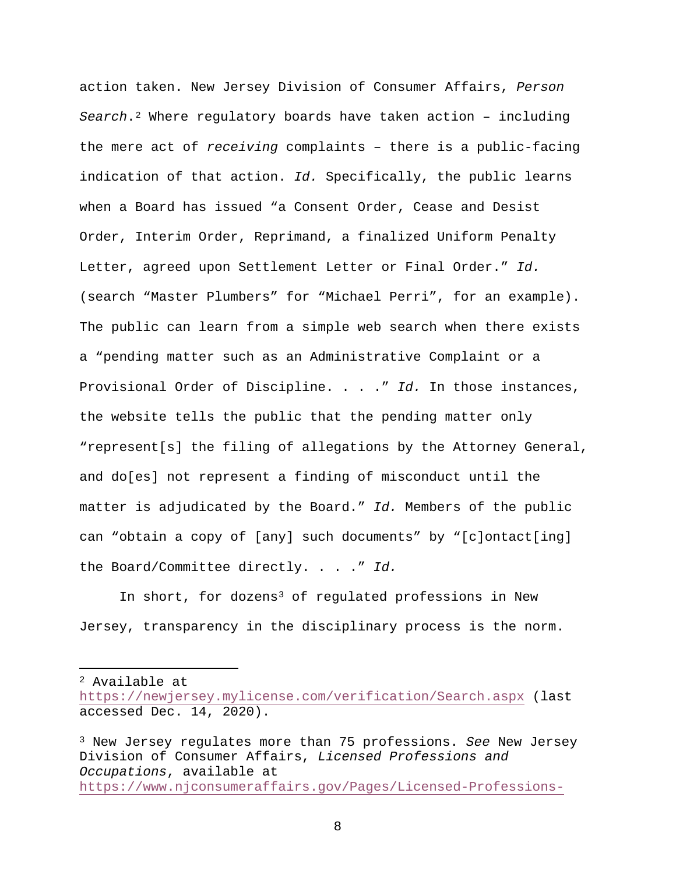action taken. New Jersey Division of Consumer Affairs, *Person Search*.[2](#page-20-0) Where regulatory boards have taken action – including the mere act of *receiving* complaints – there is a public-facing indication of that action. *Id.* Specifically, the public learns when a Board has issued "a Consent Order, Cease and Desist Order, Interim Order, Reprimand, a finalized Uniform Penalty Letter, agreed upon Settlement Letter or Final Order." *Id.*  (search "Master Plumbers" for "Michael Perri", for an example). The public can learn from a simple web search when there exists a "pending matter such as an Administrative Complaint or a Provisional Order of Discipline. . . ." *Id.* In those instances, the website tells the public that the pending matter only "represent[s] the filing of allegations by the Attorney General, and do[es] not represent a finding of misconduct until the matter is adjudicated by the Board." *Id.* Members of the public can "obtain a copy of [any] such documents" by "[c]ontact[ing] the Board/Committee directly. . . ." *Id.* 

In short, for dozens<sup>3</sup> of requlated professions in New Jersey, transparency in the disciplinary process is the norm.

<span id="page-20-0"></span><sup>2</sup> Available at

 $\overline{a}$ 

<https://newjersey.mylicense.com/verification/Search.aspx> (last accessed Dec. 14, 2020).

<span id="page-20-1"></span><sup>3</sup> New Jersey regulates more than 75 professions. *See* New Jersey Division of Consumer Affairs, *Licensed Professions and Occupations*, available at [https://www.njconsumeraffairs.gov/Pages/Licensed-Professions-](https://www.njconsumeraffairs.gov/Pages/Licensed-Professions-and-Occupations.aspx)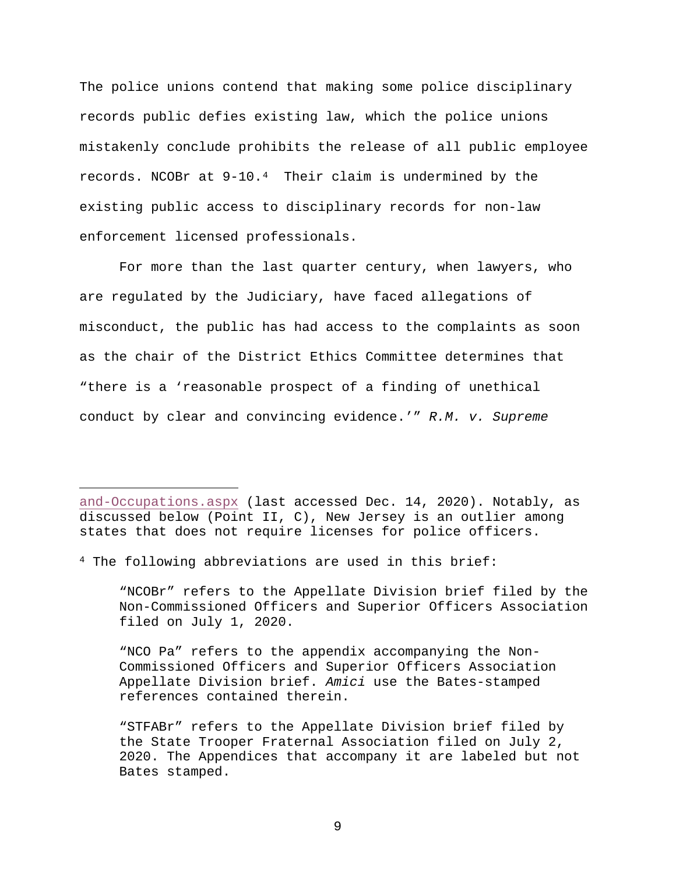The police unions contend that making some police disciplinary records public defies existing law, which the police unions mistakenly conclude prohibits the release of all public employee records. NCOBr at 9-10.[4](#page-21-0) Their claim is undermined by the existing public access to disciplinary records for non-law enforcement licensed professionals.

For more than the last quarter century, when lawyers, who are regulated by the Judiciary, have faced allegations of misconduct, the public has had access to the complaints as soon as the chair of the District Ethics Committee determines that "there is a 'reasonable prospect of a finding of unethical conduct by clear and convincing evidence.'" *R.M. v. Supreme* 

[and-Occupations.aspx](https://www.njconsumeraffairs.gov/Pages/Licensed-Professions-and-Occupations.aspx) (last accessed Dec. 14, 2020). Notably, as discussed below (Point II, C), New Jersey is an outlier among states that does not require licenses for police officers.

<span id="page-21-0"></span><sup>4</sup> The following abbreviations are used in this brief:

 $\overline{a}$ 

"NCOBr" refers to the Appellate Division brief filed by the Non-Commissioned Officers and Superior Officers Association filed on July 1, 2020.

"NCO Pa" refers to the appendix accompanying the Non-Commissioned Officers and Superior Officers Association Appellate Division brief. *Amici* use the Bates-stamped references contained therein.

"STFABr" refers to the Appellate Division brief filed by the State Trooper Fraternal Association filed on July 2, 2020. The Appendices that accompany it are labeled but not Bates stamped.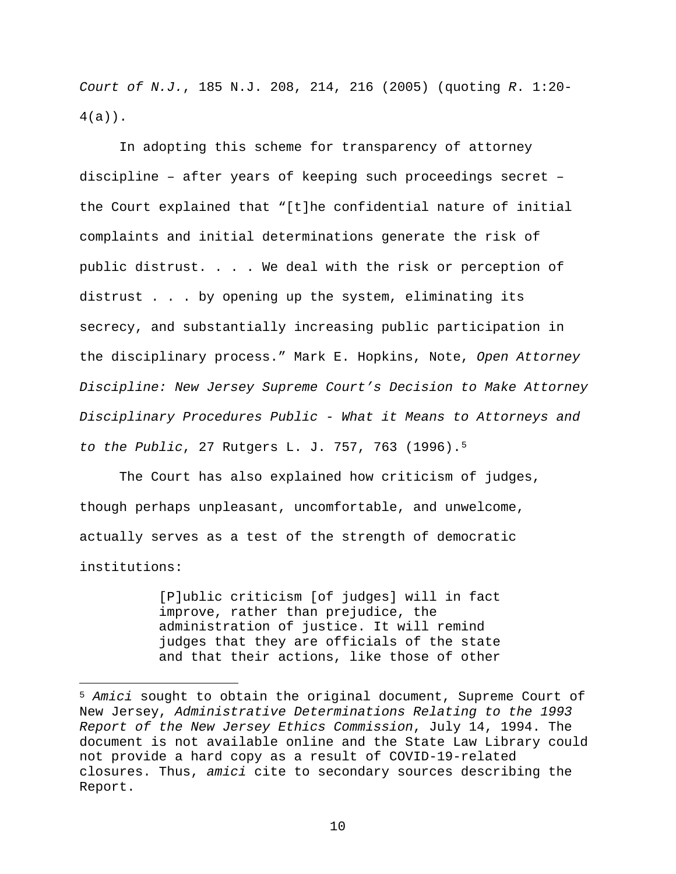*Court of N.J.*, 185 N.J. 208, 214, 216 (2005) (quoting *R*. 1:20- 4(a)).

In adopting this scheme for transparency of attorney discipline – after years of keeping such proceedings secret – the Court explained that "[t]he confidential nature of initial complaints and initial determinations generate the risk of public distrust. . . . We deal with the risk or perception of distrust . . . by opening up the system, eliminating its secrecy, and substantially increasing public participation in the disciplinary process." Mark E. Hopkins, Note, *Open Attorney Discipline: New Jersey Supreme Court's Decision to Make Attorney Disciplinary Procedures Public - What it Means to Attorneys and to the Public*, 27 Rutgers L. J. 757, 763 (1996).[5](#page-22-0)

The Court has also explained how criticism of judges, though perhaps unpleasant, uncomfortable, and unwelcome, actually serves as a test of the strength of democratic institutions:

 $\overline{a}$ 

[P]ublic criticism [of judges] will in fact improve, rather than prejudice, the administration of justice. It will remind judges that they are officials of the state and that their actions, like those of other

<span id="page-22-0"></span><sup>5</sup> *Amici* sought to obtain the original document, Supreme Court of New Jersey, *Administrative Determinations Relating to the 1993 Report of the New Jersey Ethics Commission*, July 14, 1994. The document is not available online and the State Law Library could not provide a hard copy as a result of COVID-19-related closures. Thus, *amici* cite to secondary sources describing the Report.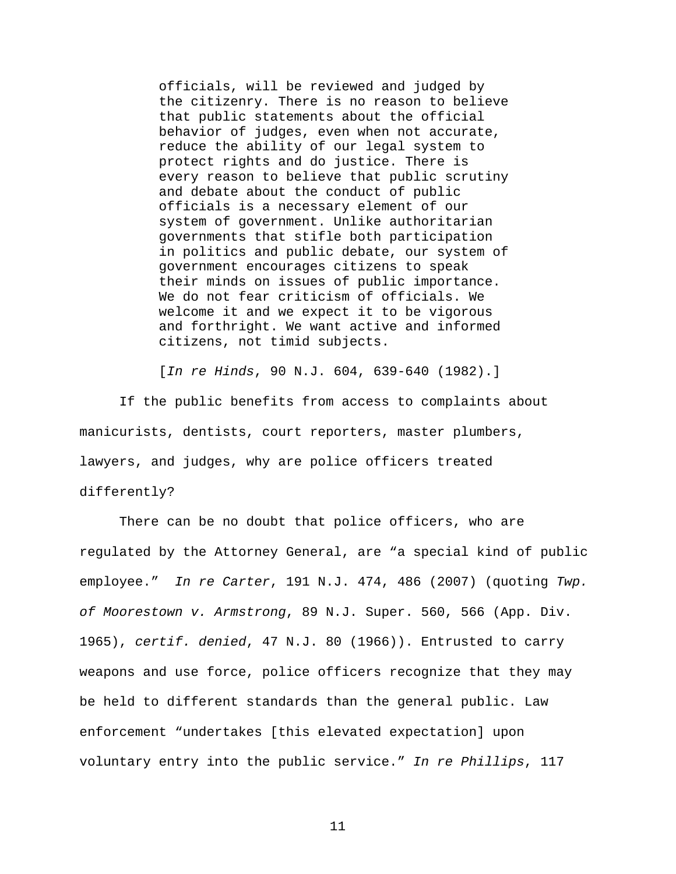officials, will be reviewed and judged by the citizenry. There is no reason to believe that public statements about the official behavior of judges, even when not accurate, reduce the ability of our legal system to protect rights and do justice. There is every reason to believe that public scrutiny and debate about the conduct of public officials is a necessary element of our system of government. Unlike authoritarian governments that stifle both participation in politics and public debate, our system of government encourages citizens to speak their minds on issues of public importance. We do not fear criticism of officials. We welcome it and we expect it to be vigorous and forthright. We want active and informed citizens, not timid subjects.

[*In re Hinds*, 90 N.J. 604, 639-640 (1982).]

If the public benefits from access to complaints about manicurists, dentists, court reporters, master plumbers, lawyers, and judges, why are police officers treated differently?

There can be no doubt that police officers, who are regulated by the Attorney General, are "a special kind of public employee." *In re Carter*, 191 N.J. 474, 486 (2007) (quoting *Twp. of Moorestown v. Armstrong*, 89 N.J. Super. 560, 566 (App. Div. 1965), *certif. denied*, 47 N.J. 80 (1966)). Entrusted to carry weapons and use force, police officers recognize that they may be held to different standards than the general public. Law enforcement "undertakes [this elevated expectation] upon voluntary entry into the public service." *In re Phillips*, 117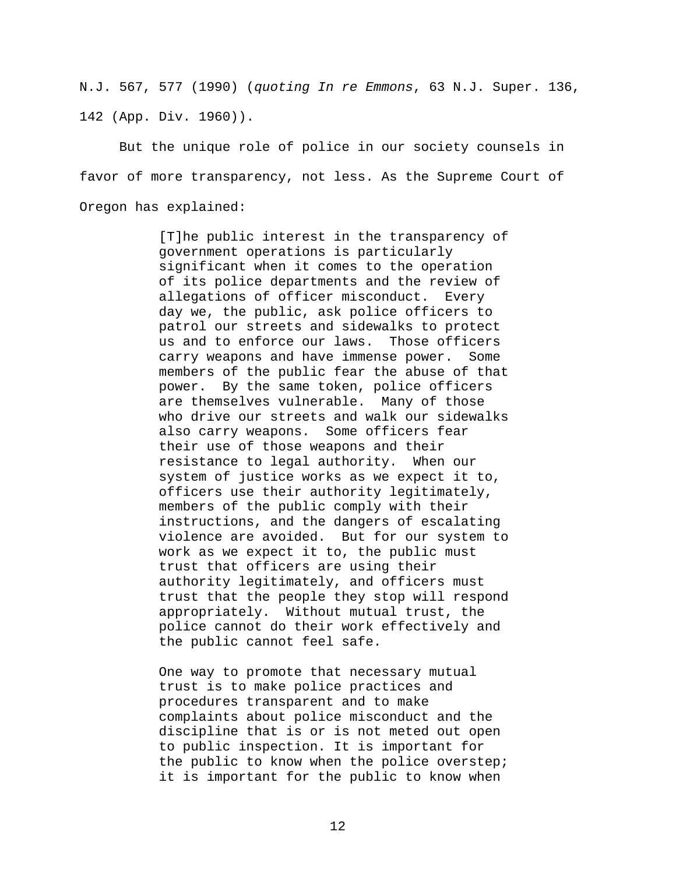N.J. 567, 577 (1990) (*quoting In re Emmons*, 63 N.J. Super. 136, 142 (App. Div. 1960)).

But the unique role of police in our society counsels in favor of more transparency, not less. As the Supreme Court of Oregon has explained:

> [T]he public interest in the transparency of government operations is particularly significant when it comes to the operation of its police departments and the review of allegations of officer misconduct. Every day we, the public, ask police officers to patrol our streets and sidewalks to protect us and to enforce our laws. Those officers<br>carry weapons and have immense power. Some carry weapons and have immense power. members of the public fear the abuse of that power. By the same token, police officers are themselves vulnerable. Many of those who drive our streets and walk our sidewalks also carry weapons. Some officers fear their use of those weapons and their resistance to legal authority. When our system of justice works as we expect it to, officers use their authority legitimately, members of the public comply with their instructions, and the dangers of escalating violence are avoided. But for our system to work as we expect it to, the public must trust that officers are using their authority legitimately, and officers must trust that the people they stop will respond appropriately. Without mutual trust, the police cannot do their work effectively and the public cannot feel safe.

One way to promote that necessary mutual trust is to make police practices and procedures transparent and to make complaints about police misconduct and the discipline that is or is not meted out open to public inspection. It is important for the public to know when the police overstep; it is important for the public to know when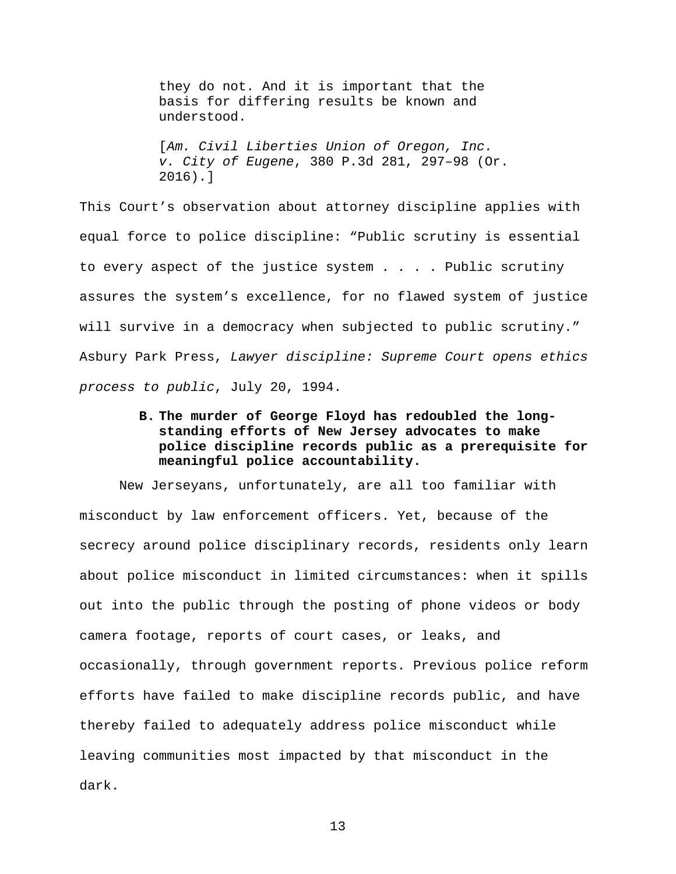they do not. And it is important that the basis for differing results be known and understood.

[*Am. Civil Liberties Union of Oregon, Inc. v. City of Eugene*, 380 P.3d 281, 297–98 (Or. 2016).]

This Court's observation about attorney discipline applies with equal force to police discipline: "Public scrutiny is essential to every aspect of the justice system . . . . Public scrutiny assures the system's excellence, for no flawed system of justice will survive in a democracy when subjected to public scrutiny." Asbury Park Press, *Lawyer discipline: Supreme Court opens ethics process to public*, July 20, 1994.

### **B. The murder of George Floyd has redoubled the longstanding efforts of New Jersey advocates to make police discipline records public as a prerequisite for meaningful police accountability.**

New Jerseyans, unfortunately, are all too familiar with misconduct by law enforcement officers. Yet, because of the secrecy around police disciplinary records, residents only learn about police misconduct in limited circumstances: when it spills out into the public through the posting of phone videos or body camera footage, reports of court cases, or leaks, and occasionally, through government reports. Previous police reform efforts have failed to make discipline records public, and have thereby failed to adequately address police misconduct while leaving communities most impacted by that misconduct in the dark.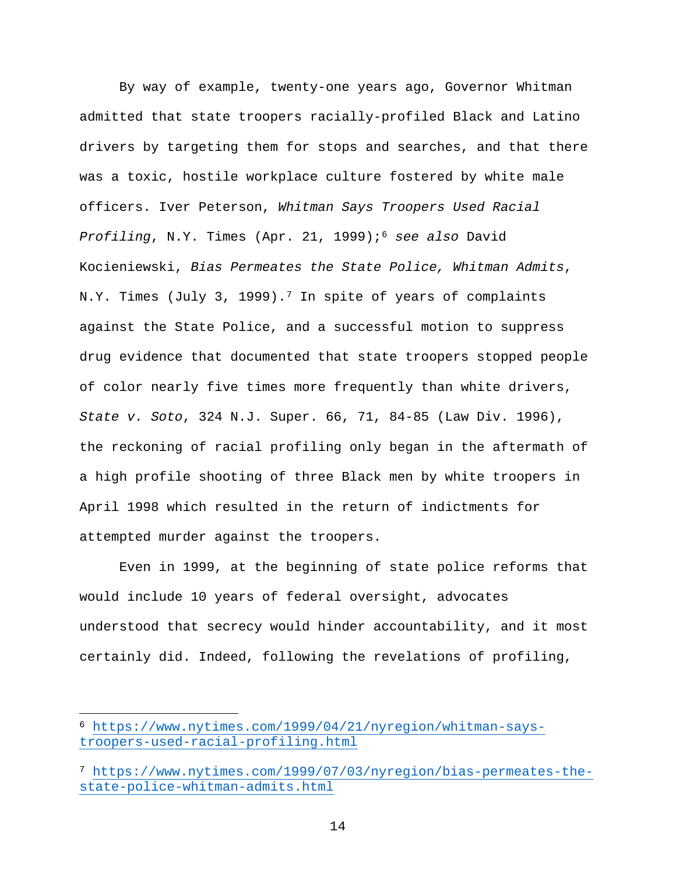By way of example, twenty-one years ago, Governor Whitman admitted that state troopers racially-profiled Black and Latino drivers by targeting them for stops and searches, and that there was a toxic, hostile workplace culture fostered by white male officers. Iver Peterson, *Whitman Says Troopers Used Racial Profiling*, N.Y. Times (Apr. 21, 1999);[6](#page-26-0) *see also* David Kocieniewski, *Bias Permeates the State Police, Whitman Admits*, N.Y. Times (July 3, 1999).<sup>[7](#page-26-1)</sup> In spite of years of complaints against the State Police, and a successful motion to suppress drug evidence that documented that state troopers stopped people of color nearly five times more frequently than white drivers, *State v. Soto*, 324 N.J. Super. 66, 71, 84-85 (Law Div. 1996), the reckoning of racial profiling only began in the aftermath of a high profile shooting of three Black men by white troopers in April 1998 which resulted in the return of indictments for attempted murder against the troopers.

Even in 1999, at the beginning of state police reforms that would include 10 years of federal oversight, advocates understood that secrecy would hinder accountability, and it most certainly did. Indeed, following the revelations of profiling,

<span id="page-26-0"></span><sup>6</sup> [https://www.nytimes.com/1999/04/21/nyregion/whitman-says](https://www.nytimes.com/1999/04/21/nyregion/whitman-says-troopers-used-racial-profiling.html)[troopers-used-racial-profiling.html](https://www.nytimes.com/1999/04/21/nyregion/whitman-says-troopers-used-racial-profiling.html)

<span id="page-26-1"></span><sup>7</sup> [https://www.nytimes.com/1999/07/03/nyregion/bias-permeates-the](https://www.nytimes.com/1999/07/03/nyregion/bias-permeates-the-state-police-whitman-admits.html)[state-police-whitman-admits.html](https://www.nytimes.com/1999/07/03/nyregion/bias-permeates-the-state-police-whitman-admits.html)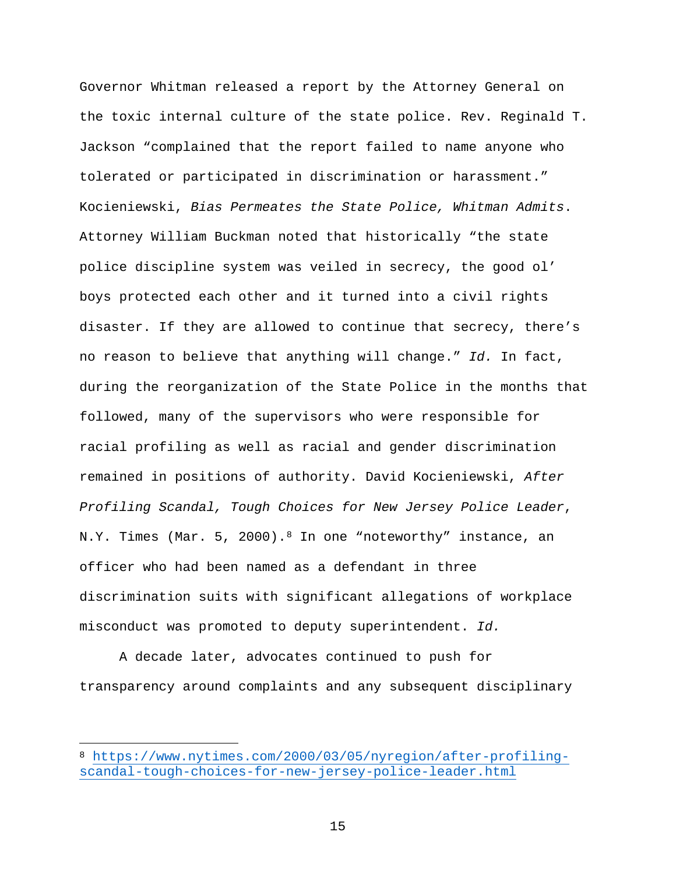Governor Whitman released a report by the Attorney General on the toxic internal culture of the state police. Rev. Reginald T. Jackson "complained that the report failed to name anyone who tolerated or participated in discrimination or harassment." Kocieniewski, *Bias Permeates the State Police, Whitman Admits*. Attorney William Buckman noted that historically "the state police discipline system was veiled in secrecy, the good ol' boys protected each other and it turned into a civil rights disaster. If they are allowed to continue that secrecy, there's no reason to believe that anything will change." *Id.* In fact, during the reorganization of the State Police in the months that followed, many of the supervisors who were responsible for racial profiling as well as racial and gender discrimination remained in positions of authority. David Kocieniewski, *After Profiling Scandal, Tough Choices for New Jersey Police Leader*, N.Y. Times (Mar. 5, 2000).<sup>[8](#page-27-0)</sup> In one "noteworthy" instance, an officer who had been named as a defendant in three discrimination suits with significant allegations of workplace misconduct was promoted to deputy superintendent. *Id.*

A decade later, advocates continued to push for transparency around complaints and any subsequent disciplinary

<span id="page-27-0"></span><sup>8</sup> [https://www.nytimes.com/2000/03/05/nyregion/after-profiling](https://www.nytimes.com/2000/03/05/nyregion/after-profiling-scandal-tough-choices-for-new-jersey-police-leader.html)[scandal-tough-choices-for-new-jersey-police-leader.html](https://www.nytimes.com/2000/03/05/nyregion/after-profiling-scandal-tough-choices-for-new-jersey-police-leader.html)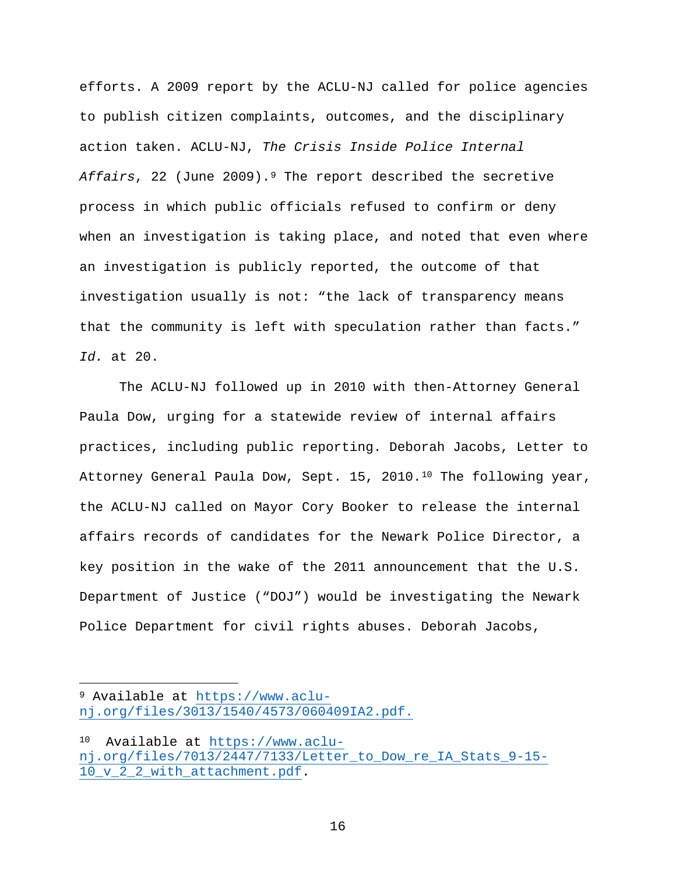efforts. A 2009 report by the ACLU-NJ called for police agencies to publish citizen complaints, outcomes, and the disciplinary action taken. ACLU-NJ, *The Crisis Inside Police Internal*  Affairs, 22 (June 200[9](#page-28-0)).<sup>9</sup> The report described the secretive process in which public officials refused to confirm or deny when an investigation is taking place, and noted that even where an investigation is publicly reported, the outcome of that investigation usually is not: "the lack of transparency means that the community is left with speculation rather than facts." *Id.* at 20.

The ACLU-NJ followed up in 2010 with then-Attorney General Paula Dow, urging for a statewide review of internal affairs practices, including public reporting. Deborah Jacobs, Letter to Attorney General Paula Dow, Sept. 15, 20[10](#page-28-1).<sup>10</sup> The following year, the ACLU-NJ called on Mayor Cory Booker to release the internal affairs records of candidates for the Newark Police Director, a key position in the wake of the 2011 announcement that the U.S. Department of Justice ("DOJ") would be investigating the Newark Police Department for civil rights abuses. Deborah Jacobs,

<span id="page-28-0"></span><sup>9</sup> Available at [https://www.aclu](https://www.aclu-nj.org/files/3013/1540/4573/060409IA2.pdf)[nj.org/files/3013/1540/4573/060409IA2.pdf.](https://www.aclu-nj.org/files/3013/1540/4573/060409IA2.pdf)

<span id="page-28-1"></span><sup>10</sup> Available at [https://www.aclu](https://www.aclu-nj.org/files/7013/2447/7133/Letter_to_Dow_re_IA_Stats_9-15-10_v_2_2_with_attachment.pdf)[nj.org/files/7013/2447/7133/Letter\\_to\\_Dow\\_re\\_IA\\_Stats\\_9-15-](https://www.aclu-nj.org/files/7013/2447/7133/Letter_to_Dow_re_IA_Stats_9-15-10_v_2_2_with_attachment.pdf) 10 v 2 2 with attachment.pdf.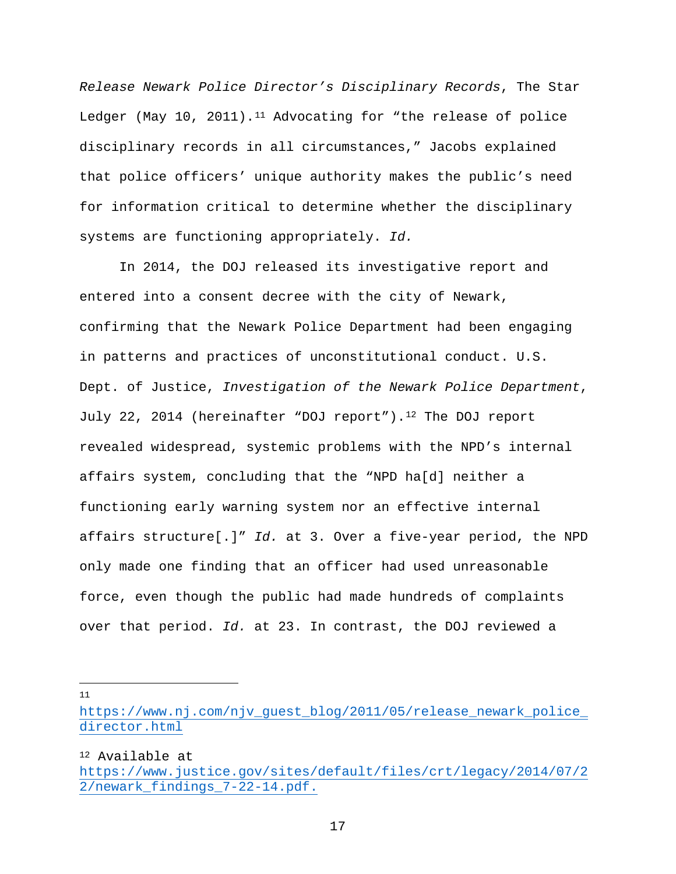*Release Newark Police Director's Disciplinary Records*, The Star Ledger (May 10, 20[11](#page-29-0)).<sup>11</sup> Advocating for "the release of police disciplinary records in all circumstances," Jacobs explained that police officers' unique authority makes the public's need for information critical to determine whether the disciplinary systems are functioning appropriately. *Id.*

In 2014, the DOJ released its investigative report and entered into a consent decree with the city of Newark, confirming that the Newark Police Department had been engaging in patterns and practices of unconstitutional conduct. U.S. Dept. of Justice, *Investigation of the Newark Police Department*, July 22, 2014 (hereinafter "DOJ report").[12](#page-29-1) The DOJ report revealed widespread, systemic problems with the NPD's internal affairs system, concluding that the "NPD ha[d] neither a functioning early warning system nor an effective internal affairs structure[.]" *Id.* at 3. Over a five-year period, the NPD only made one finding that an officer had used unreasonable force, even though the public had made hundreds of complaints over that period. *Id.* at 23. In contrast, the DOJ reviewed a

 $\overline{a}$ 11

<span id="page-29-1"></span><sup>12</sup> Available at

<span id="page-29-0"></span>[https://www.nj.com/njv\\_guest\\_blog/2011/05/release\\_newark\\_police\\_](https://www.nj.com/njv_guest_blog/2011/05/release_newark_police_director.html) [director.html](https://www.nj.com/njv_guest_blog/2011/05/release_newark_police_director.html)

[https://www.justice.gov/sites/default/files/crt/legacy/2014/07/2](https://www.justice.gov/sites/default/files/crt/legacy/2014/07/22/newark_findings_7-22-14.pdf) [2/newark\\_findings\\_7-22-14.pdf.](https://www.justice.gov/sites/default/files/crt/legacy/2014/07/22/newark_findings_7-22-14.pdf)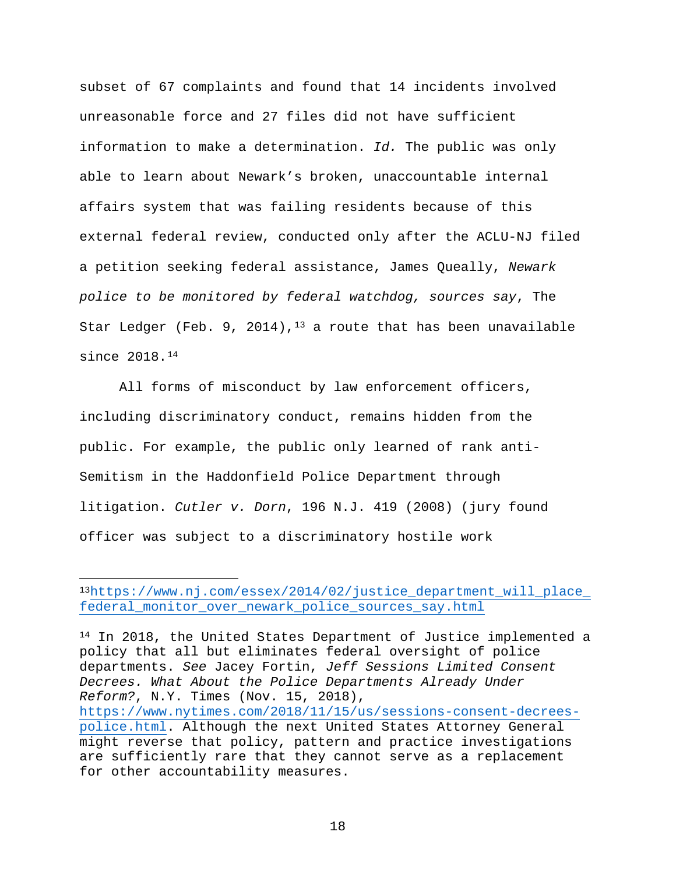subset of 67 complaints and found that 14 incidents involved unreasonable force and 27 files did not have sufficient information to make a determination. *Id.* The public was only able to learn about Newark's broken, unaccountable internal affairs system that was failing residents because of this external federal review, conducted only after the ACLU-NJ filed a petition seeking federal assistance, James Queally, *Newark police to be monitored by federal watchdog, sources say*, The Star Ledger (Feb. 9, 2014),  $13$  a route that has been unavailable since 2018.[14](#page-30-1)

All forms of misconduct by law enforcement officers, including discriminatory conduct, remains hidden from the public. For example, the public only learned of rank anti-Semitism in the Haddonfield Police Department through litigation. *Cutler v. Dorn*, 196 N.J. 419 (2008) (jury found officer was subject to a discriminatory hostile work

 $\overline{a}$ 

<span id="page-30-1"></span><sup>14</sup> In 2018, the United States Department of Justice implemented a policy that all but eliminates federal oversight of police departments. *See* Jacey Fortin, *Jeff Sessions Limited Consent Decrees. What About the Police Departments Already Under Reform?*, N.Y. Times (Nov. 15, 2018), [https://www.nytimes.com/2018/11/15/us/sessions-consent-decrees](https://www.nytimes.com/2018/11/15/us/sessions-consent-decrees-police.html)[police.html.](https://www.nytimes.com/2018/11/15/us/sessions-consent-decrees-police.html) Although the next United States Attorney General might reverse that policy, pattern and practice investigations are sufficiently rare that they cannot serve as a replacement for other accountability measures.

<span id="page-30-0"></span><sup>1</sup>[3https://www.nj.com/essex/2014/02/justice\\_department\\_will\\_place\\_](https://www.nj.com/essex/2014/02/justice_department_will_place_federal_monitor_over_newark_police_sources_say.html) [federal\\_monitor\\_over\\_newark\\_police\\_sources\\_say.html](https://www.nj.com/essex/2014/02/justice_department_will_place_federal_monitor_over_newark_police_sources_say.html)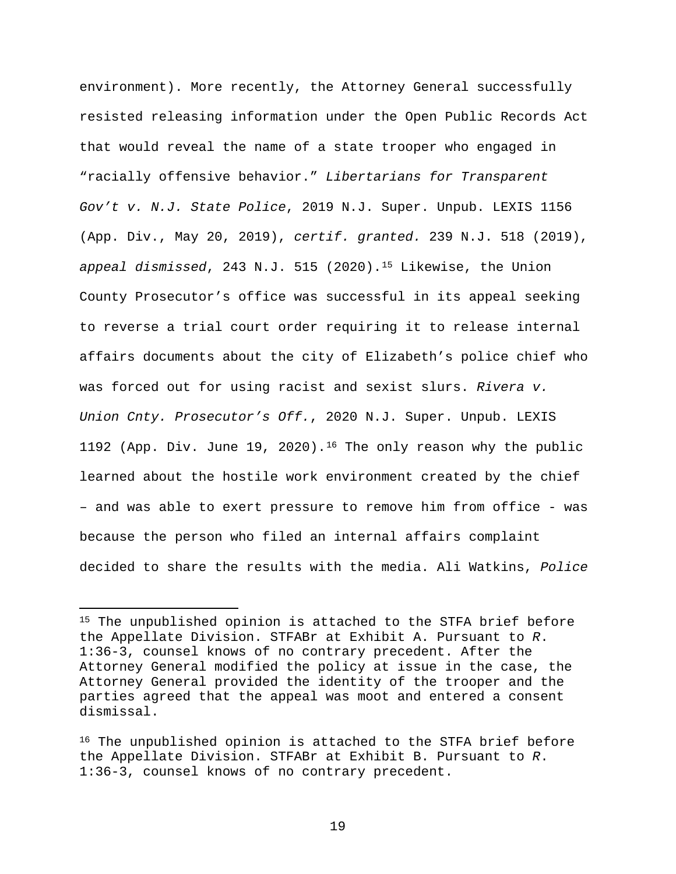environment). More recently, the Attorney General successfully resisted releasing information under the Open Public Records Act that would reveal the name of a state trooper who engaged in "racially offensive behavior." *Libertarians for Transparent Gov't v. N.J. State Police*, 2019 N.J. Super. Unpub. LEXIS 1156 (App. Div., May 20, 2019), *certif. granted.* 239 N.J. 518 (2019), *appeal dismissed*, 243 N.J. 515 (2020).[15](#page-31-0) Likewise, the Union County Prosecutor's office was successful in its appeal seeking to reverse a trial court order requiring it to release internal affairs documents about the city of Elizabeth's police chief who was forced out for using racist and sexist slurs. *Rivera v. Union Cnty. Prosecutor's Off.*, 2020 N.J. Super. Unpub. LEXIS 1192 (App. Div. June 19, 2020).<sup>[16](#page-31-1)</sup> The only reason why the public learned about the hostile work environment created by the chief – and was able to exert pressure to remove him from office - was because the person who filed an internal affairs complaint decided to share the results with the media. Ali Watkins, *Police* 

 $\overline{a}$ 

<span id="page-31-0"></span><sup>15</sup> The unpublished opinion is attached to the STFA brief before the Appellate Division. STFABr at Exhibit A. Pursuant to *R*. 1:36-3, counsel knows of no contrary precedent. After the Attorney General modified the policy at issue in the case, the Attorney General provided the identity of the trooper and the parties agreed that the appeal was moot and entered a consent dismissal.

<span id="page-31-1"></span><sup>16</sup> The unpublished opinion is attached to the STFA brief before the Appellate Division. STFABr at Exhibit B. Pursuant to *R*. 1:36-3, counsel knows of no contrary precedent.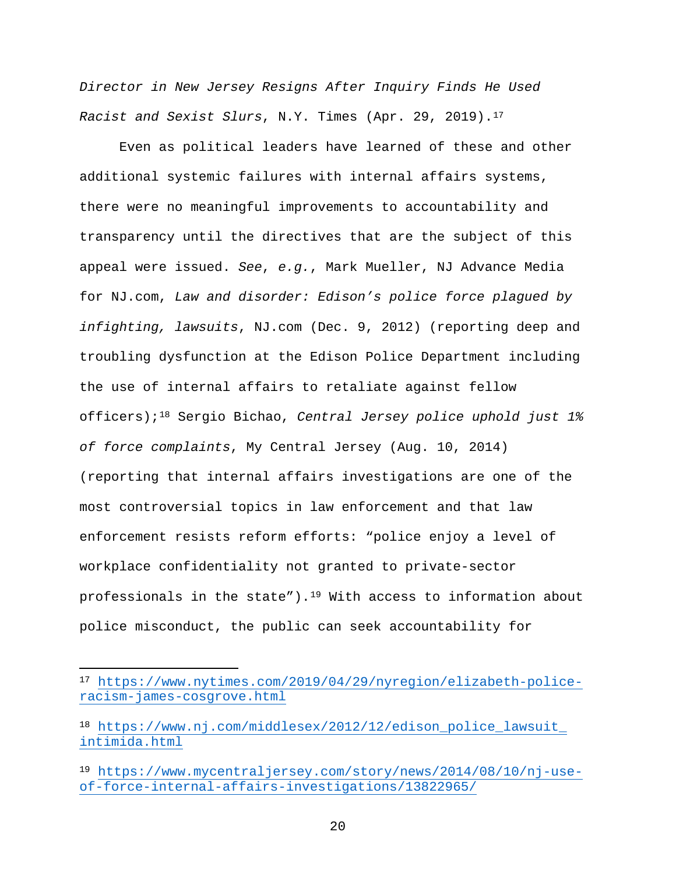*Director in New Jersey Resigns After Inquiry Finds He Used Racist and Sexist Slurs*, N.Y. Times (Apr. 29, 2019).[17](#page-32-0)

Even as political leaders have learned of these and other additional systemic failures with internal affairs systems, there were no meaningful improvements to accountability and transparency until the directives that are the subject of this appeal were issued. *See*, *e.g.*, Mark Mueller, NJ Advance Media for NJ.com, *Law and disorder: Edison's police force plagued by infighting, lawsuits*, NJ.com (Dec. 9, 2012) (reporting deep and troubling dysfunction at the Edison Police Department including the use of internal affairs to retaliate against fellow officers);[18](#page-32-1) Sergio Bichao, *Central Jersey police uphold just 1% of force complaints*, My Central Jersey (Aug. 10, 2014) (reporting that internal affairs investigations are one of the most controversial topics in law enforcement and that law enforcement resists reform efforts: "police enjoy a level of workplace confidentiality not granted to private-sector professionals in the state").<sup>[19](#page-32-2)</sup> With access to information about police misconduct, the public can seek accountability for

 $\overline{a}$ 

<span id="page-32-0"></span><sup>17</sup> [https://www.nytimes.com/2019/04/29/nyregion/elizabeth-police](https://www.nytimes.com/2019/04/29/nyregion/elizabeth-police-racism-james-cosgrove.html)[racism-james-cosgrove.html](https://www.nytimes.com/2019/04/29/nyregion/elizabeth-police-racism-james-cosgrove.html)

<span id="page-32-1"></span><sup>18</sup> [https://www.nj.com/middlesex/2012/12/edison\\_police\\_lawsuit\\_](https://www.nj.com/middlesex/2012/12/edison_police_lawsuit_%20intimida.html)  [intimida.html](https://www.nj.com/middlesex/2012/12/edison_police_lawsuit_%20intimida.html)

<span id="page-32-2"></span><sup>19</sup> [https://www.mycentraljersey.com/story/news/2014/08/10/nj-use](https://www.mycentraljersey.com/story/news/2014/08/10/nj-use-of-force-internal-affairs-investigations/13822965/)[of-force-internal-affairs-investigations/13822965/](https://www.mycentraljersey.com/story/news/2014/08/10/nj-use-of-force-internal-affairs-investigations/13822965/)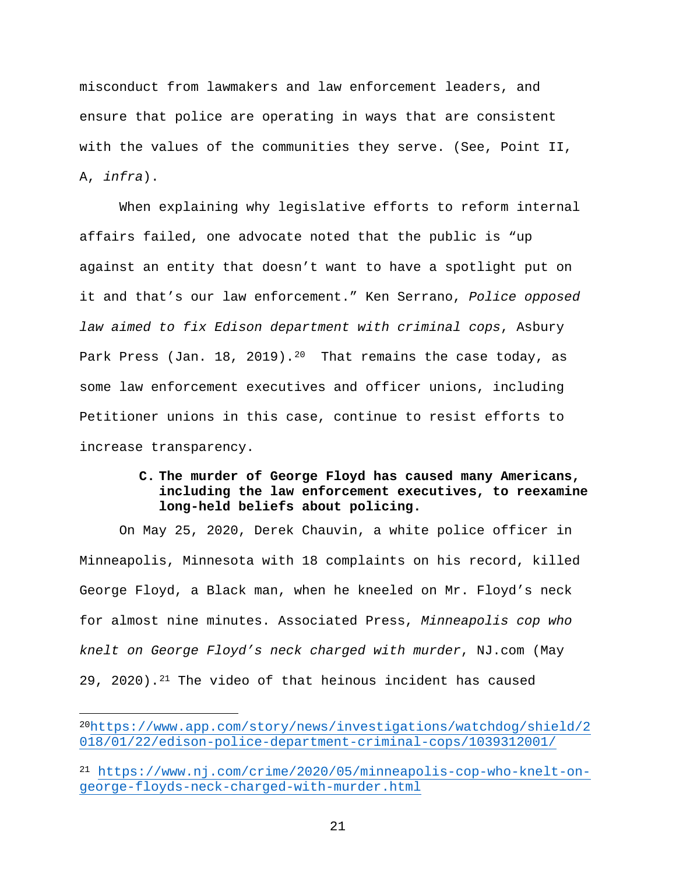misconduct from lawmakers and law enforcement leaders, and ensure that police are operating in ways that are consistent with the values of the communities they serve. (See, Point II, A, *infra*).

When explaining why legislative efforts to reform internal affairs failed, one advocate noted that the public is "up against an entity that doesn't want to have a spotlight put on it and that's our law enforcement." Ken Serrano, *Police opposed law aimed to fix Edison department with criminal cops*, Asbury Park Press (Jan. 18, [20](#page-33-0)19).<sup>20</sup> That remains the case today, as some law enforcement executives and officer unions, including Petitioner unions in this case, continue to resist efforts to increase transparency.

### **C. The murder of George Floyd has caused many Americans, including the law enforcement executives, to reexamine long-held beliefs about policing.**

On May 25, 2020, Derek Chauvin, a white police officer in Minneapolis, Minnesota with 18 complaints on his record, killed George Floyd, a Black man, when he kneeled on Mr. Floyd's neck for almost nine minutes. Associated Press, *Minneapolis cop who knelt on George Floyd's neck charged with murder*, NJ.com (May 29, 2020).<sup>[21](#page-33-1)</sup> The video of that heinous incident has caused

<span id="page-33-0"></span><sup>2</sup>[0https://www.app.com/story/news/investigations/watchdog/shield/2](https://www.app.com/story/news/investigations/watchdog/shield/2018/01/22/edison-police-department-criminal-cops/1039312001/) [018/01/22/edison-police-department-criminal-cops/1039312001/](https://www.app.com/story/news/investigations/watchdog/shield/2018/01/22/edison-police-department-criminal-cops/1039312001/)

<span id="page-33-1"></span><sup>21</sup> [https://www.nj.com/crime/2020/05/minneapolis-cop-who-knelt-on](https://www.nj.com/crime/2020/05/minneapolis-cop-who-knelt-on-george-floyds-neck-charged-with-murder.html)[george-floyds-neck-charged-with-murder.html](https://www.nj.com/crime/2020/05/minneapolis-cop-who-knelt-on-george-floyds-neck-charged-with-murder.html)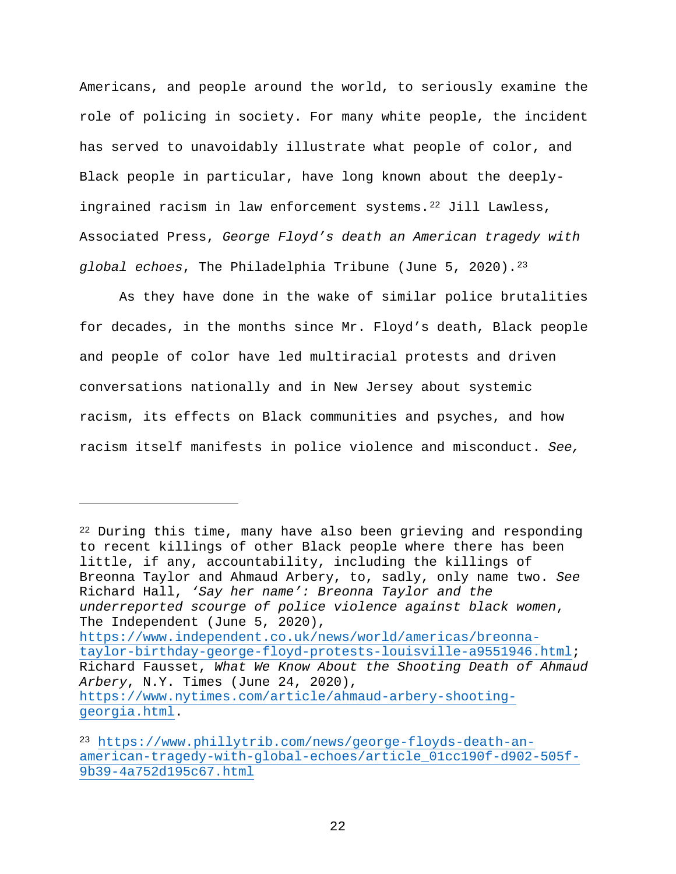Americans, and people around the world, to seriously examine the role of policing in society. For many white people, the incident has served to unavoidably illustrate what people of color, and Black people in particular, have long known about the deeplyingrained racism in law enforcement systems.[22](#page-34-0) Jill Lawless, Associated Press, *George Floyd's death an American tragedy with global echoes*, The Philadelphia Tribune (June 5, 2020).[23](#page-34-1)

As they have done in the wake of similar police brutalities for decades, in the months since Mr. Floyd's death, Black people and people of color have led multiracial protests and driven conversations nationally and in New Jersey about systemic racism, its effects on Black communities and psyches, and how racism itself manifests in police violence and misconduct. *See,* 

<span id="page-34-0"></span><sup>22</sup> During this time, many have also been grieving and responding to recent killings of other Black people where there has been little, if any, accountability, including the killings of Breonna Taylor and Ahmaud Arbery, to, sadly, only name two. *See* Richard Hall, *'Say her name': Breonna Taylor and the underreported scourge of police violence against black women*, The Independent (June 5, 2020), [https://www.independent.co.uk/news/world/americas/breonna](https://www.independent.co.uk/news/world/americas/breonna-taylor-birthday-george-floyd-protests-louisville-a9551946.html)[taylor-birthday-george-floyd-protests-louisville-a9551946.html;](https://www.independent.co.uk/news/world/americas/breonna-taylor-birthday-george-floyd-protests-louisville-a9551946.html) Richard Fausset, *What We Know About the Shooting Death of Ahmaud Arbery*, N.Y. Times (June 24, 2020), [https://www.nytimes.com/article/ahmaud-arbery-shooting](https://www.nytimes.com/article/ahmaud-arbery-shooting-georgia.html)[georgia.html.](https://www.nytimes.com/article/ahmaud-arbery-shooting-georgia.html)

<span id="page-34-1"></span><sup>23</sup> [https://www.phillytrib.com/news/george-floyds-death-an](https://www.phillytrib.com/news/george-floyds-death-an-american-tragedy-with-global-echoes/article_01cc190f-d902-505f-9b39-4a752d195c67.html)[american-tragedy-with-global-echoes/article\\_01cc190f-d902-505f-](https://www.phillytrib.com/news/george-floyds-death-an-american-tragedy-with-global-echoes/article_01cc190f-d902-505f-9b39-4a752d195c67.html)[9b39-4a752d195c67.html](https://www.phillytrib.com/news/george-floyds-death-an-american-tragedy-with-global-echoes/article_01cc190f-d902-505f-9b39-4a752d195c67.html)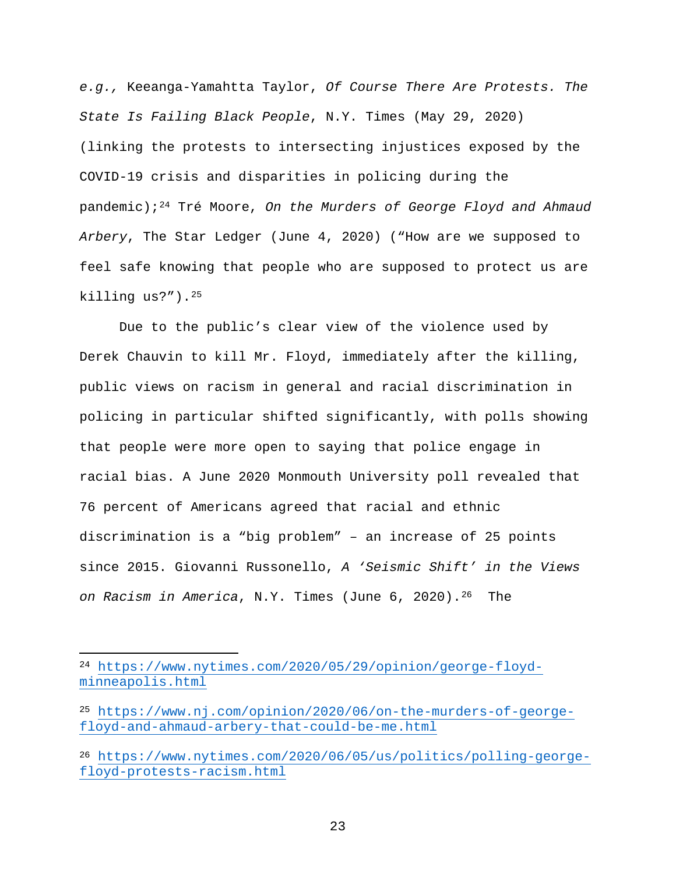*e.g.,* Keeanga-Yamahtta Taylor, *Of Course There Are Protests. The State Is Failing Black People*, N.Y. Times (May 29, 2020) (linking the protests to intersecting injustices exposed by the COVID-19 crisis and disparities in policing during the pandemic);[24](#page-35-0) Tré Moore, *On the Murders of George Floyd and Ahmaud Arbery*, The Star Ledger (June 4, 2020) ("How are we supposed to feel safe knowing that people who are supposed to protect us are killing us?").[25](#page-35-1)

Due to the public's clear view of the violence used by Derek Chauvin to kill Mr. Floyd, immediately after the killing, public views on racism in general and racial discrimination in policing in particular shifted significantly, with polls showing that people were more open to saying that police engage in racial bias. A June 2020 Monmouth University poll revealed that 76 percent of Americans agreed that racial and ethnic discrimination is a "big problem" – an increase of 25 points since 2015. Giovanni Russonello, *A 'Seismic Shift' in the Views on Racism in America*, N.Y. Times (June 6, 2020).[26](#page-35-2) The

<span id="page-35-0"></span><sup>24</sup> [https://www.nytimes.com/2020/05/29/opinion/george-floyd](https://www.nytimes.com/2020/05/29/opinion/george-floyd-minneapolis.html)[minneapolis.html](https://www.nytimes.com/2020/05/29/opinion/george-floyd-minneapolis.html)

<span id="page-35-1"></span><sup>25</sup> [https://www.nj.com/opinion/2020/06/on-the-murders-of-george](https://www.nj.com/opinion/2020/06/on-the-murders-of-george-floyd-and-ahmaud-arbery-that-could-be-me.html)[floyd-and-ahmaud-arbery-that-could-be-me.html](https://www.nj.com/opinion/2020/06/on-the-murders-of-george-floyd-and-ahmaud-arbery-that-could-be-me.html)

<span id="page-35-2"></span><sup>26</sup> [https://www.nytimes.com/2020/06/05/us/politics/polling-george](https://www.nytimes.com/2020/06/05/us/politics/polling-george-floyd-protests-racism.html)[floyd-protests-racism.html](https://www.nytimes.com/2020/06/05/us/politics/polling-george-floyd-protests-racism.html)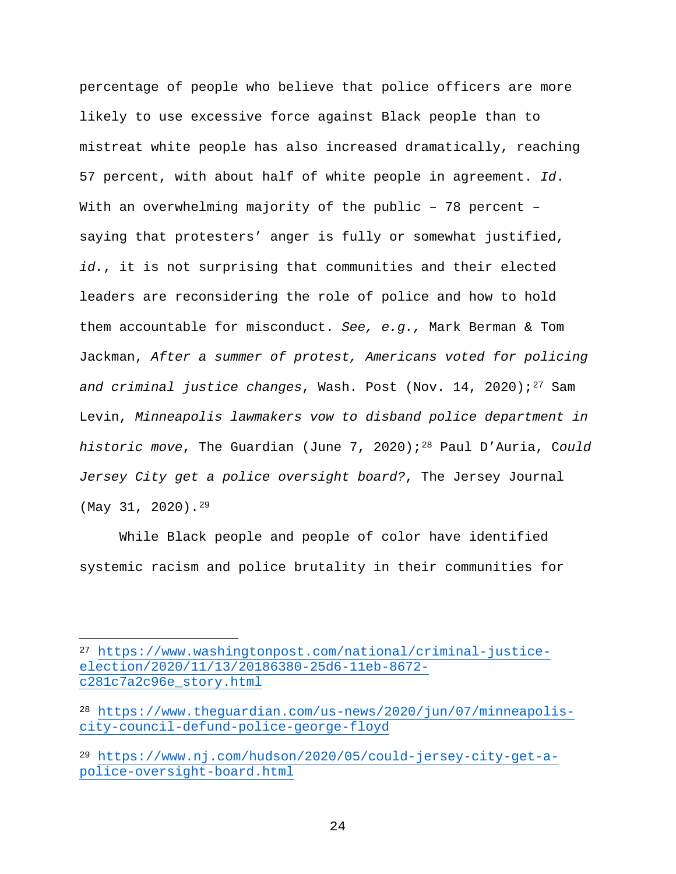percentage of people who believe that police officers are more likely to use excessive force against Black people than to mistreat white people has also increased dramatically, reaching 57 percent, with about half of white people in agreement. *Id*. With an overwhelming majority of the public - 78 percent saying that protesters' anger is fully or somewhat justified, *id.*, it is not surprising that communities and their elected leaders are reconsidering the role of police and how to hold them accountable for misconduct. *See, e.g.,* Mark Berman & Tom Jackman, *After a summer of protest, Americans voted for policing*  and criminal justice changes, Wash. Post (Nov. 14, 2020);<sup>[27](#page-36-0)</sup> Sam Levin, *Minneapolis lawmakers vow to disband police department in historic move*, The Guardian (June 7, 2020);[28](#page-36-1) Paul D'Auria, C*ould Jersey City get a police oversight board?*, The Jersey Journal (May 31, 2020).[29](#page-36-2)

While Black people and people of color have identified systemic racism and police brutality in their communities for

<span id="page-36-0"></span><sup>27</sup> [https://www.washingtonpost.com/national/criminal-justice](https://www.washingtonpost.com/national/criminal-justice-election/2020/11/13/20186380-25d6-11eb-8672-c281c7a2c96e_story.html)[election/2020/11/13/20186380-25d6-11eb-8672](https://www.washingtonpost.com/national/criminal-justice-election/2020/11/13/20186380-25d6-11eb-8672-c281c7a2c96e_story.html) [c281c7a2c96e\\_story.html](https://www.washingtonpost.com/national/criminal-justice-election/2020/11/13/20186380-25d6-11eb-8672-c281c7a2c96e_story.html)

<span id="page-36-1"></span><sup>28</sup> [https://www.theguardian.com/us-news/2020/jun/07/minneapolis](https://www.theguardian.com/us-news/2020/jun/07/minneapolis-city-council-defund-police-george-floyd)[city-council-defund-police-george-floyd](https://www.theguardian.com/us-news/2020/jun/07/minneapolis-city-council-defund-police-george-floyd)

<span id="page-36-2"></span><sup>29</sup> [https://www.nj.com/hudson/2020/05/could-jersey-city-get-a](https://www.nj.com/hudson/2020/05/could-jersey-city-get-a-police-oversight-board.html)[police-oversight-board.html](https://www.nj.com/hudson/2020/05/could-jersey-city-get-a-police-oversight-board.html)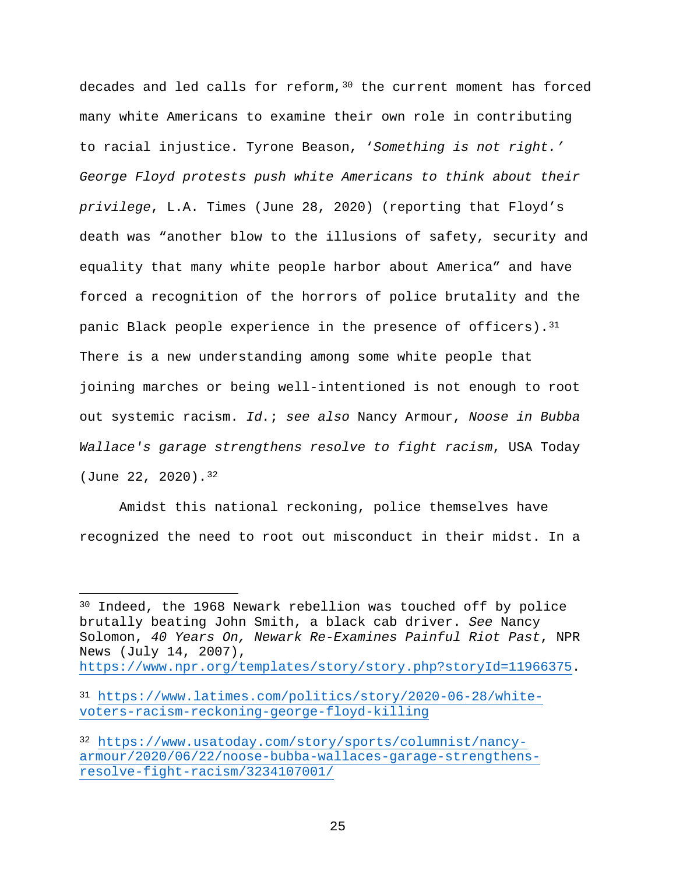decades and led calls for reform,  $30$  the current moment has forced many white Americans to examine their own role in contributing to racial injustice. Tyrone Beason, '*Something is not right.' George Floyd protests push white Americans to think about their privilege*, L.A. Times (June 28, 2020) (reporting that Floyd's death was "another blow to the illusions of safety, security and equality that many white people harbor about America" and have forced a recognition of the horrors of police brutality and the panic Black people experience in the presence of officers). [31](#page-37-1) There is a new understanding among some white people that joining marches or being well-intentioned is not enough to root out systemic racism. *Id.*; *see also* Nancy Armour, *Noose in Bubba Wallace's garage strengthens resolve to fight racism*, USA Today (June 22, 2020).[32](#page-37-2)

Amidst this national reckoning, police themselves have recognized the need to root out misconduct in their midst. In a

<span id="page-37-0"></span><sup>&</sup>lt;sup>30</sup> Indeed, the 1968 Newark rebellion was touched off by police brutally beating John Smith, a black cab driver. *See* Nancy Solomon, *40 Years On, Newark Re-Examines Painful Riot Past*, NPR News (July 14, 2007),

[https://www.npr.org/templates/story/story.php?storyId=11966375.](https://www.npr.org/templates/story/story.php?storyId=11966375)

<span id="page-37-1"></span><sup>31</sup> [https://www.latimes.com/politics/story/2020-06-28/white](https://www.latimes.com/politics/story/2020-06-28/white-voters-racism-reckoning-george-floyd-killing)[voters-racism-reckoning-george-floyd-killing](https://www.latimes.com/politics/story/2020-06-28/white-voters-racism-reckoning-george-floyd-killing)

<span id="page-37-2"></span><sup>32</sup> [https://www.usatoday.com/story/sports/columnist/nancy](https://www.usatoday.com/story/sports/columnist/nancy-armour/2020/06/22/noose-bubba-wallaces-garage-strengthens-resolve-fight-racism/3234107001/)[armour/2020/06/22/noose-bubba-wallaces-garage-strengthens](https://www.usatoday.com/story/sports/columnist/nancy-armour/2020/06/22/noose-bubba-wallaces-garage-strengthens-resolve-fight-racism/3234107001/)[resolve-fight-racism/3234107001/](https://www.usatoday.com/story/sports/columnist/nancy-armour/2020/06/22/noose-bubba-wallaces-garage-strengthens-resolve-fight-racism/3234107001/)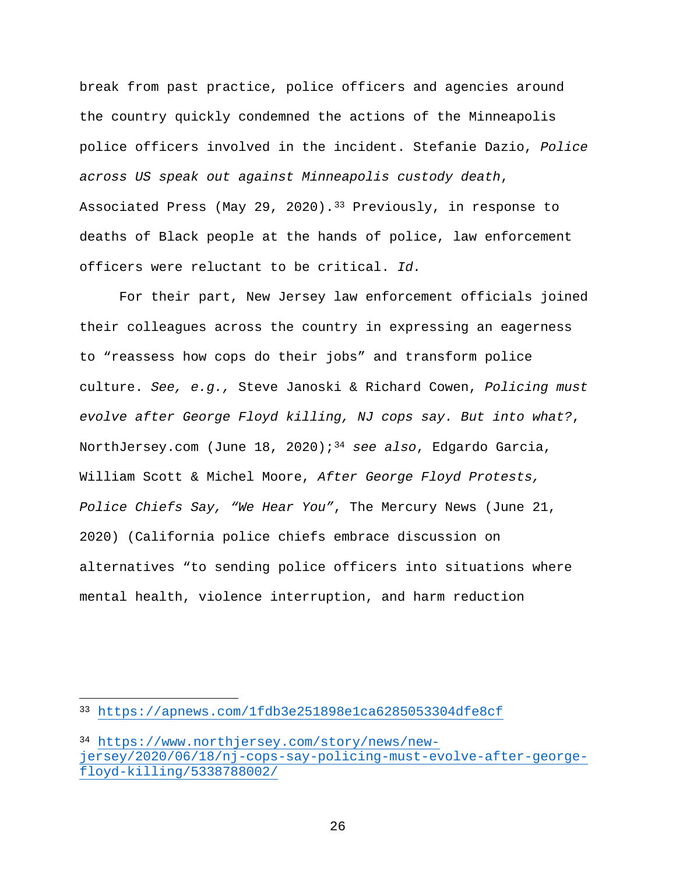break from past practice, police officers and agencies around the country quickly condemned the actions of the Minneapolis police officers involved in the incident. Stefanie Dazio, *Police across US speak out against Minneapolis custody death*, Associated Press (May 29, 2020).<sup>[33](#page-38-0)</sup> Previously, in response to deaths of Black people at the hands of police, law enforcement officers were reluctant to be critical. *Id.*

For their part, New Jersey law enforcement officials joined their colleagues across the country in expressing an eagerness to "reassess how cops do their jobs" and transform police culture. *See, e.g.,* Steve Janoski & Richard Cowen, *Policing must evolve after George Floyd killing, NJ cops say. But into what?*, NorthJersey.com (June 18, 2020);[34](#page-38-1) *see also*, Edgardo Garcia, William Scott & Michel Moore, *After George Floyd Protests, Police Chiefs Say, "We Hear You"*, The Mercury News (June 21, 2020) (California police chiefs embrace discussion on alternatives "to sending police officers into situations where mental health, violence interruption, and harm reduction

<span id="page-38-0"></span><sup>33</sup> <https://apnews.com/1fdb3e251898e1ca6285053304dfe8cf>

<span id="page-38-1"></span><sup>34</sup> [https://www.northjersey.com/story/news/new](https://www.northjersey.com/story/news/new-jersey/2020/06/18/nj-cops-say-policing-must-evolve-after-george-floyd-killing/5338788002/)[jersey/2020/06/18/nj-cops-say-policing-must-evolve-after-george](https://www.northjersey.com/story/news/new-jersey/2020/06/18/nj-cops-say-policing-must-evolve-after-george-floyd-killing/5338788002/)[floyd-killing/5338788002/](https://www.northjersey.com/story/news/new-jersey/2020/06/18/nj-cops-say-policing-must-evolve-after-george-floyd-killing/5338788002/)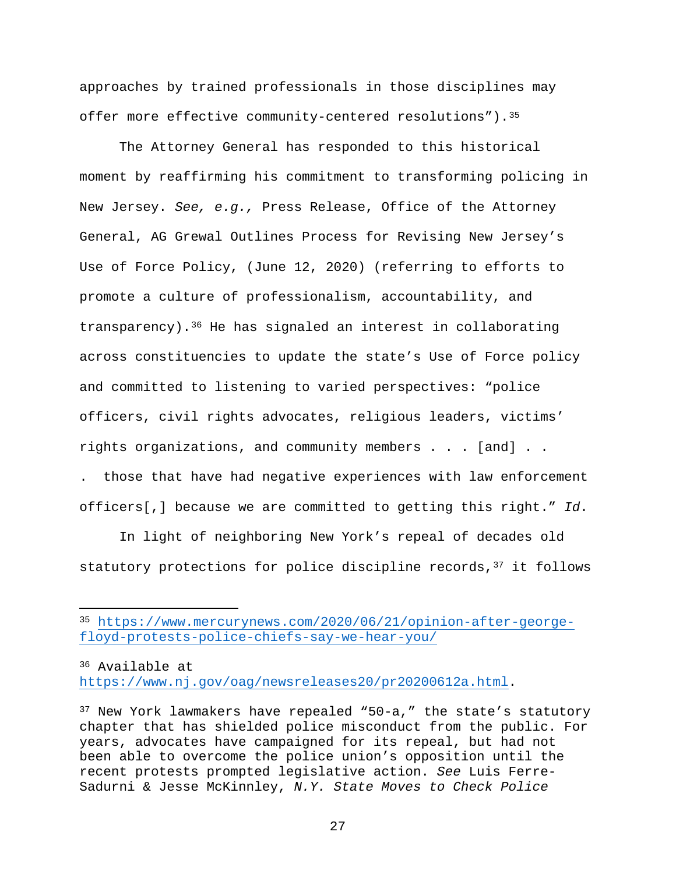approaches by trained professionals in those disciplines may offer more effective community-centered resolutions"). 35

The Attorney General has responded to this historical moment by reaffirming his commitment to transforming policing in New Jersey. *See, e.g.,* Press Release, Office of the Attorney General, AG Grewal Outlines Process for Revising New Jersey's Use of Force Policy, (June 12, 2020) (referring to efforts to promote a culture of professionalism, accountability, and transparency).[36](#page-39-1) He has signaled an interest in collaborating across constituencies to update the state's Use of Force policy and committed to listening to varied perspectives: "police officers, civil rights advocates, religious leaders, victims' rights organizations, and community members . . . [and] . .

. those that have had negative experiences with law enforcement officers[,] because we are committed to getting this right." *Id*.

In light of neighboring New York's repeal of decades old statutory protections for police discipline records, [37](#page-39-2) it follows

<span id="page-39-1"></span><sup>36</sup> Available at [https://www.nj.gov/oag/newsreleases20/pr20200612a.html.](https://www.nj.gov/oag/newsreleases20/pr20200612a.html)

<span id="page-39-0"></span><sup>35</sup> [https://www.mercurynews.com/2020/06/21/opinion-after-george](https://www.mercurynews.com/2020/06/21/opinion-after-george-floyd-protests-police-chiefs-say-we-hear-you/)[floyd-protests-police-chiefs-say-we-hear-you/](https://www.mercurynews.com/2020/06/21/opinion-after-george-floyd-protests-police-chiefs-say-we-hear-you/)

<span id="page-39-2"></span> $37$  New York lawmakers have repealed "50-a," the state's statutory chapter that has shielded police misconduct from the public. For years, advocates have campaigned for its repeal, but had not been able to overcome the police union's opposition until the recent protests prompted legislative action. *See* Luis Ferre-Sadurni & Jesse McKinnley, *N.Y. State Moves to Check Police*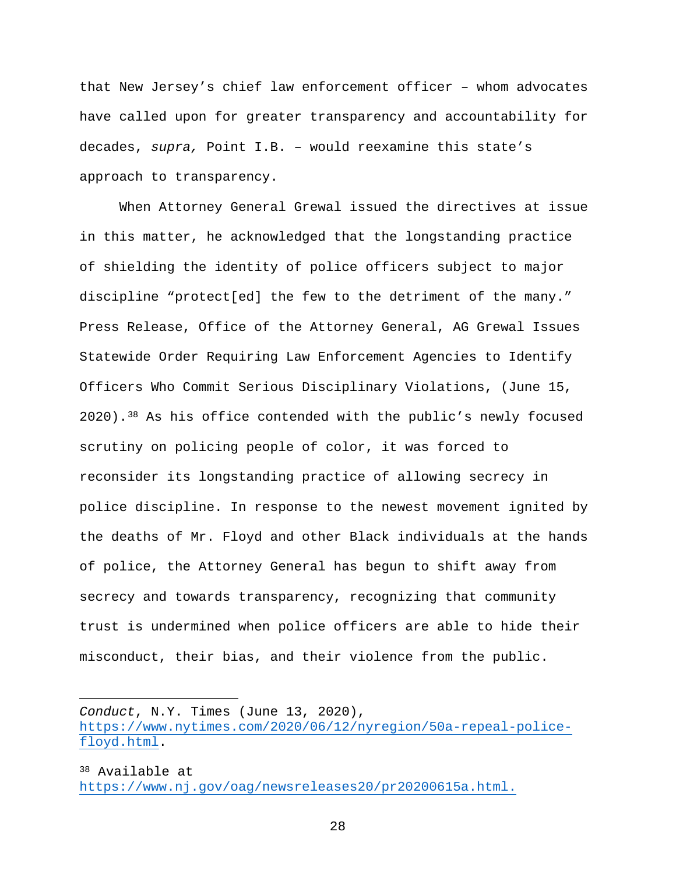that New Jersey's chief law enforcement officer – whom advocates have called upon for greater transparency and accountability for decades, *supra,* Point I.B. – would reexamine this state's approach to transparency.

When Attorney General Grewal issued the directives at issue in this matter, he acknowledged that the longstanding practice of shielding the identity of police officers subject to major discipline "protect[ed] the few to the detriment of the many." Press Release, Office of the Attorney General, AG Grewal Issues Statewide Order Requiring Law Enforcement Agencies to Identify Officers Who Commit Serious Disciplinary Violations, (June 15, 2020).[38](#page-40-0) As his office contended with the public's newly focused scrutiny on policing people of color, it was forced to reconsider its longstanding practice of allowing secrecy in police discipline. In response to the newest movement ignited by the deaths of Mr. Floyd and other Black individuals at the hands of police, the Attorney General has begun to shift away from secrecy and towards transparency, recognizing that community trust is undermined when police officers are able to hide their misconduct, their bias, and their violence from the public.

*Conduct*, N.Y. Times (June 13, 2020), [https://www.nytimes.com/2020/06/12/nyregion/50a-repeal-police](https://www.nytimes.com/2020/06/12/nyregion/50a-repeal-police-floyd.html)[floyd.html.](https://www.nytimes.com/2020/06/12/nyregion/50a-repeal-police-floyd.html)

<span id="page-40-0"></span><sup>38</sup> Available at [https://www.nj.gov/oag/newsreleases20/pr20200615a.html.](https://www.nj.gov/oag/newsreleases20/pr20200615a.html)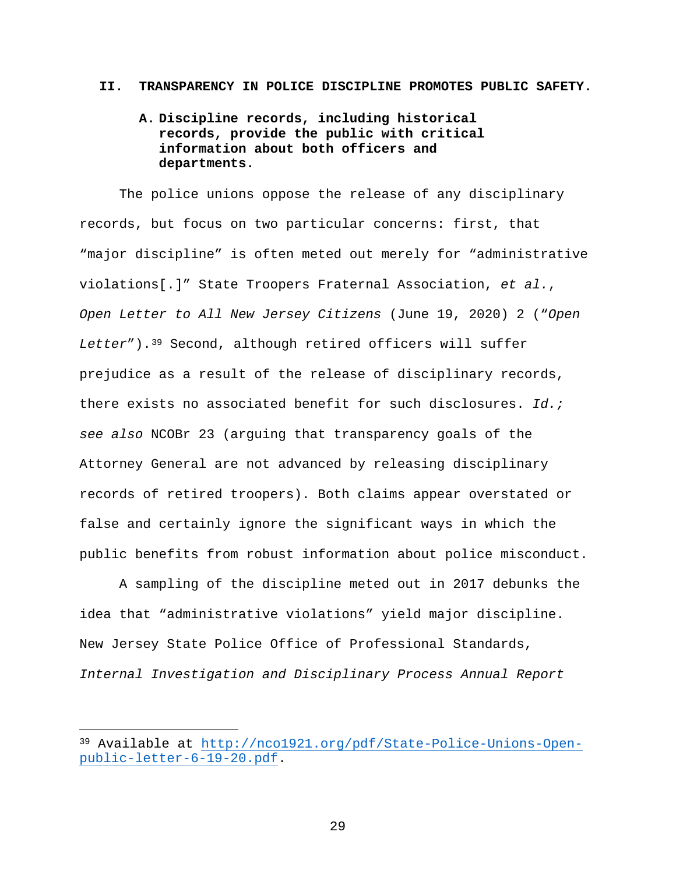#### **II. TRANSPARENCY IN POLICE DISCIPLINE PROMOTES PUBLIC SAFETY.**

### **A. Discipline records, including historical records, provide the public with critical information about both officers and departments.**

The police unions oppose the release of any disciplinary records, but focus on two particular concerns: first, that "major discipline" is often meted out merely for "administrative violations[.]" State Troopers Fraternal Association, *et al.*, *Open Letter to All New Jersey Citizens* (June 19, 2020) 2 ("*Open Letter*").[39](#page-41-0) Second, although retired officers will suffer prejudice as a result of the release of disciplinary records, there exists no associated benefit for such disclosures. *Id.; see also* NCOBr 23 (arguing that transparency goals of the Attorney General are not advanced by releasing disciplinary records of retired troopers). Both claims appear overstated or false and certainly ignore the significant ways in which the public benefits from robust information about police misconduct.

A sampling of the discipline meted out in 2017 debunks the idea that "administrative violations" yield major discipline. New Jersey State Police Office of Professional Standards, *Internal Investigation and Disciplinary Process Annual Report*

 $\overline{a}$ 

<span id="page-41-0"></span><sup>39</sup> Available at [http://nco1921.org/pdf/State-Police-Unions-Open](http://nco1921.org/pdf/State-Police-Unions-Open-public-letter-6-19-20.pdf)[public-letter-6-19-20.pdf.](http://nco1921.org/pdf/State-Police-Unions-Open-public-letter-6-19-20.pdf)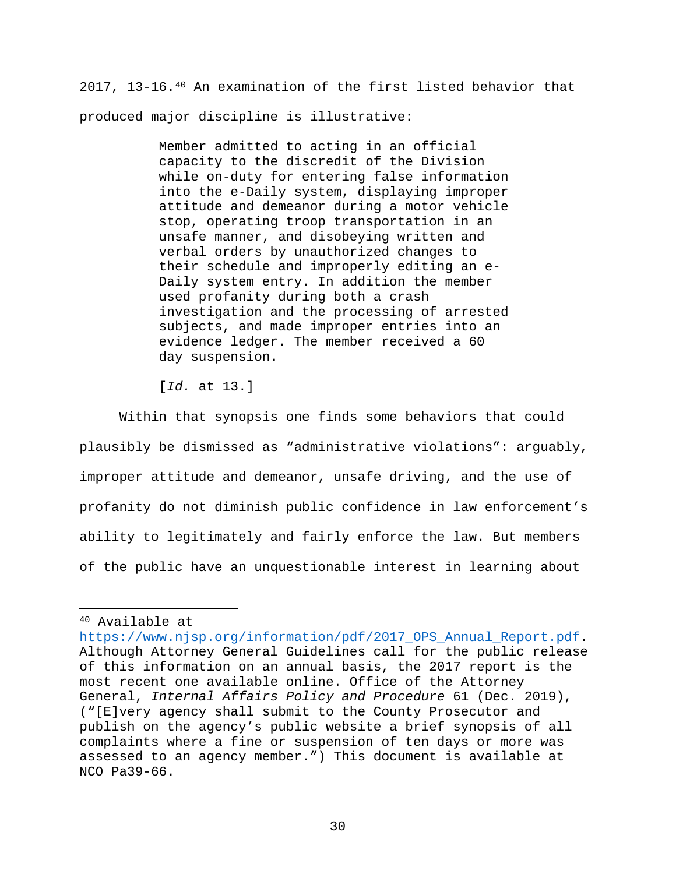2017, 13-16.[40](#page-42-0) An examination of the first listed behavior that produced major discipline is illustrative:

> Member admitted to acting in an official capacity to the discredit of the Division while on-duty for entering false information into the e-Daily system, displaying improper attitude and demeanor during a motor vehicle stop, operating troop transportation in an unsafe manner, and disobeying written and verbal orders by unauthorized changes to their schedule and improperly editing an e-Daily system entry. In addition the member used profanity during both a crash investigation and the processing of arrested subjects, and made improper entries into an evidence ledger. The member received a 60 day suspension.

[*Id.* at 13.]

Within that synopsis one finds some behaviors that could plausibly be dismissed as "administrative violations": arguably, improper attitude and demeanor, unsafe driving, and the use of profanity do not diminish public confidence in law enforcement's ability to legitimately and fairly enforce the law. But members of the public have an unquestionable interest in learning about

<span id="page-42-0"></span><sup>40</sup> Available at

[https://www.njsp.org/information/pdf/2017\\_OPS\\_Annual\\_Report.pdf.](https://www.njsp.org/information/pdf/2017_OPS_Annual_Report.pdf) Although Attorney General Guidelines call for the public release of this information on an annual basis, the 2017 report is the most recent one available online. Office of the Attorney General, *Internal Affairs Policy and Procedure* 61 (Dec. 2019), ("[E]very agency shall submit to the County Prosecutor and publish on the agency's public website a brief synopsis of all complaints where a fine or suspension of ten days or more was assessed to an agency member.") This document is available at NCO Pa39-66.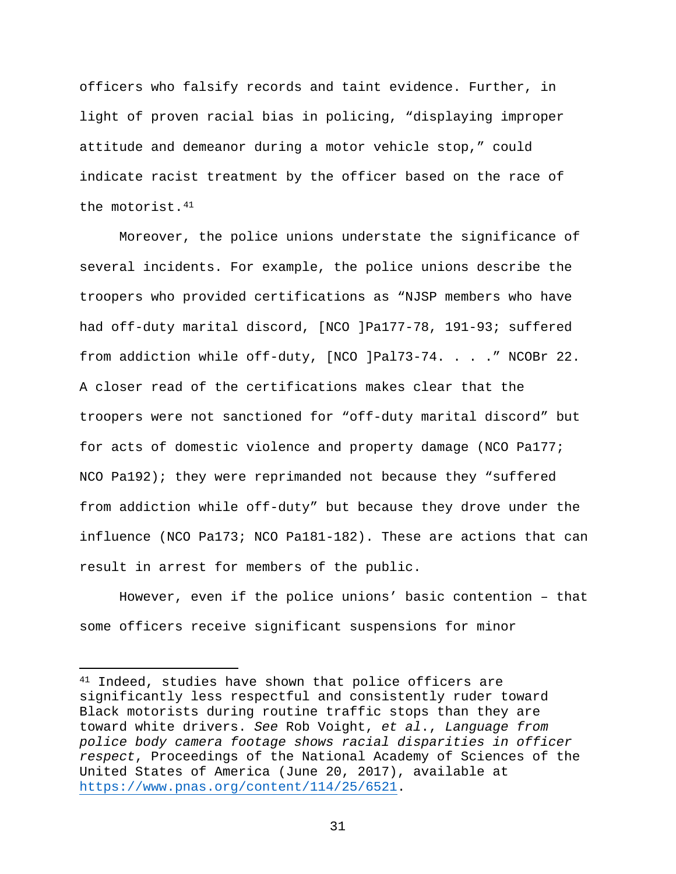officers who falsify records and taint evidence. Further, in light of proven racial bias in policing, "displaying improper attitude and demeanor during a motor vehicle stop," could indicate racist treatment by the officer based on the race of the motorist.[41](#page-43-0)

Moreover, the police unions understate the significance of several incidents. For example, the police unions describe the troopers who provided certifications as "NJSP members who have had off-duty marital discord, [NCO ]Pa177-78, 191-93; suffered from addiction while off-duty, [NCO ]Pal73-74. . . ." NCOBr 22. A closer read of the certifications makes clear that the troopers were not sanctioned for "off-duty marital discord" but for acts of domestic violence and property damage (NCO Pa177; NCO Pa192); they were reprimanded not because they "suffered from addiction while off-duty" but because they drove under the influence (NCO Pa173; NCO Pa181-182). These are actions that can result in arrest for members of the public.

However, even if the police unions' basic contention – that some officers receive significant suspensions for minor

 $\overline{a}$ 

<span id="page-43-0"></span><sup>41</sup> Indeed, studies have shown that police officers are significantly less respectful and consistently ruder toward Black motorists during routine traffic stops than they are toward white drivers. *See* Rob Voight, *et al*., *Language from police body camera footage shows racial disparities in officer respect*, Proceedings of the National Academy of Sciences of the United States of America (June 20, 2017), available at [https://www.pnas.org/content/114/25/6521.](https://www.pnas.org/content/114/25/6521)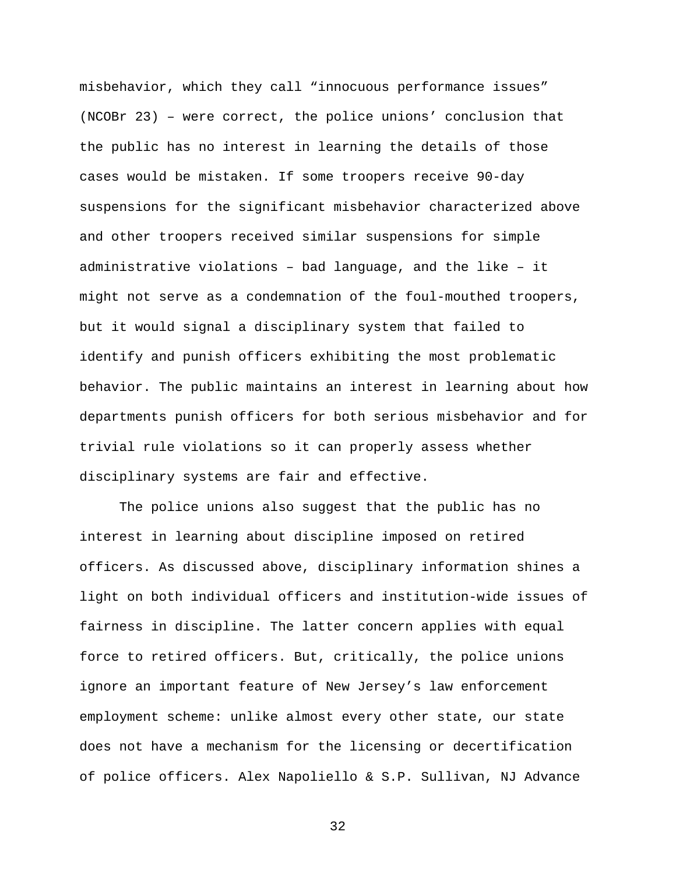misbehavior, which they call "innocuous performance issues" (NCOBr 23) – were correct, the police unions' conclusion that the public has no interest in learning the details of those cases would be mistaken. If some troopers receive 90-day suspensions for the significant misbehavior characterized above and other troopers received similar suspensions for simple administrative violations – bad language, and the like – it might not serve as a condemnation of the foul-mouthed troopers, but it would signal a disciplinary system that failed to identify and punish officers exhibiting the most problematic behavior. The public maintains an interest in learning about how departments punish officers for both serious misbehavior and for trivial rule violations so it can properly assess whether disciplinary systems are fair and effective.

The police unions also suggest that the public has no interest in learning about discipline imposed on retired officers. As discussed above, disciplinary information shines a light on both individual officers and institution-wide issues of fairness in discipline. The latter concern applies with equal force to retired officers. But, critically, the police unions ignore an important feature of New Jersey's law enforcement employment scheme: unlike almost every other state, our state does not have a mechanism for the licensing or decertification of police officers. Alex Napoliello & S.P. Sullivan, NJ Advance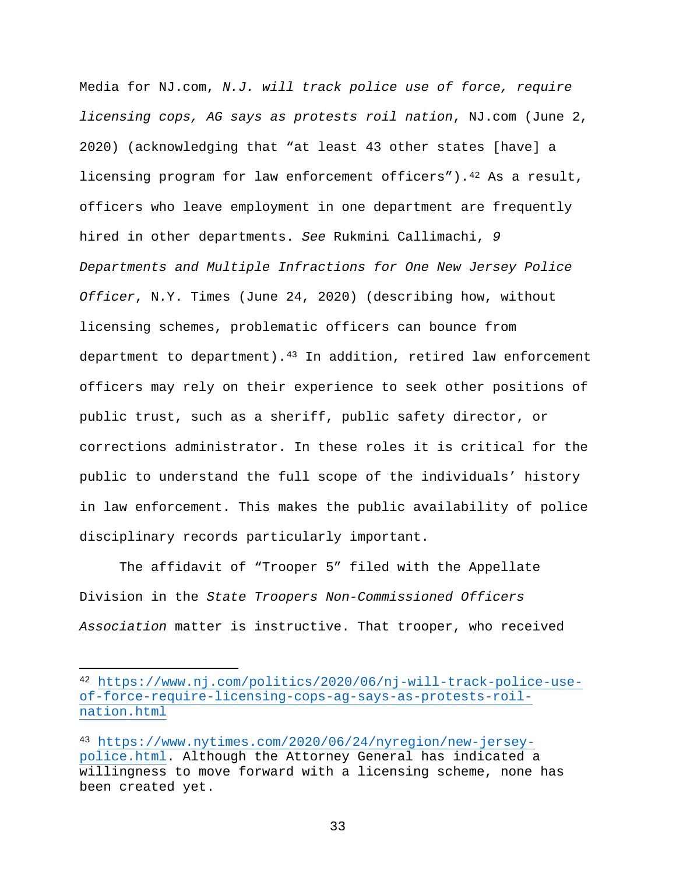Media for NJ.com, *N.J. will track police use of force, require licensing cops, AG says as protests roil nation*, NJ.com (June 2, 2020) (acknowledging that "at least 43 other states [have] a licensing program for law enforcement officers"). $4^2$  As a result, officers who leave employment in one department are frequently hired in other departments. *See* Rukmini Callimachi, *9 Departments and Multiple Infractions for One New Jersey Police Officer*, N.Y. Times (June 24, 2020) (describing how, without licensing schemes, problematic officers can bounce from department to department).<sup>[43](#page-45-1)</sup> In addition, retired law enforcement officers may rely on their experience to seek other positions of public trust, such as a sheriff, public safety director, or corrections administrator. In these roles it is critical for the public to understand the full scope of the individuals' history in law enforcement. This makes the public availability of police disciplinary records particularly important.

The affidavit of "Trooper 5" filed with the Appellate Division in the *State Troopers Non-Commissioned Officers Association* matter is instructive. That trooper, who received

 $\overline{a}$ 

<span id="page-45-0"></span><sup>42</sup> [https://www.nj.com/politics/2020/06/nj-will-track-police-use](https://www.nj.com/politics/2020/06/nj-will-track-police-use-of-force-require-licensing-cops-ag-says-as-protests-roil-nation.html)[of-force-require-licensing-cops-ag-says-as-protests-roil](https://www.nj.com/politics/2020/06/nj-will-track-police-use-of-force-require-licensing-cops-ag-says-as-protests-roil-nation.html)[nation.html](https://www.nj.com/politics/2020/06/nj-will-track-police-use-of-force-require-licensing-cops-ag-says-as-protests-roil-nation.html)

<span id="page-45-1"></span><sup>43</sup> [https://www.nytimes.com/2020/06/24/nyregion/new-jersey](https://www.nytimes.com/2020/06/24/nyregion/new-jersey-police.html)[police.html.](https://www.nytimes.com/2020/06/24/nyregion/new-jersey-police.html) Although the Attorney General has indicated a willingness to move forward with a licensing scheme, none has been created yet.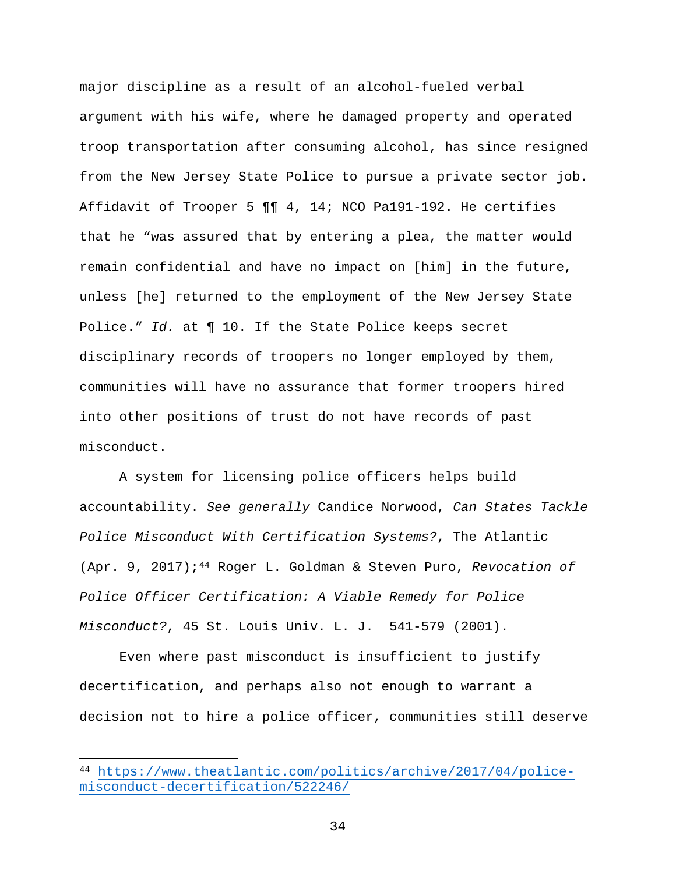major discipline as a result of an alcohol-fueled verbal argument with his wife, where he damaged property and operated troop transportation after consuming alcohol, has since resigned from the New Jersey State Police to pursue a private sector job. Affidavit of Trooper 5 ¶¶ 4, 14; NCO Pa191-192. He certifies that he "was assured that by entering a plea, the matter would remain confidential and have no impact on [him] in the future, unless [he] returned to the employment of the New Jersey State Police." *Id.* at ¶ 10. If the State Police keeps secret disciplinary records of troopers no longer employed by them, communities will have no assurance that former troopers hired into other positions of trust do not have records of past misconduct.

A system for licensing police officers helps build accountability. *See generally* Candice Norwood, *Can States Tackle Police Misconduct With Certification Systems?*, The Atlantic (Apr. 9, 2017);[44](#page-46-0) Roger L. Goldman & Steven Puro, *Revocation of Police Officer Certification: A Viable Remedy for Police Misconduct?*, 45 St. Louis Univ. L. J. 541-579 (2001).

Even where past misconduct is insufficient to justify decertification, and perhaps also not enough to warrant a decision not to hire a police officer, communities still deserve

<span id="page-46-0"></span><sup>44</sup> [https://www.theatlantic.com/politics/archive/2017/04/police](https://www.theatlantic.com/politics/archive/2017/04/police-misconduct-decertification/522246/)[misconduct-decertification/522246/](https://www.theatlantic.com/politics/archive/2017/04/police-misconduct-decertification/522246/)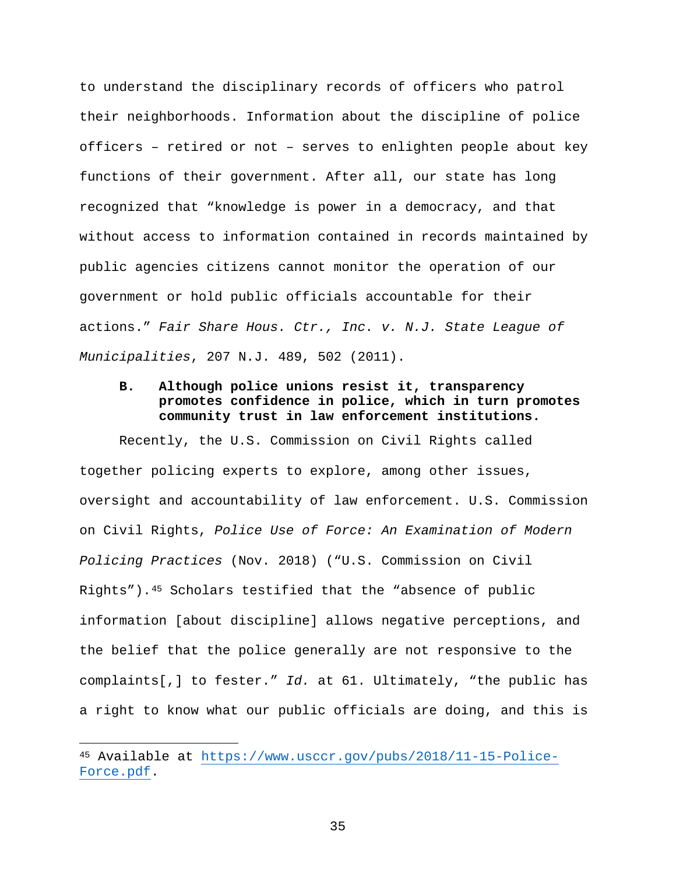to understand the disciplinary records of officers who patrol their neighborhoods. Information about the discipline of police officers – retired or not – serves to enlighten people about key functions of their government. After all, our state has long recognized that "knowledge is power in a democracy, and that without access to information contained in records maintained by public agencies citizens cannot monitor the operation of our government or hold public officials accountable for their actions." *Fair Share Hous. Ctr., Inc. v. N.J. State League of Municipalities*, 207 N.J. 489, 502 (2011).

#### **B. Although police unions resist it, transparency promotes confidence in police, which in turn promotes community trust in law enforcement institutions.**

Recently, the U.S. Commission on Civil Rights called together policing experts to explore, among other issues, oversight and accountability of law enforcement. U.S. Commission on Civil Rights, *Police Use of Force: An Examination of Modern Policing Practices* (Nov. 2018) ("U.S. Commission on Civil Rights").[45](#page-47-0) Scholars testified that the "absence of public information [about discipline] allows negative perceptions, and the belief that the police generally are not responsive to the complaints[,] to fester." *Id.* at 61. Ultimately, "the public has a right to know what our public officials are doing, and this is

<span id="page-47-0"></span><sup>45</sup> Available at [https://www.usccr.gov/pubs/2018/11-15-Police-](https://www.usccr.gov/pubs/2018/11-15-Police-Force.pdf)[Force.pdf.](https://www.usccr.gov/pubs/2018/11-15-Police-Force.pdf)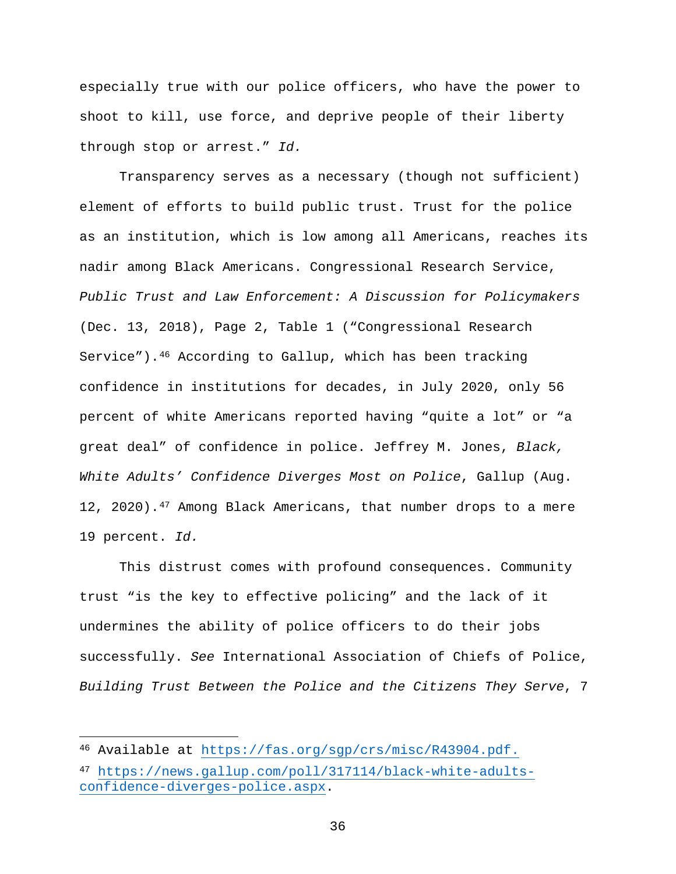especially true with our police officers, who have the power to shoot to kill, use force, and deprive people of their liberty through stop or arrest." *Id.*

Transparency serves as a necessary (though not sufficient) element of efforts to build public trust. Trust for the police as an institution, which is low among all Americans, reaches its nadir among Black Americans. Congressional Research Service, *Public Trust and Law Enforcement: A Discussion for Policymakers* (Dec. 13, 2018), Page 2, Table 1 ("Congressional Research Service").[46](#page-48-0) According to Gallup, which has been tracking confidence in institutions for decades, in July 2020, only 56 percent of white Americans reported having "quite a lot" or "a great deal" of confidence in police. Jeffrey M. Jones, *Black, White Adults' Confidence Diverges Most on Police*, Gallup (Aug. 12, 2020).<sup>[47](#page-48-1)</sup> Among Black Americans, that number drops to a mere 19 percent. *Id.*

This distrust comes with profound consequences. Community trust "is the key to effective policing" and the lack of it undermines the ability of police officers to do their jobs successfully. *See* International Association of Chiefs of Police, *Building Trust Between the Police and the Citizens They Serve*, 7

<span id="page-48-0"></span><sup>46</sup> Available at [https://fas.org/sgp/crs/misc/R43904.pdf.](https://fas.org/sgp/crs/misc/R43904.pdf)

<span id="page-48-1"></span><sup>47</sup> [https://news.gallup.com/poll/317114/black-white-adults](https://news.gallup.com/poll/317114/black-white-adults-confidence-diverges-police.aspx)[confidence-diverges-police.aspx.](https://news.gallup.com/poll/317114/black-white-adults-confidence-diverges-police.aspx)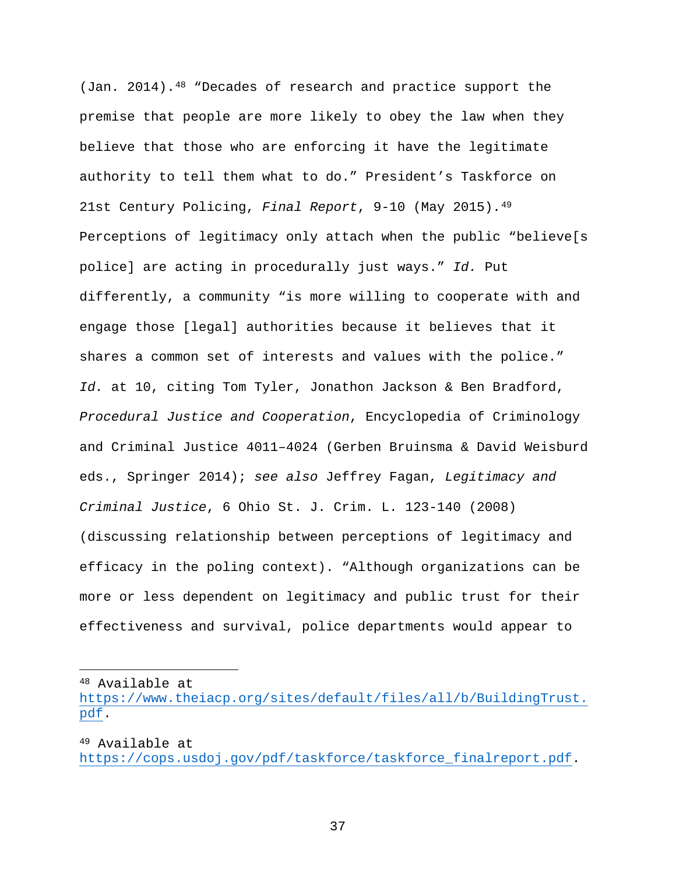(Jan. 2014).<sup>[48](#page-49-0)</sup> "Decades of research and practice support the premise that people are more likely to obey the law when they believe that those who are enforcing it have the legitimate authority to tell them what to do." President's Taskforce on 21st Century Policing, *Final Report*, 9-10 (May 2015).[49](#page-49-1) Perceptions of legitimacy only attach when the public "believe[s police] are acting in procedurally just ways." *Id.* Put differently, a community "is more willing to cooperate with and engage those [legal] authorities because it believes that it shares a common set of interests and values with the police." *Id.* at 10, citing Tom Tyler, Jonathon Jackson & Ben Bradford, *Procedural Justice and Cooperation*, Encyclopedia of Criminology and Criminal Justice 4011–4024 (Gerben Bruinsma & David Weisburd eds., Springer 2014); *see also* Jeffrey Fagan, *Legitimacy and Criminal Justice*, 6 Ohio St. J. Crim. L. 123-140 (2008) (discussing relationship between perceptions of legitimacy and efficacy in the poling context). "Although organizations can be more or less dependent on legitimacy and public trust for their effectiveness and survival, police departments would appear to

<span id="page-49-0"></span><sup>48</sup> Available at

[https://www.theiacp.org/sites/default/files/all/b/BuildingTrust.](https://www.theiacp.org/sites/default/files/all/b/BuildingTrust.pdf) [pdf.](https://www.theiacp.org/sites/default/files/all/b/BuildingTrust.pdf)

<span id="page-49-1"></span><sup>49</sup> Available at [https://cops.usdoj.gov/pdf/taskforce/taskforce\\_finalreport.pdf.](https://cops.usdoj.gov/pdf/taskforce/taskforce_finalreport.pdf)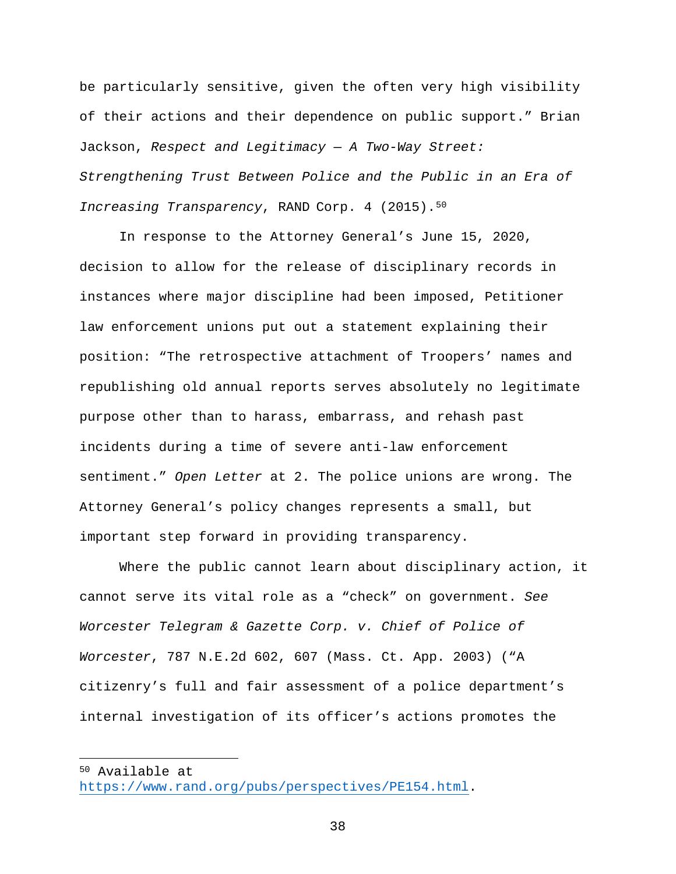be particularly sensitive, given the often very high visibility of their actions and their dependence on public support." Brian Jackson, *Respect and Legitimacy — A Two-Way Street: Strengthening Trust Between Police and the Public in an Era of Increasing Transparency*, RAND Corp. 4 (2015).[50](#page-50-0)

In response to the Attorney General's June 15, 2020, decision to allow for the release of disciplinary records in instances where major discipline had been imposed, Petitioner law enforcement unions put out a statement explaining their position: "The retrospective attachment of Troopers' names and republishing old annual reports serves absolutely no legitimate purpose other than to harass, embarrass, and rehash past incidents during a time of severe anti-law enforcement sentiment." *Open Letter* at 2. The police unions are wrong. The Attorney General's policy changes represents a small, but important step forward in providing transparency.

Where the public cannot learn about disciplinary action, it cannot serve its vital role as a "check" on government. *See Worcester Telegram & Gazette Corp. v. Chief of Police of Worcester*, 787 N.E.2d 602, 607 (Mass. Ct. App. 2003) ("A citizenry's full and fair assessment of a police department's internal investigation of its officer's actions promotes the

<span id="page-50-0"></span><sup>50</sup> Available at

[https://www.rand.org/pubs/perspectives/PE154.html.](https://www.rand.org/pubs/perspectives/PE154.html)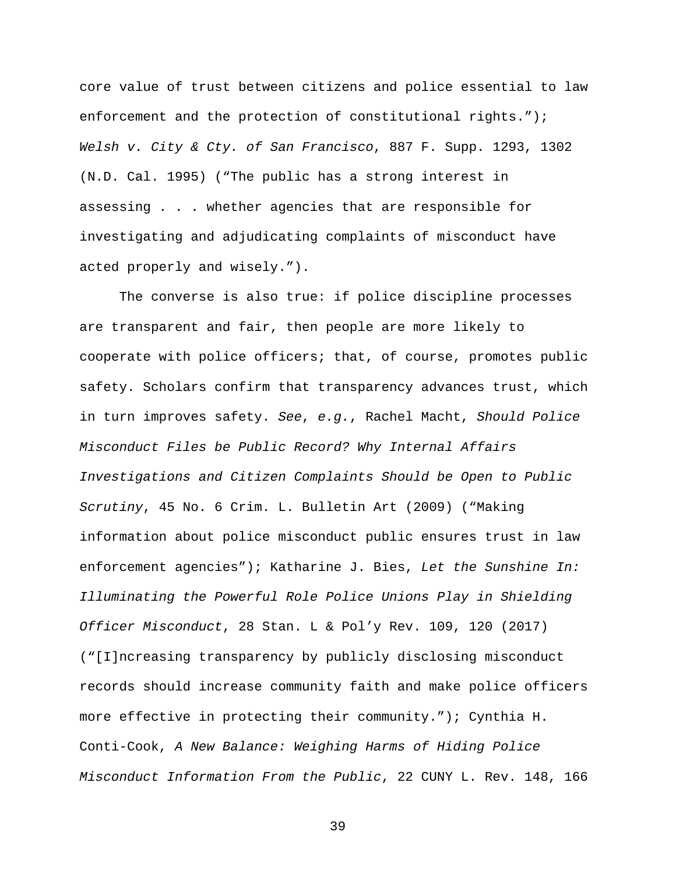core value of trust between citizens and police essential to law enforcement and the protection of constitutional rights."); *Welsh v. City & Cty. of San Francisco*, 887 F. Supp. 1293, 1302 (N.D. Cal. 1995) ("The public has a strong interest in assessing . . . whether agencies that are responsible for investigating and adjudicating complaints of misconduct have acted properly and wisely.").

The converse is also true: if police discipline processes are transparent and fair, then people are more likely to cooperate with police officers; that, of course, promotes public safety. Scholars confirm that transparency advances trust, which in turn improves safety. *See*, *e.g.*, Rachel Macht, *Should Police Misconduct Files be Public Record? Why Internal Affairs Investigations and Citizen Complaints Should be Open to Public Scrutiny*, 45 No. 6 Crim. L. Bulletin Art (2009) ("Making information about police misconduct public ensures trust in law enforcement agencies"); Katharine J. Bies, *Let the Sunshine In: Illuminating the Powerful Role Police Unions Play in Shielding Officer Misconduct*, 28 Stan. L & Pol'y Rev. 109, 120 (2017) ("[I]ncreasing transparency by publicly disclosing misconduct records should increase community faith and make police officers more effective in protecting their community."); Cynthia H. Conti-Cook, *A New Balance: Weighing Harms of Hiding Police Misconduct Information From the Public*, 22 CUNY L. Rev. 148, 166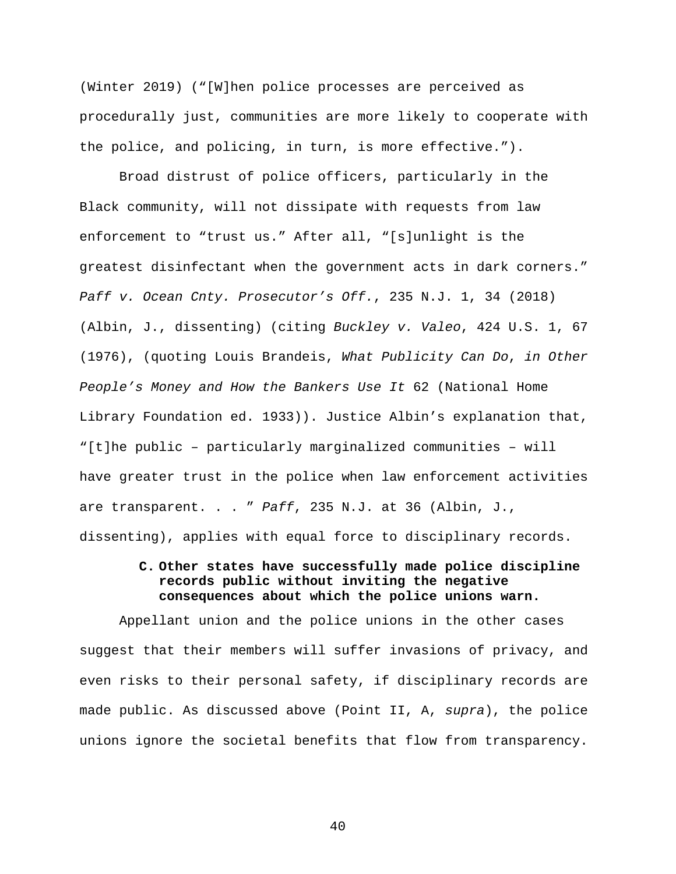(Winter 2019) ("[W]hen police processes are perceived as procedurally just, communities are more likely to cooperate with the police, and policing, in turn, is more effective.").

Broad distrust of police officers, particularly in the Black community, will not dissipate with requests from law enforcement to "trust us." After all, "[s]unlight is the greatest disinfectant when the government acts in dark corners." *Paff v. Ocean Cnty. Prosecutor's Off.*, 235 N.J. 1, 34 (2018) (Albin, J., dissenting) (citing *Buckley v. Valeo*, 424 U.S. 1, 67 (1976), (quoting Louis Brandeis, *What Publicity Can Do*, *in Other People's Money and How the Bankers Use It* 62 (National Home Library Foundation ed. 1933)). Justice Albin's explanation that, "[t]he public – particularly marginalized communities – will have greater trust in the police when law enforcement activities are transparent. . . " *Paff*, 235 N.J. at 36 (Albin, J., dissenting), applies with equal force to disciplinary records.

### **C. Other states have successfully made police discipline records public without inviting the negative consequences about which the police unions warn.**

Appellant union and the police unions in the other cases suggest that their members will suffer invasions of privacy, and even risks to their personal safety, if disciplinary records are made public. As discussed above (Point II, A, *supra*), the police unions ignore the societal benefits that flow from transparency.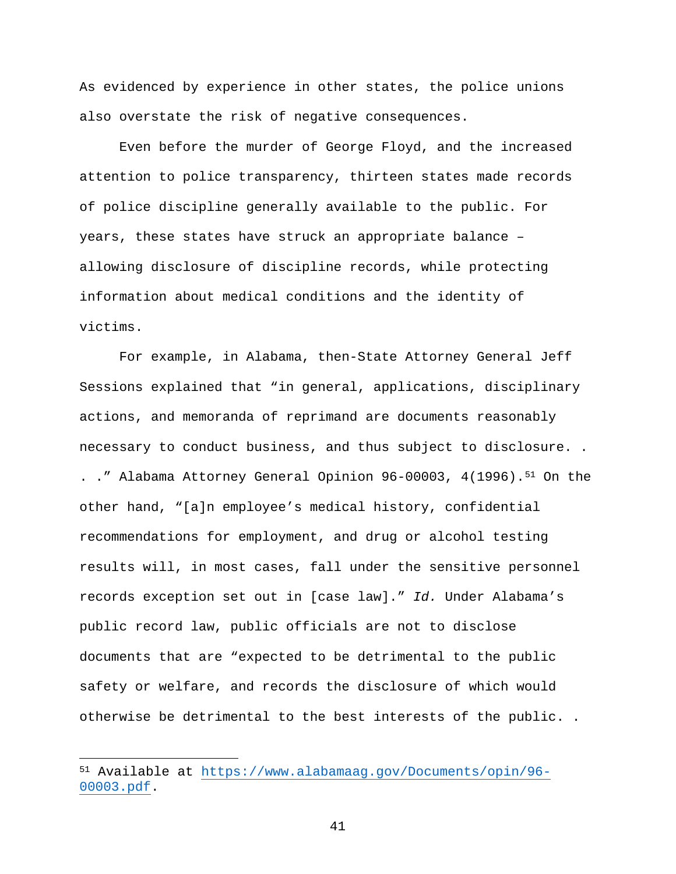As evidenced by experience in other states, the police unions also overstate the risk of negative consequences.

Even before the murder of George Floyd, and the increased attention to police transparency, thirteen states made records of police discipline generally available to the public. For years, these states have struck an appropriate balance – allowing disclosure of discipline records, while protecting information about medical conditions and the identity of victims.

For example, in Alabama, then-State Attorney General Jeff Sessions explained that "in general, applications, disciplinary actions, and memoranda of reprimand are documents reasonably necessary to conduct business, and thus subject to disclosure. . . ." Alabama Attorney General Opinion 96-00003, 4(1996).<sup>[51](#page-53-0)</sup> On the other hand, "[a]n employee's medical history, confidential recommendations for employment, and drug or alcohol testing results will, in most cases, fall under the sensitive personnel records exception set out in [case law]." *Id.* Under Alabama's public record law, public officials are not to disclose documents that are "expected to be detrimental to the public safety or welfare, and records the disclosure of which would otherwise be detrimental to the best interests of the public. .

 $\overline{a}$ 

<span id="page-53-0"></span><sup>51</sup> Available at [https://www.alabamaag.gov/Documents/opin/96-](https://www.alabamaag.gov/Documents/opin/96-00003.pdf) [00003.pdf.](https://www.alabamaag.gov/Documents/opin/96-00003.pdf)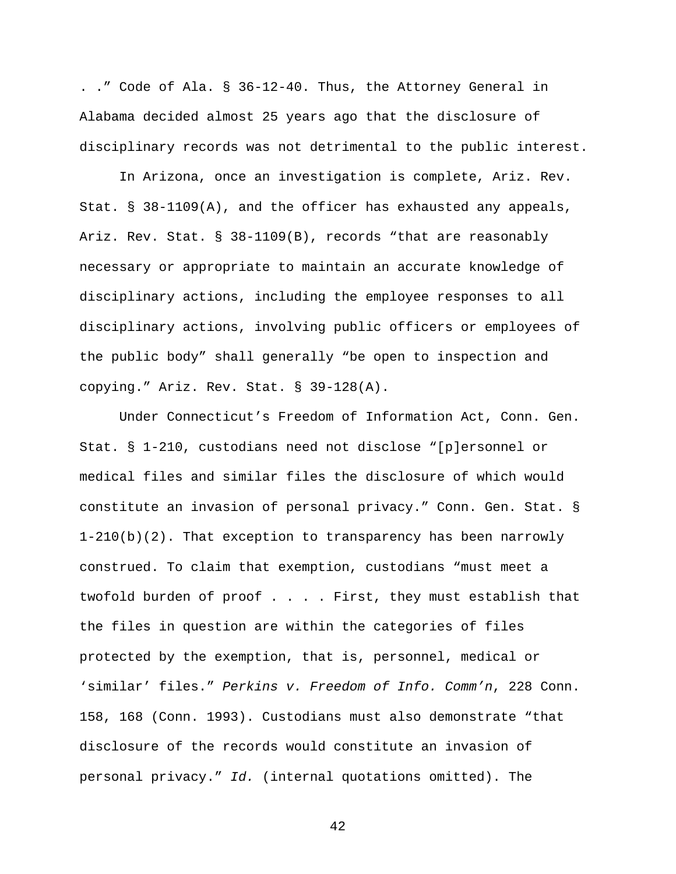. ." Code of Ala. § 36-12-40. Thus, the Attorney General in Alabama decided almost 25 years ago that the disclosure of disciplinary records was not detrimental to the public interest.

In Arizona, once an investigation is complete, Ariz. Rev. Stat. § 38-1109(A), and the officer has exhausted any appeals, Ariz. Rev. Stat. § 38-1109(B), records "that are reasonably necessary or appropriate to maintain an accurate knowledge of disciplinary actions, including the employee responses to all disciplinary actions, involving public officers or employees of the public body" shall generally "be open to inspection and copying." Ariz. Rev. Stat. § 39-128(A).

Under Connecticut's Freedom of Information Act, Conn. Gen. Stat. § 1-210, custodians need not disclose "[p]ersonnel or medical files and similar files the disclosure of which would constitute an invasion of personal privacy." Conn. Gen. Stat. § 1-210(b)(2). That exception to transparency has been narrowly construed. To claim that exemption, custodians "must meet a twofold burden of proof . . . . First, they must establish that the files in question are within the categories of files protected by the exemption, that is, personnel, medical or 'similar' files." *Perkins v. Freedom of Info. Comm'n*, 228 Conn. 158, 168 (Conn. 1993). Custodians must also demonstrate "that disclosure of the records would constitute an invasion of personal privacy." *Id.* (internal quotations omitted). The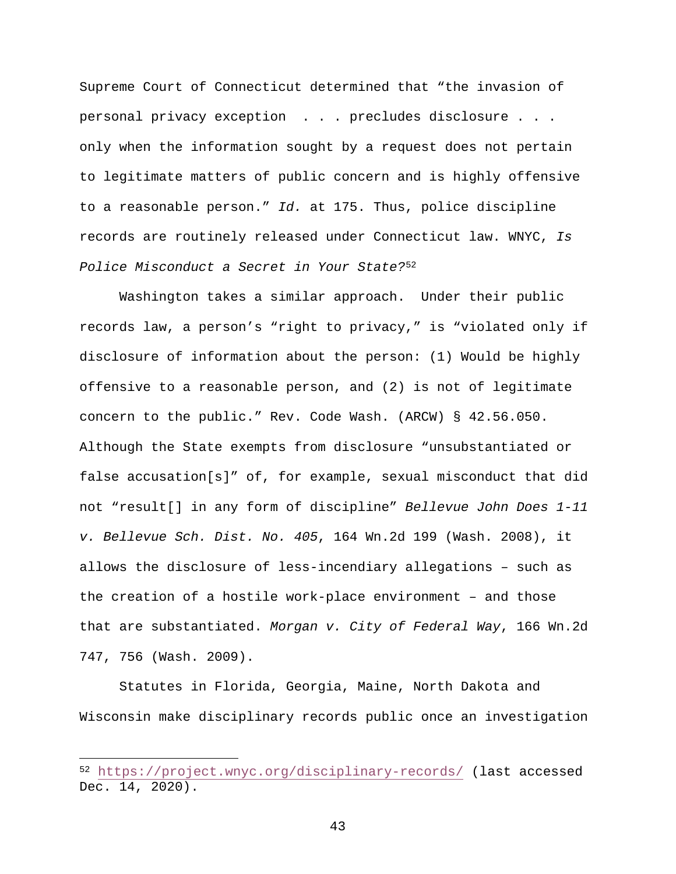Supreme Court of Connecticut determined that "the invasion of personal privacy exception . . . precludes disclosure . . . only when the information sought by a request does not pertain to legitimate matters of public concern and is highly offensive to a reasonable person." *Id.* at 175. Thus, police discipline records are routinely released under Connecticut law. WNYC, *Is Police Misconduct a Secret in Your State?*[52](#page-55-0)

Washington takes a similar approach. Under their public records law, a person's "right to privacy," is "violated only if disclosure of information about the person: (1) Would be highly offensive to a reasonable person, and (2) is not of legitimate concern to the public." Rev. Code Wash. (ARCW) § 42.56.050. Although the State exempts from disclosure "unsubstantiated or false accusation[s]" of, for example, sexual misconduct that did not "result[] in any form of discipline" *Bellevue John Does 1-11 v. Bellevue Sch. Dist. No. 405*, 164 Wn.2d 199 (Wash. 2008), it allows the disclosure of less-incendiary allegations – such as the creation of a hostile work-place environment – and those that are substantiated. *Morgan v. City of Federal Way*, 166 Wn.2d 747, 756 (Wash. 2009).

Statutes in Florida, Georgia, Maine, North Dakota and Wisconsin make disciplinary records public once an investigation

 $\overline{a}$ 

<span id="page-55-0"></span><sup>52</sup> <https://project.wnyc.org/disciplinary-records/> (last accessed Dec. 14, 2020).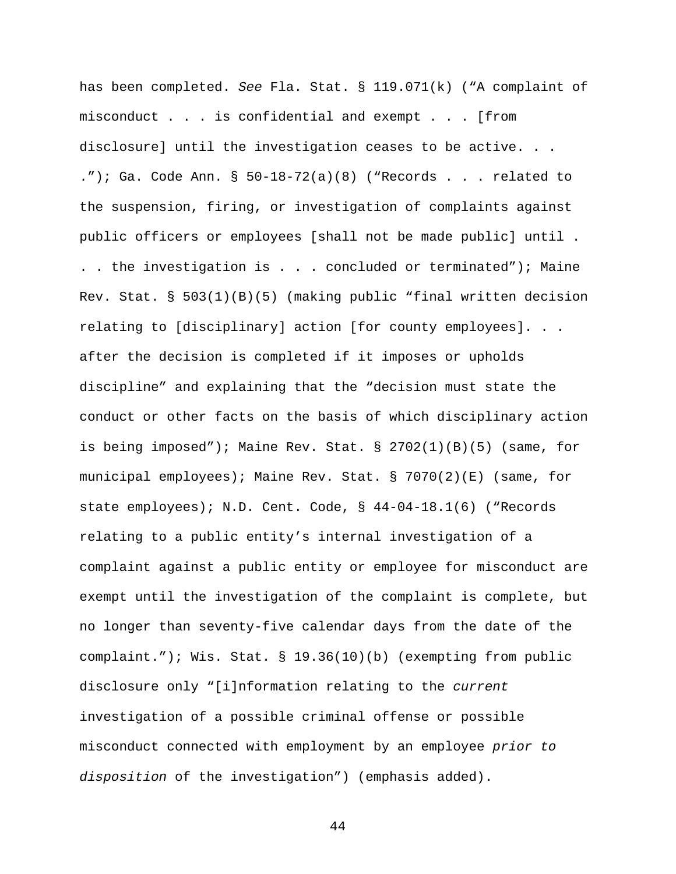has been completed. *See* Fla. Stat. § 119.071(k) ("A complaint of misconduct . . . is confidential and exempt . . . [from disclosure] until the investigation ceases to be active. . . ."); Ga. Code Ann.  $\S$  50-18-72(a)(8) ("Records . . . related to the suspension, firing, or investigation of complaints against public officers or employees [shall not be made public] until . . . the investigation is . . . concluded or terminated"); Maine Rev. Stat. § 503(1)(B)(5) (making public "final written decision relating to [disciplinary] action [for county employees]. . . after the decision is completed if it imposes or upholds discipline" and explaining that the "decision must state the conduct or other facts on the basis of which disciplinary action is being imposed"); Maine Rev. Stat. § 2702(1)(B)(5) (same, for municipal employees); Maine Rev. Stat. § 7070(2)(E) (same, for state employees); N.D. Cent. Code, § 44-04-18.1(6) ("Records relating to a public entity's internal investigation of a complaint against a public entity or employee for misconduct are exempt until the investigation of the complaint is complete, but no longer than seventy-five calendar days from the date of the complaint."); Wis. Stat. § 19.36(10)(b) (exempting from public disclosure only "[i]nformation relating to the *current* investigation of a possible criminal offense or possible misconduct connected with employment by an employee *prior to disposition* of the investigation") (emphasis added).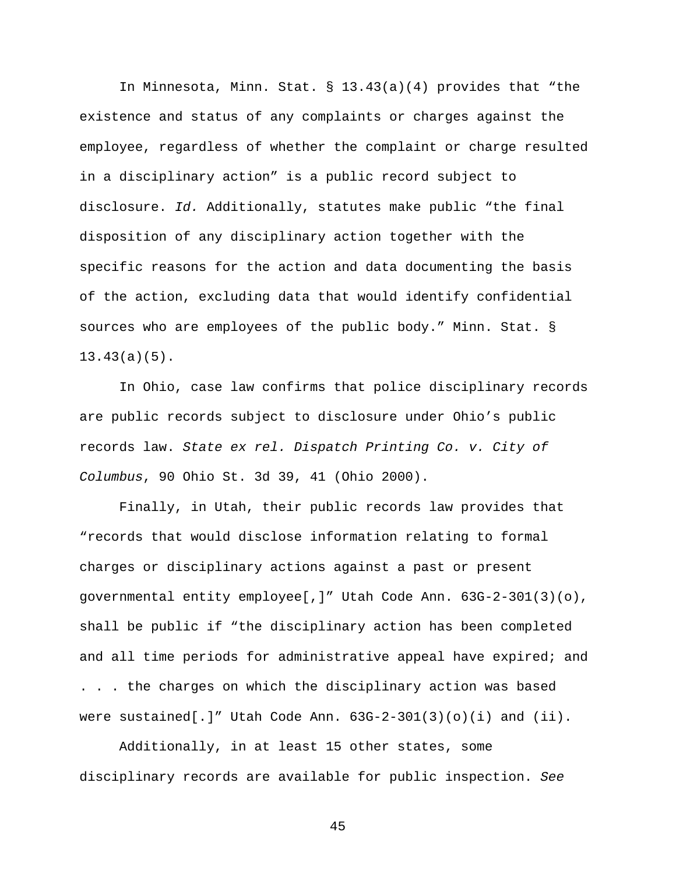In Minnesota, Minn. Stat. § 13.43(a)(4) provides that "the existence and status of any complaints or charges against the employee, regardless of whether the complaint or charge resulted in a disciplinary action" is a public record subject to disclosure. *Id.* Additionally, statutes make public "the final disposition of any disciplinary action together with the specific reasons for the action and data documenting the basis of the action, excluding data that would identify confidential sources who are employees of the public body." Minn. Stat. § 13.43(a)(5).

In Ohio, case law confirms that police disciplinary records are public records subject to disclosure under Ohio's public records law. *State ex rel. Dispatch Printing Co. v. City of Columbus*, 90 Ohio St. 3d 39, 41 (Ohio 2000).

Finally, in Utah, their public records law provides that "records that would disclose information relating to formal charges or disciplinary actions against a past or present governmental entity employee[,]" Utah Code Ann. 63G-2-301(3)(o), shall be public if "the disciplinary action has been completed and all time periods for administrative appeal have expired; and . . . the charges on which the disciplinary action was based were sustained[.]" Utah Code Ann.  $63G-2-301(3)(o)(i)$  and  $(ii)$ .

Additionally, in at least 15 other states, some disciplinary records are available for public inspection. *See*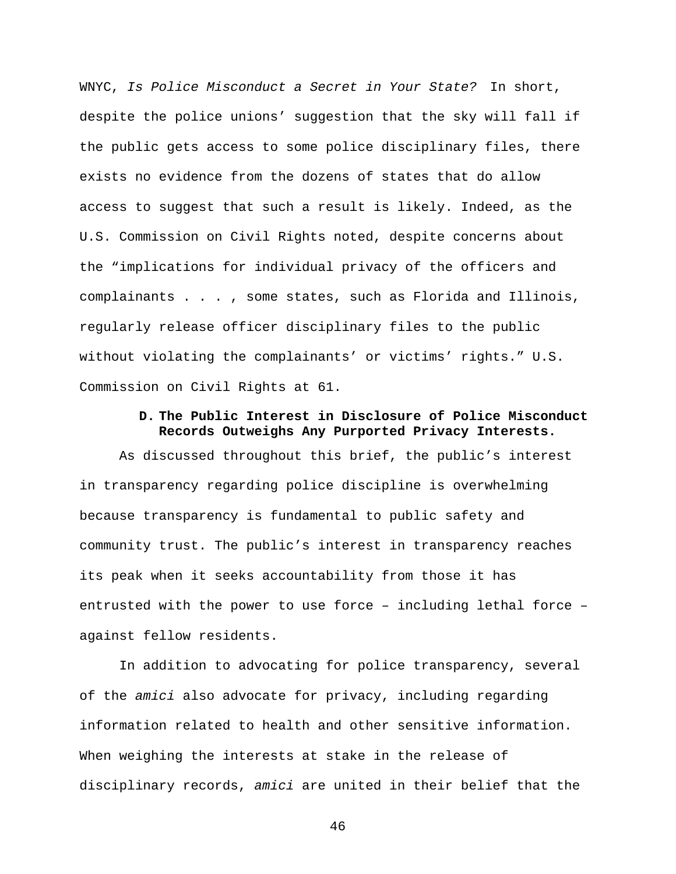WNYC, *Is Police Misconduct a Secret in Your State?* In short, despite the police unions' suggestion that the sky will fall if the public gets access to some police disciplinary files, there exists no evidence from the dozens of states that do allow access to suggest that such a result is likely. Indeed, as the U.S. Commission on Civil Rights noted, despite concerns about the "implications for individual privacy of the officers and complainants . . . , some states, such as Florida and Illinois, regularly release officer disciplinary files to the public without violating the complainants' or victims' rights." U.S. Commission on Civil Rights at 61.

#### **D. The Public Interest in Disclosure of Police Misconduct Records Outweighs Any Purported Privacy Interests.**

As discussed throughout this brief, the public's interest in transparency regarding police discipline is overwhelming because transparency is fundamental to public safety and community trust. The public's interest in transparency reaches its peak when it seeks accountability from those it has entrusted with the power to use force – including lethal force – against fellow residents.

In addition to advocating for police transparency, several of the *amici* also advocate for privacy, including regarding information related to health and other sensitive information. When weighing the interests at stake in the release of disciplinary records, *amici* are united in their belief that the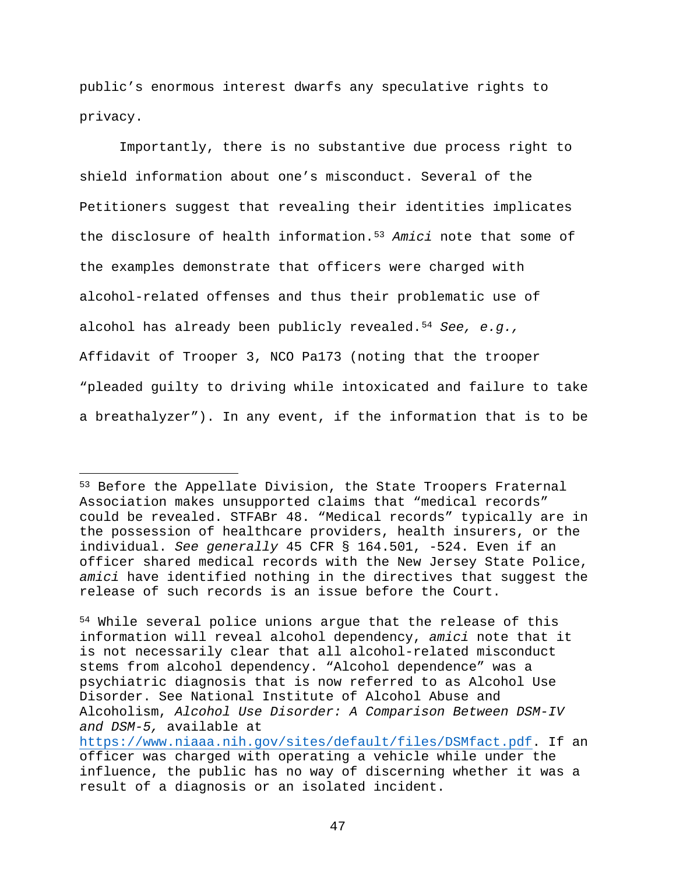public's enormous interest dwarfs any speculative rights to privacy.

Importantly, there is no substantive due process right to shield information about one's misconduct. Several of the Petitioners suggest that revealing their identities implicates the disclosure of health information.[53](#page-59-0) *Amici* note that some of the examples demonstrate that officers were charged with alcohol-related offenses and thus their problematic use of alcohol has already been publicly revealed.[54](#page-59-1) *See, e.g.,* Affidavit of Trooper 3, NCO Pa173 (noting that the trooper "pleaded guilty to driving while intoxicated and failure to take a breathalyzer"). In any event, if the information that is to be

<span id="page-59-0"></span><sup>&</sup>lt;sup>53</sup> Before the Appellate Division, the State Troopers Fraternal Association makes unsupported claims that "medical records" could be revealed. STFABr 48. "Medical records" typically are in the possession of healthcare providers, health insurers, or the individual. *See generally* 45 CFR § 164.501, -524. Even if an officer shared medical records with the New Jersey State Police, *amici* have identified nothing in the directives that suggest the release of such records is an issue before the Court.

<span id="page-59-1"></span><sup>54</sup> While several police unions argue that the release of this information will reveal alcohol dependency, *amici* note that it is not necessarily clear that all alcohol-related misconduct stems from alcohol dependency. "Alcohol dependence" was a psychiatric diagnosis that is now referred to as Alcohol Use Disorder. See National Institute of Alcohol Abuse and Alcoholism, *Alcohol Use Disorder: A Comparison Between DSM-IV and DSM-5,* available at [https://www.niaaa.nih.gov/sites/default/files/DSMfact.pdf.](https://www.niaaa.nih.gov/sites/default/files/DSMfact.pdf) If an officer was charged with operating a vehicle while under the influence, the public has no way of discerning whether it was a result of a diagnosis or an isolated incident.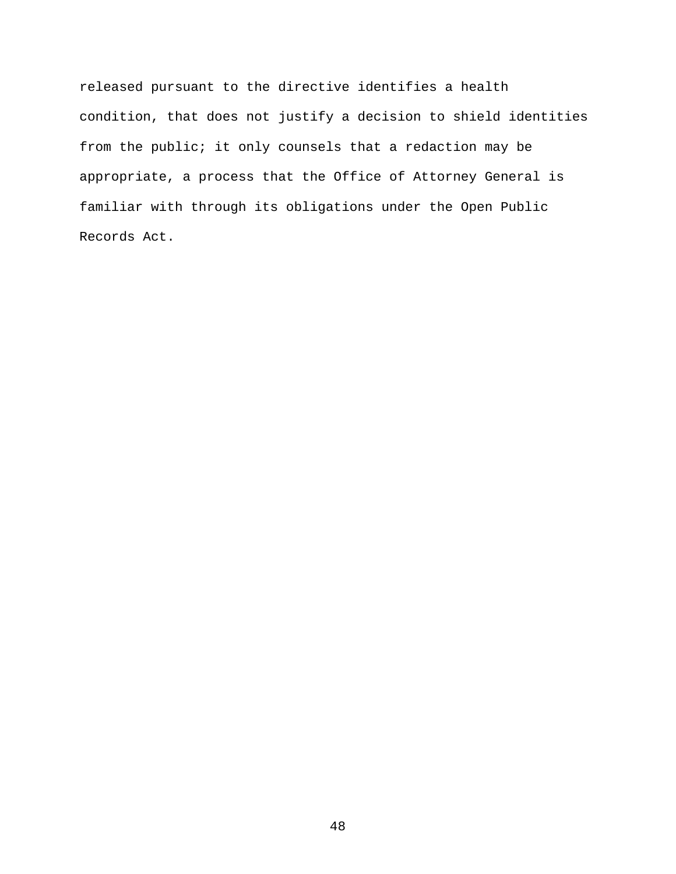released pursuant to the directive identifies a health condition, that does not justify a decision to shield identities from the public; it only counsels that a redaction may be appropriate, a process that the Office of Attorney General is familiar with through its obligations under the Open Public Records Act.